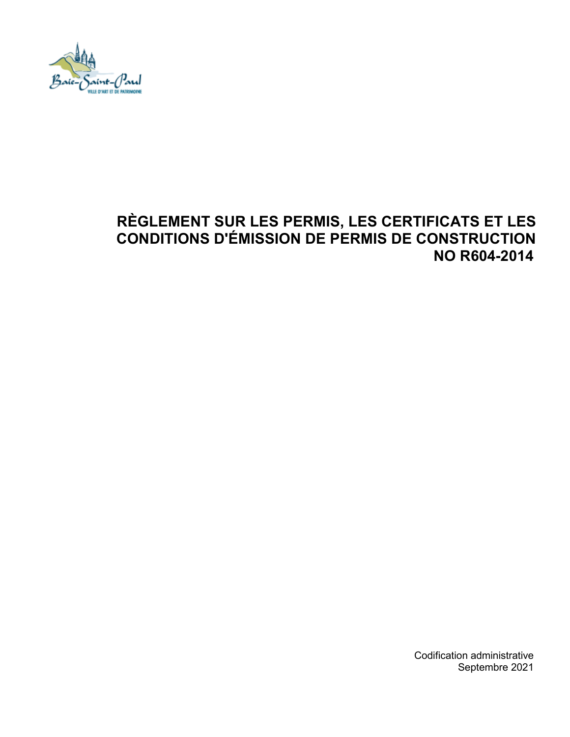

# **RÈGLEMENT SUR LES PERMIS, LES CERTIFICATS ET LES CONDITIONS D'ÉMISSION DE PERMIS DE CONSTRUCTION NO R604-2014**

Codification administrative Septembre 2021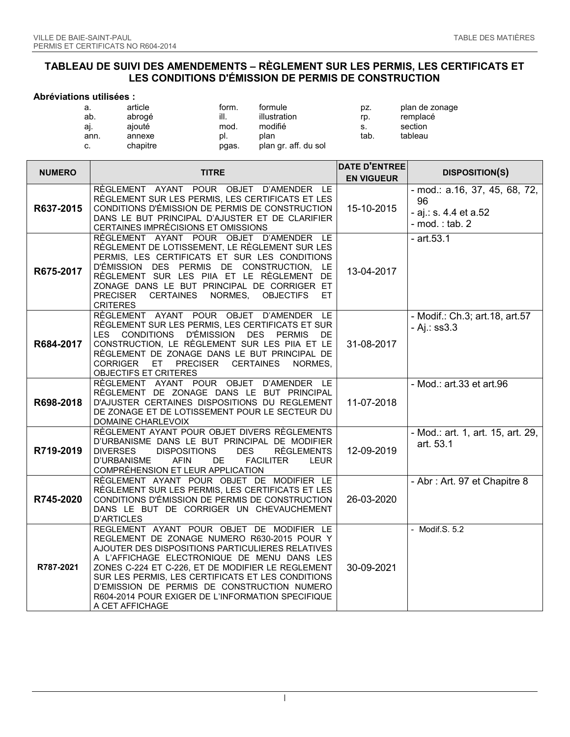#### **TABLEAU DE SUIVI DES AMENDEMENTS – RÈGLEMENT SUR LES PERMIS, LES CERTIFICATS ET LES CONDITIONS D'ÉMISSION DE PERMIS DE CONSTRUCTION**

#### **Abréviations utilisées :**

| а.   | article  | form. | formule              | pz.  | plan de zonage |
|------|----------|-------|----------------------|------|----------------|
| ab.  | abrogé   | ill.  | illustration         | rp.  | remplacé       |
| ai.  | aiouté   | mod.  | modifié              | S.   | section        |
| ann. | annexe   | DI.   | plan                 | tab. | tableau        |
| c.   | chapitre | pgas. | plan gr. aff. du sol |      |                |

| <b>NUMERO</b> | <b>TITRE</b>                                                                                                                                                                                                                                                                                                                                                                                                                 | <b>DATE D'ENTREE</b> | <b>DISPOSITION(S)</b>                                                               |
|---------------|------------------------------------------------------------------------------------------------------------------------------------------------------------------------------------------------------------------------------------------------------------------------------------------------------------------------------------------------------------------------------------------------------------------------------|----------------------|-------------------------------------------------------------------------------------|
|               |                                                                                                                                                                                                                                                                                                                                                                                                                              | <b>EN VIGUEUR</b>    |                                                                                     |
| R637-2015     | RÈGLEMENT AYANT POUR OBJET D'AMENDER LE<br>RÈGLEMENT SUR LES PERMIS, LES CERTIFICATS ET LES<br>CONDITIONS D'ÉMISSION DE PERMIS DE CONSTRUCTION<br>DANS LE BUT PRINCIPAL D'AJUSTER ET DE CLARIFIER<br>CERTAINES IMPRÉCISIONS ET OMISSIONS                                                                                                                                                                                     | 15-10-2015           | $-$ mod.: a.16, 37, 45, 68, 72,<br>96<br>- aj.: s. 4.4 et a.52<br>- $mod. : tab. 2$ |
| R675-2017     | RÈGLEMENT AYANT POUR OBJET D'AMENDER LE<br>RÈGLEMENT DE LOTISSEMENT, LE RÈGLEMENT SUR LES<br>PERMIS, LES CERTIFICATS ET SUR LES CONDITIONS<br>D'ÉMISSION DES PERMIS DE CONSTRUCTION, LE<br>RÈGLEMENT SUR LES PIIA ET LE RÈGLEMENT DE<br>ZONAGE DANS LE BUT PRINCIPAL DE CORRIGER ET<br>NORMES,<br>PRECISER<br>CERTAINES<br><b>OBJECTIFS</b><br>ET.<br><b>CRITERES</b>                                                        | 13-04-2017           | $-$ art.53.1                                                                        |
| R684-2017     | RÈGLEMENT AYANT POUR OBJET D'AMENDER LE<br>RÈGLEMENT SUR LES PERMIS, LES CERTIFICATS ET SUR<br><b>D'ÉMISSION</b><br>DES PERMIS<br>LES CONDITIONS<br>DE<br>CONSTRUCTION, LE RÈGLEMENT SUR LES PIIA ET LE<br>RÈGLEMENT DE ZONAGE DANS LE BUT PRINCIPAL DE<br>CORRIGER ET PRECISER<br><b>CERTAINES</b><br>NORMES,<br>OBJECTIFS ET CRITERES                                                                                      | 31-08-2017           | - Modif.: Ch.3; art.18, art.57<br>$-Ai$ : ss $3.3$                                  |
| R698-2018     | RÈGLEMENT AYANT POUR OBJET D'AMENDER LE<br>RÈGLEMENT DE ZONAGE DANS LE BUT PRINCIPAL<br>D'AJUSTER CERTAINES DISPOSITIONS DU REGLEMENT<br>DE ZONAGE ET DE LOTISSEMENT POUR LE SECTEUR DU<br>DOMAINE CHARLEVOIX                                                                                                                                                                                                                | 11-07-2018           | - Mod.: art.33 et art.96                                                            |
| R719-2019     | RÈGLEMENT AYANT POUR OBJET DIVERS RÈGLEMENTS<br>D'URBANISME DANS LE BUT PRINCIPAL DE MODIFIER<br><b>DIVERSES</b><br><b>DISPOSITIONS</b><br><b>DES</b><br><b>RÈGLEMENTS</b><br>D'URBANISME<br><b>AFIN</b><br>DE.<br><b>FACILITER</b><br><b>LEUR</b><br>COMPRÉHENSION ET LEUR APPLICATION                                                                                                                                      | 12-09-2019           | - Mod.: art. 1, art. 15, art. 29,<br>art. 53.1                                      |
| R745-2020     | RÈGLEMENT AYANT POUR OBJET DE MODIFIER LE<br>RÈGLEMENT SUR LES PERMIS, LES CERTIFICATS ET LES<br>CONDITIONS D'ÉMISSION DE PERMIS DE CONSTRUCTION<br>DANS LE BUT DE CORRIGER UN CHEVAUCHEMENT<br>D'ARTICLES                                                                                                                                                                                                                   | 26-03-2020           | - Abr : Art. 97 et Chapitre 8                                                       |
| R787-2021     | REGLEMENT AYANT POUR OBJET DE MODIFIER LE<br>REGLEMENT DE ZONAGE NUMERO R630-2015 POUR Y<br>AJOUTER DES DISPOSITIONS PARTICULIERES RELATIVES<br>A L'AFFICHAGE ELECTRONIQUE DE MENU DANS LES<br>ZONES C-224 ET C-226, ET DE MODIFIER LE REGLEMENT<br>SUR LES PERMIS, LES CERTIFICATS ET LES CONDITIONS<br>D'EMISSION DE PERMIS DE CONSTRUCTION NUMERO<br>R604-2014 POUR EXIGER DE L'INFORMATION SPECIFIQUE<br>A CET AFFICHAGE | 30-09-2021           | - Modif.S. 5.2                                                                      |

I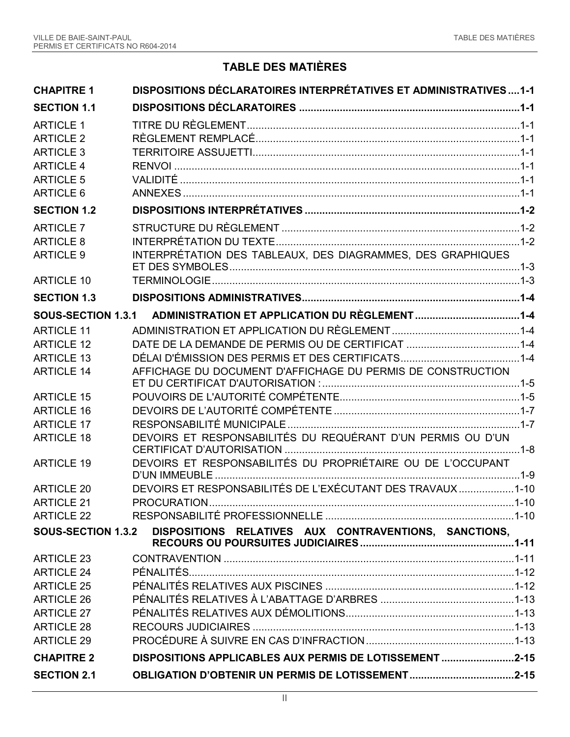## **TABLE DES MATIÈRES**

| <b>CHAPITRE 1</b>         | <b>DISPOSITIONS DÉCLARATOIRES INTERPRÉTATIVES ET ADMINISTRATIVES1-1</b> |  |
|---------------------------|-------------------------------------------------------------------------|--|
| <b>SECTION 1.1</b>        |                                                                         |  |
| <b>ARTICLE 1</b>          |                                                                         |  |
| <b>ARTICLE 2</b>          |                                                                         |  |
| <b>ARTICLE 3</b>          |                                                                         |  |
| <b>ARTICLE 4</b>          |                                                                         |  |
| <b>ARTICLE 5</b>          |                                                                         |  |
| ARTICLE 6                 |                                                                         |  |
| <b>SECTION 1.2</b>        |                                                                         |  |
| <b>ARTICLE 7</b>          |                                                                         |  |
| <b>ARTICLE 8</b>          |                                                                         |  |
| <b>ARTICLE 9</b>          | INTERPRÉTATION DES TABLEAUX, DES DIAGRAMMES, DES GRAPHIQUES             |  |
| <b>ARTICLE 10</b>         |                                                                         |  |
| <b>SECTION 1.3</b>        |                                                                         |  |
| SOUS-SECTION 1.3.1        |                                                                         |  |
| <b>ARTICLE 11</b>         |                                                                         |  |
| <b>ARTICLE 12</b>         |                                                                         |  |
| <b>ARTICLE 13</b>         |                                                                         |  |
| <b>ARTICLE 14</b>         | AFFICHAGE DU DOCUMENT D'AFFICHAGE DU PERMIS DE CONSTRUCTION             |  |
| <b>ARTICLE 15</b>         |                                                                         |  |
| <b>ARTICLE 16</b>         |                                                                         |  |
| <b>ARTICLE 17</b>         |                                                                         |  |
| <b>ARTICLE 18</b>         | DEVOIRS ET RESPONSABILITÉS DU REQUÉRANT D'UN PERMIS OU D'UN             |  |
| <b>ARTICLE 19</b>         | DEVOIRS ET RESPONSABILITÉS DU PROPRIÉTAIRE OU DE L'OCCUPANT             |  |
| <b>ARTICLE 20</b>         | DEVOIRS ET RESPONSABILITÉS DE L'EXÉCUTANT DES TRAVAUX1-10               |  |
| ARTICLE 21                |                                                                         |  |
| <b>ARTICLE 22</b>         |                                                                         |  |
| <b>SOUS-SECTION 1.3.2</b> | DISPOSITIONS RELATIVES AUX CONTRAVENTIONS, SANCTIONS,                   |  |
| <b>ARTICLE 23</b>         |                                                                         |  |
| <b>ARTICLE 24</b>         |                                                                         |  |
| <b>ARTICLE 25</b>         |                                                                         |  |
| <b>ARTICLE 26</b>         |                                                                         |  |
| <b>ARTICLE 27</b>         |                                                                         |  |
| <b>ARTICLE 28</b>         |                                                                         |  |
| <b>ARTICLE 29</b>         |                                                                         |  |
| <b>CHAPITRE 2</b>         | DISPOSITIONS APPLICABLES AUX PERMIS DE LOTISSEMENT 2-15                 |  |
| <b>SECTION 2.1</b>        |                                                                         |  |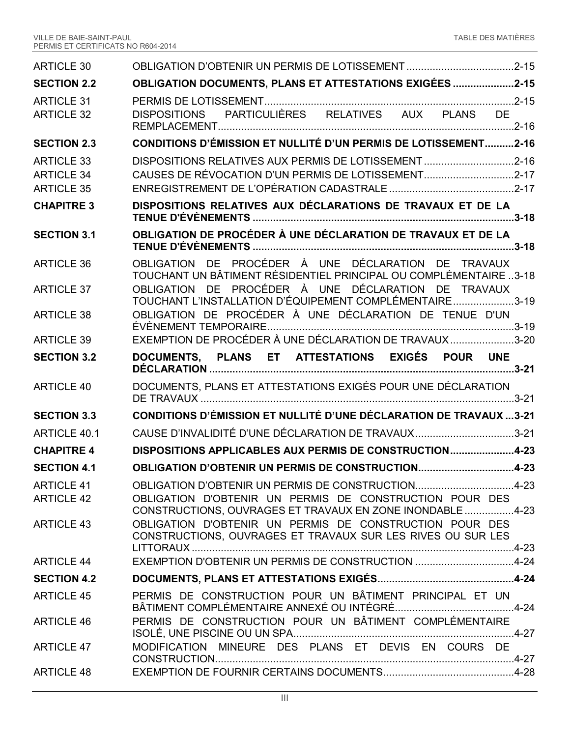| <b>ARTICLE 30</b>   |                                                                                                                                                                                     |
|---------------------|-------------------------------------------------------------------------------------------------------------------------------------------------------------------------------------|
| <b>SECTION 2.2</b>  | <b>OBLIGATION DOCUMENTS, PLANS ET ATTESTATIONS EXIGÉES 2-15</b>                                                                                                                     |
| <b>ARTICLE 31</b>   |                                                                                                                                                                                     |
| <b>ARTICLE 32</b>   | DISPOSITIONS PARTICULIÈRES RELATIVES AUX PLANS DE                                                                                                                                   |
| <b>SECTION 2.3</b>  | <b>CONDITIONS D'ÉMISSION ET NULLITÉ D'UN PERMIS DE LOTISSEMENT2-16</b>                                                                                                              |
| <b>ARTICLE 33</b>   | DISPOSITIONS RELATIVES AUX PERMIS DE LOTISSEMENT 2-16                                                                                                                               |
| <b>ARTICLE 34</b>   | CAUSES DE RÉVOCATION D'UN PERMIS DE LOTISSEMENT2-17                                                                                                                                 |
| <b>ARTICLE 35</b>   |                                                                                                                                                                                     |
| <b>CHAPITRE 3</b>   | DISPOSITIONS RELATIVES AUX DÉCLARATIONS DE TRAVAUX ET DE LA                                                                                                                         |
| <b>SECTION 3.1</b>  | OBLIGATION DE PROCÉDER À UNE DÉCLARATION DE TRAVAUX ET DE LA                                                                                                                        |
| <b>ARTICLE 36</b>   | OBLIGATION DE PROCÉDER À UNE DÉCLARATION DE TRAVAUX<br>TOUCHANT UN BÂTIMENT RÉSIDENTIEL PRINCIPAL OU COMPLÉMENTAIRE3-18                                                             |
| <b>ARTICLE 37</b>   | OBLIGATION DE PROCÉDER À UNE DÉCLARATION DE TRAVAUX<br>TOUCHANT L'INSTALLATION D'ÉQUIPEMENT COMPLÉMENTAIRE3-19                                                                      |
| <b>ARTICLE 38</b>   | OBLIGATION DE PROCÉDER À UNE DÉCLARATION DE TENUE D'UN                                                                                                                              |
| <b>ARTICLE 39</b>   | EXEMPTION DE PROCÉDER À UNE DÉCLARATION DE TRAVAUX 3-20                                                                                                                             |
| <b>SECTION 3.2</b>  | DOCUMENTS, PLANS ET ATTESTATIONS EXIGÉS POUR UNE                                                                                                                                    |
|                     |                                                                                                                                                                                     |
| <b>ARTICLE 40</b>   | DOCUMENTS, PLANS ET ATTESTATIONS EXIGÉS POUR UNE DÉCLARATION                                                                                                                        |
| <b>SECTION 3.3</b>  | <b>CONDITIONS D'ÉMISSION ET NULLITÉ D'UNE DÉCLARATION DE TRAVAUX3-21</b>                                                                                                            |
| <b>ARTICLE 40.1</b> | CAUSE D'INVALIDITÉ D'UNE DÉCLARATION DE TRAVAUX3-21                                                                                                                                 |
| <b>CHAPITRE 4</b>   | DISPOSITIONS APPLICABLES AUX PERMIS DE CONSTRUCTION4-23                                                                                                                             |
| <b>SECTION 4.1</b>  | OBLIGATION D'OBTENIR UN PERMIS DE CONSTRUCTION4-23                                                                                                                                  |
| <b>ARTICLE 41</b>   | OBLIGATION D'OBTENIR UN PERMIS DE CONSTRUCTION4-23                                                                                                                                  |
| <b>ARTICLE 42</b>   | OBLIGATION D'OBTENIR UN PERMIS DE CONSTRUCTION POUR DES                                                                                                                             |
| <b>ARTICLE 43</b>   | CONSTRUCTIONS, OUVRAGES ET TRAVAUX EN ZONE INONDABLE 4-23<br>OBLIGATION D'OBTENIR UN PERMIS DE CONSTRUCTION POUR DES<br>CONSTRUCTIONS, OUVRAGES ET TRAVAUX SUR LES RIVES OU SUR LES |
| <b>ARTICLE 44</b>   | EXEMPTION D'OBTENIR UN PERMIS DE CONSTRUCTION 4-24                                                                                                                                  |
| <b>SECTION 4.2</b>  |                                                                                                                                                                                     |
| <b>ARTICLE 45</b>   | PERMIS DE CONSTRUCTION POUR UN BÂTIMENT PRINCIPAL ET UN                                                                                                                             |
| <b>ARTICLE 46</b>   | PERMIS DE CONSTRUCTION POUR UN BÂTIMENT COMPLÉMENTAIRE                                                                                                                              |
| <b>ARTICLE 47</b>   | MODIFICATION MINEURE DES PLANS ET DEVIS EN COURS DE                                                                                                                                 |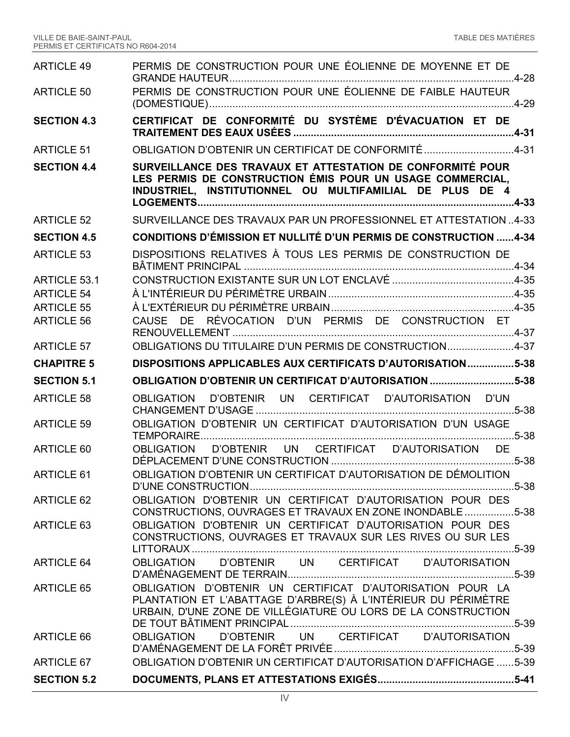| <b>ARTICLE 49</b>   | PERMIS DE CONSTRUCTION POUR UNE ÉOLIENNE DE MOYENNE ET DE                                                                                                                                    |
|---------------------|----------------------------------------------------------------------------------------------------------------------------------------------------------------------------------------------|
| <b>ARTICLE 50</b>   | PERMIS DE CONSTRUCTION POUR UNE ÉOLIENNE DE FAIBLE HAUTEUR                                                                                                                                   |
| <b>SECTION 4.3</b>  | CERTIFICAT DE CONFORMITÉ DU SYSTÈME D'ÉVACUATION ET DE                                                                                                                                       |
| <b>ARTICLE 51</b>   | OBLIGATION D'OBTENIR UN CERTIFICAT DE CONFORMITÉ4-31                                                                                                                                         |
| <b>SECTION 4.4</b>  | SURVEILLANCE DES TRAVAUX ET ATTESTATION DE CONFORMITÉ POUR<br>LES PERMIS DE CONSTRUCTION ÉMIS POUR UN USAGE COMMERCIAL,<br>INDUSTRIEL, INSTITUTIONNEL OU MULTIFAMILIAL DE PLUS DE 4          |
| <b>ARTICLE 52</b>   | SURVEILLANCE DES TRAVAUX PAR UN PROFESSIONNEL ET ATTESTATION4-33                                                                                                                             |
| <b>SECTION 4.5</b>  | <b>CONDITIONS D'ÉMISSION ET NULLITÉ D'UN PERMIS DE CONSTRUCTION 4-34</b>                                                                                                                     |
| <b>ARTICLE 53</b>   | DISPOSITIONS RELATIVES À TOUS LES PERMIS DE CONSTRUCTION DE                                                                                                                                  |
| <b>ARTICLE 53.1</b> |                                                                                                                                                                                              |
| <b>ARTICLE 54</b>   |                                                                                                                                                                                              |
| <b>ARTICLE 55</b>   |                                                                                                                                                                                              |
| <b>ARTICLE 56</b>   | CAUSE DE RÉVOCATION D'UN PERMIS DE CONSTRUCTION ET                                                                                                                                           |
| <b>ARTICLE 57</b>   | OBLIGATIONS DU TITULAIRE D'UN PERMIS DE CONSTRUCTION4-37                                                                                                                                     |
| <b>CHAPITRE 5</b>   | DISPOSITIONS APPLICABLES AUX CERTIFICATS D'AUTORISATION5-38                                                                                                                                  |
|                     |                                                                                                                                                                                              |
| <b>SECTION 5.1</b>  | OBLIGATION D'OBTENIR UN CERTIFICAT D'AUTORISATION 5-38                                                                                                                                       |
| <b>ARTICLE 58</b>   | D'OBTENIR UN CERTIFICAT D'AUTORISATION D'UN<br>OBLIGATION                                                                                                                                    |
| <b>ARTICLE 59</b>   | OBLIGATION D'OBTENIR UN CERTIFICAT D'AUTORISATION D'UN USAGE                                                                                                                                 |
| ARTICLE 60          | OBLIGATION D'OBTENIR UN CERTIFICAT D'AUTORISATION DE                                                                                                                                         |
| ARTICLE 61          | OBLIGATION D'OBTENIR UN CERTIFICAT D'AUTORISATION DE DÉMOLITION                                                                                                                              |
| <b>ARTICLE 62</b>   | OBLIGATION D'OBTENIR UN CERTIFICAT D'AUTORISATION POUR DES<br>CONSTRUCTIONS, OUVRAGES ET TRAVAUX EN ZONE INONDABLE 5-38                                                                      |
| ARTICLE 63          | OBLIGATION D'OBTENIR UN CERTIFICAT D'AUTORISATION POUR DES<br>CONSTRUCTIONS, OUVRAGES ET TRAVAUX SUR LES RIVES OU SUR LES<br>5-39                                                            |
| <b>ARTICLE 64</b>   | OBLIGATION D'OBTENIR UN CERTIFICAT D'AUTORISATION                                                                                                                                            |
| <b>ARTICLE 65</b>   | OBLIGATION D'OBTENIR UN CERTIFICAT D'AUTORISATION POUR LA<br>PLANTATION ET L'ABATTAGE D'ARBRE(S) À L'INTÉRIEUR DU PÉRIMÈTRE<br>URBAIN, D'UNE ZONE DE VILLÉGIATURE OU LORS DE LA CONSTRUCTION |
| ARTICLE 66          | D'OBTENIR UN CERTIFICAT D'AUTORISATION<br><b>OBLIGATION</b>                                                                                                                                  |
| ARTICLE 67          | OBLIGATION D'OBTENIR UN CERTIFICAT D'AUTORISATION D'AFFICHAGE 5-39                                                                                                                           |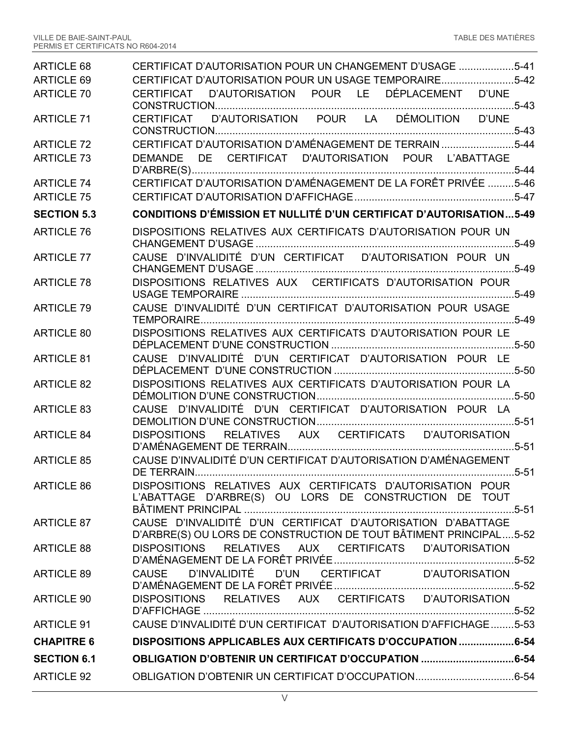| ARTICLE 68         | CERTIFICAT D'AUTORISATION POUR UN CHANGEMENT D'USAGE 5-41                                                                         |
|--------------------|-----------------------------------------------------------------------------------------------------------------------------------|
| <b>ARTICLE 69</b>  | CERTIFICAT D'AUTORISATION POUR UN USAGE TEMPORAIRE5-42                                                                            |
| <b>ARTICLE 70</b>  | D'AUTORISATION POUR LE DÉPLACEMENT D'UNE<br>CERTIFICAT                                                                            |
| <b>ARTICLE 71</b>  | CERTIFICAT D'AUTORISATION POUR LA DÉMOLITION D'UNE                                                                                |
| <b>ARTICLE 72</b>  | CERTIFICAT D'AUTORISATION D'AMÉNAGEMENT DE TERRAIN5-44                                                                            |
| <b>ARTICLE 73</b>  | DEMANDE DE CERTIFICAT D'AUTORISATION POUR L'ABATTAGE                                                                              |
| <b>ARTICLE 74</b>  | CERTIFICAT D'AUTORISATION D'AMÉNAGEMENT DE LA FORÊT PRIVÉE 5-46                                                                   |
| <b>ARTICLE 75</b>  |                                                                                                                                   |
| <b>SECTION 5.3</b> | <b>CONDITIONS D'ÉMISSION ET NULLITÉ D'UN CERTIFICAT D'AUTORISATION5-49</b>                                                        |
| <b>ARTICLE 76</b>  | DISPOSITIONS RELATIVES AUX CERTIFICATS D'AUTORISATION POUR UN                                                                     |
| <b>ARTICLE 77</b>  | CAUSE D'INVALIDITÉ D'UN CERTIFICAT D'AUTORISATION POUR UN                                                                         |
| <b>ARTICLE 78</b>  | DISPOSITIONS RELATIVES AUX CERTIFICATS D'AUTORISATION POUR                                                                        |
| <b>ARTICLE 79</b>  | CAUSE D'INVALIDITÉ D'UN CERTIFICAT D'AUTORISATION POUR USAGE                                                                      |
| <b>ARTICLE 80</b>  | DISPOSITIONS RELATIVES AUX CERTIFICATS D'AUTORISATION POUR LE                                                                     |
| <b>ARTICLE 81</b>  | CAUSE D'INVALIDITÉ D'UN CERTIFICAT D'AUTORISATION POUR LE                                                                         |
| <b>ARTICLE 82</b>  | DISPOSITIONS RELATIVES AUX CERTIFICATS D'AUTORISATION POUR LA                                                                     |
| <b>ARTICLE 83</b>  | CAUSE D'INVALIDITÉ D'UN CERTIFICAT D'AUTORISATION POUR LA                                                                         |
| <b>ARTICLE 84</b>  | DISPOSITIONS RELATIVES AUX CERTIFICATS D'AUTORISATION                                                                             |
| <b>ARTICLE 85</b>  | CAUSE D'INVALIDITÉ D'UN CERTIFICAT D'AUTORISATION D'AMÉNAGEMENT<br>DE TERRAIN.<br>$5 - 51$                                        |
| ARTICLE 86         | DISPOSITIONS RELATIVES AUX CERTIFICATS D'AUTORISATION POUR<br>L'ABATTAGE D'ARBRE(S) OU LORS DE CONSTRUCTION DE TOUT               |
| <b>ARTICLE 87</b>  | CAUSE D'INVALIDITÉ D'UN CERTIFICAT D'AUTORISATION D'ABATTAGE<br>D'ARBRE(S) OU LORS DE CONSTRUCTION DE TOUT BÂTIMENT PRINCIPAL5-52 |
| <b>ARTICLE 88</b>  | DISPOSITIONS RELATIVES AUX CERTIFICATS D'AUTORISATION                                                                             |
| <b>ARTICLE 89</b>  | CAUSE D'INVALIDITÉ D'UN CERTIFICAT D'AUTORISATION                                                                                 |
| <b>ARTICLE 90</b>  | DISPOSITIONS RELATIVES AUX CERTIFICATS D'AUTORISATION                                                                             |
| <b>ARTICLE 91</b>  | CAUSE D'INVALIDITÉ D'UN CERTIFICAT D'AUTORISATION D'AFFICHAGE5-53                                                                 |
| <b>CHAPITRE 6</b>  | DISPOSITIONS APPLICABLES AUX CERTIFICATS D'OCCUPATION 6-54                                                                        |
| <b>SECTION 6.1</b> | <b>OBLIGATION D'OBTENIR UN CERTIFICAT D'OCCUPATION 6-54</b>                                                                       |
| <b>ARTICLE 92</b>  |                                                                                                                                   |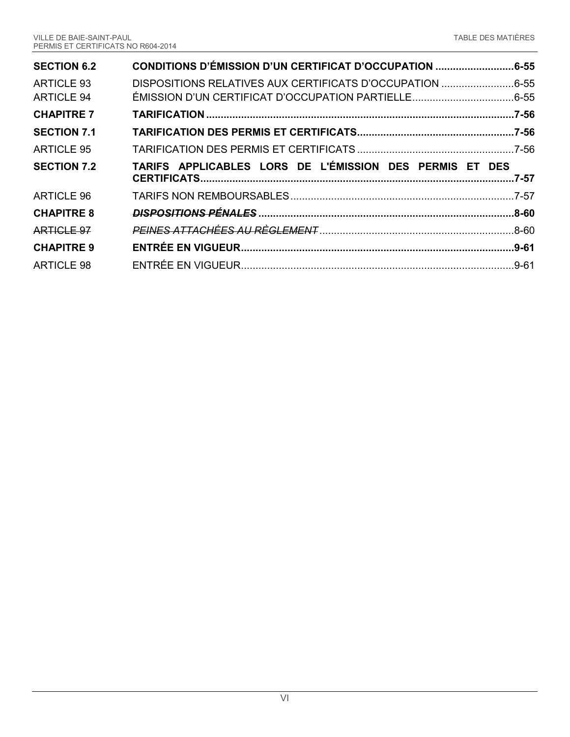| <b>SECTION 6.2</b> | CONDITIONS D'ÉMISSION D'UN CERTIFICAT D'OCCUPATION 6-55  |           |
|--------------------|----------------------------------------------------------|-----------|
| <b>ARTICLE 93</b>  | DISPOSITIONS RELATIVES AUX CERTIFICATS D'OCCUPATION 6-55 |           |
| ARTICLE 94         |                                                          |           |
| <b>CHAPITRE 7</b>  |                                                          |           |
| <b>SECTION 7.1</b> |                                                          |           |
| <b>ARTICLE 95</b>  |                                                          |           |
|                    |                                                          |           |
| <b>SECTION 7.2</b> | TARIFS APPLICABLES LORS DE L'ÉMISSION DES PERMIS ET DES  | $.7 - 57$ |
| ARTICLE 96         |                                                          |           |
| <b>CHAPITRE 8</b>  |                                                          |           |
| ARTICLE 97         |                                                          |           |
| <b>CHAPITRE 9</b>  |                                                          |           |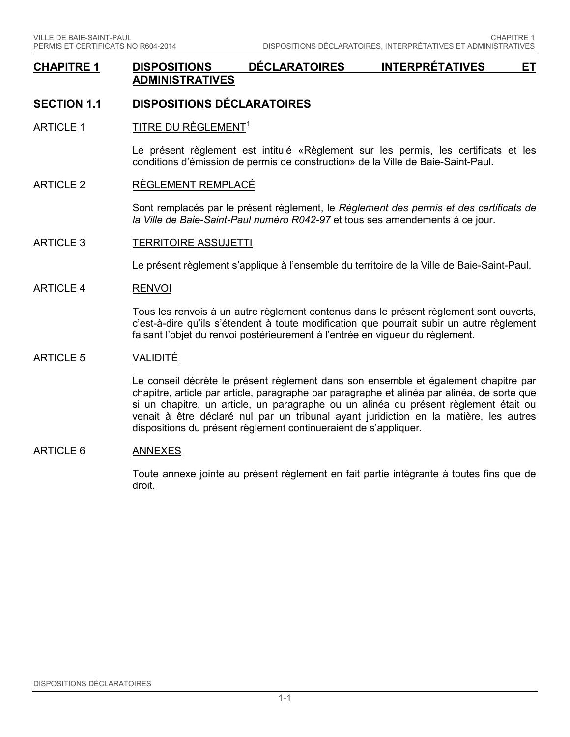### **CHAPITRE 1 DISPOSITIONS DÉCLARATOIRES INTERPRÉTATIVES ET ADMINISTRATIVES**

## **SECTION 1.1 DISPOSITIONS DÉCLARATOIRES**

ARTICLE [1](#page-68-0) TITRE DU RÈGLEMENT<sup>1</sup>

Le présent règlement est intitulé «Règlement sur les permis, les certificats et les conditions d'émission de permis de construction» de la Ville de Baie-Saint-Paul.

#### ARTICLE 2 RÈGLEMENT REMPLACÉ

Sont remplacés par le présent règlement, le *Règlement des permis et des certificats de la Ville de Baie-Saint-Paul numéro R042-97* et tous ses amendements à ce jour.

ARTICLE 3 TERRITOIRE ASSUJETTI

Le présent règlement s'applique à l'ensemble du territoire de la Ville de Baie-Saint-Paul.

ARTICLE 4 RENVOI

Tous les renvois à un autre règlement contenus dans le présent règlement sont ouverts, c'est-à-dire qu'ils s'étendent à toute modification que pourrait subir un autre règlement faisant l'objet du renvoi postérieurement à l'entrée en vigueur du règlement.

#### ARTICLE 5 VALIDITÉ

Le conseil décrète le présent règlement dans son ensemble et également chapitre par chapitre, article par article, paragraphe par paragraphe et alinéa par alinéa, de sorte que si un chapitre, un article, un paragraphe ou un alinéa du présent règlement était ou venait à être déclaré nul par un tribunal ayant juridiction en la matière, les autres dispositions du présent règlement continueraient de s'appliquer.

#### ARTICLE 6 ANNEXES

Toute annexe jointe au présent règlement en fait partie intégrante à toutes fins que de droit.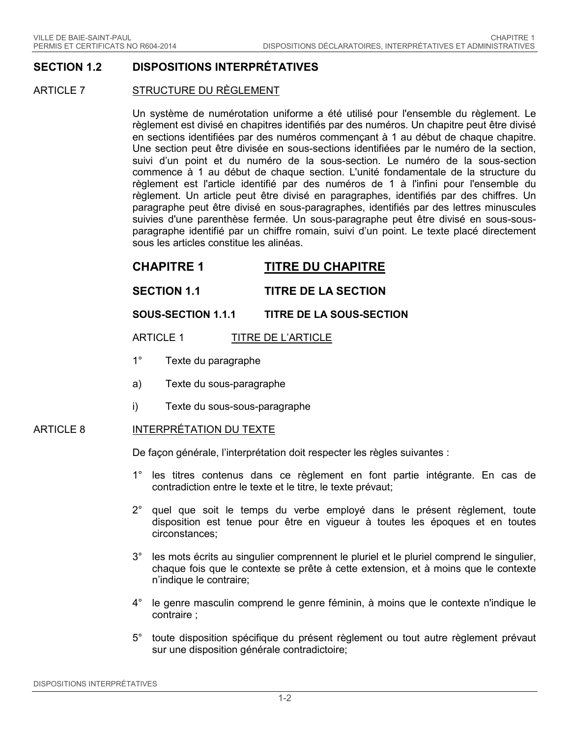### **SECTION 1.2 DISPOSITIONS INTERPRÉTATIVES**

#### ARTICLE 7 STRUCTURE DU RÈGLEMENT

Un système de numérotation uniforme a été utilisé pour l'ensemble du règlement. Le règlement est divisé en chapitres identifiés par des numéros. Un chapitre peut être divisé en sections identifiées par des numéros commençant à 1 au début de chaque chapitre. Une section peut être divisée en sous-sections identifiées par le numéro de la section, suivi d'un point et du numéro de la sous-section. Le numéro de la sous-section commence à 1 au début de chaque section. L'unité fondamentale de la structure du règlement est l'article identifié par des numéros de 1 à l'infini pour l'ensemble du règlement. Un article peut être divisé en paragraphes, identifiés par des chiffres. Un paragraphe peut être divisé en sous-paragraphes, identifiés par des lettres minuscules suivies d'une parenthèse fermée. Un sous-paragraphe peut être divisé en sous-sousparagraphe identifié par un chiffre romain, suivi d'un point. Le texte placé directement sous les articles constitue les alinéas.

## **CHAPITRE 1 TITRE DU CHAPITRE**

### **SECTION 1.1 TITRE DE LA SECTION**

### **SOUS-SECTION 1.1.1 TITRE DE LA SOUS-SECTION**

### ARTICLE 1 TITRE DE L'ARTICLE

- 1° Texte du paragraphe
- a) Texte du sous-paragraphe
- i) Texte du sous-sous-paragraphe

#### ARTICLE 8 INTERPRÉTATION DU TEXTE

De façon générale, l'interprétation doit respecter les règles suivantes :

- 1° les titres contenus dans ce règlement en font partie intégrante. En cas de contradiction entre le texte et le titre, le texte prévaut;
- 2° quel que soit le temps du verbe employé dans le présent règlement, toute disposition est tenue pour être en vigueur à toutes les époques et en toutes circonstances;
- 3° les mots écrits au singulier comprennent le pluriel et le pluriel comprend le singulier, chaque fois que le contexte se prête à cette extension, et à moins que le contexte n'indique le contraire;
- 4° le genre masculin comprend le genre féminin, à moins que le contexte n'indique le contraire ;
- 5° toute disposition spécifique du présent règlement ou tout autre règlement prévaut sur une disposition générale contradictoire;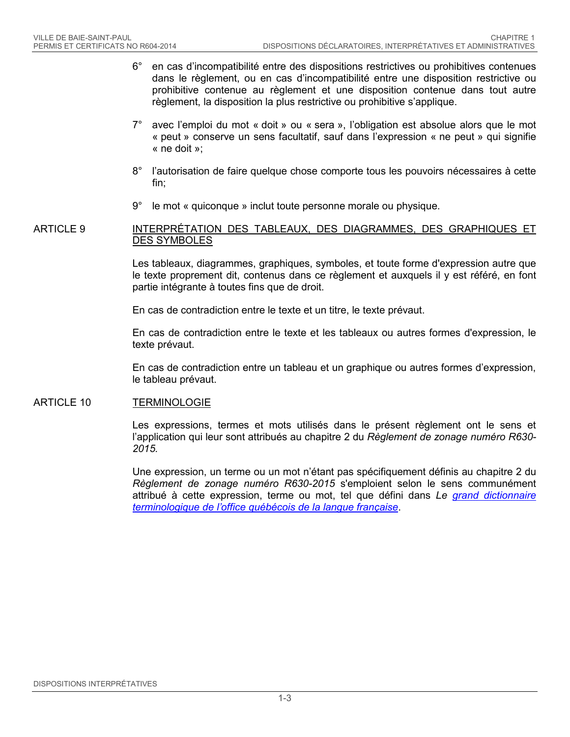- 6° en cas d'incompatibilité entre des dispositions restrictives ou prohibitives contenues dans le règlement, ou en cas d'incompatibilité entre une disposition restrictive ou prohibitive contenue au règlement et une disposition contenue dans tout autre règlement, la disposition la plus restrictive ou prohibitive s'applique.
- 7° avec l'emploi du mot « doit » ou « sera », l'obligation est absolue alors que le mot « peut » conserve un sens facultatif, sauf dans l'expression « ne peut » qui signifie « ne doit »;
- 8° l'autorisation de faire quelque chose comporte tous les pouvoirs nécessaires à cette fin;
- 9° le mot « quiconque » inclut toute personne morale ou physique.

#### ARTICLE 9 INTERPRÉTATION DES TABLEAUX, DES DIAGRAMMES, DES GRAPHIQUES ET DES SYMBOLES

Les tableaux, diagrammes, graphiques, symboles, et toute forme d'expression autre que le texte proprement dit, contenus dans ce règlement et auxquels il y est référé, en font partie intégrante à toutes fins que de droit.

En cas de contradiction entre le texte et un titre, le texte prévaut.

En cas de contradiction entre le texte et les tableaux ou autres formes d'expression, le texte prévaut.

En cas de contradiction entre un tableau et un graphique ou autres formes d'expression, le tableau prévaut.

### ARTICLE 10 TERMINOLOGIE

Les expressions, termes et mots utilisés dans le présent règlement ont le sens et l'application qui leur sont attribués au chapitre 2 du *Règlement de zonage numéro R630- 2015.*

Une expression, un terme ou un mot n'étant pas spécifiquement définis au chapitre 2 du *Règlement de zonage numéro R630-2015* s'emploient selon le sens communément attribué à cette expression, terme ou mot, tel que défini dans *Le [grand dictionnaire](http://www.granddictionnaire.com/)  [terminologique de l'office québécois de la langue française](http://www.granddictionnaire.com/)*.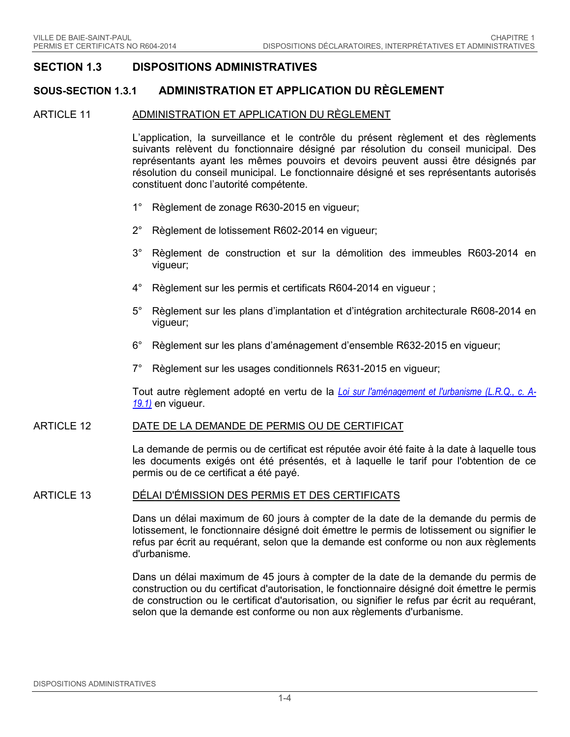### **SECTION 1.3 DISPOSITIONS ADMINISTRATIVES**

### **SOUS-SECTION 1.3.1 ADMINISTRATION ET APPLICATION DU RÈGLEMENT**

#### ARTICLE 11 ADMINISTRATION ET APPLICATION DU RÈGLEMENT

L'application, la surveillance et le contrôle du présent règlement et des règlements suivants relèvent du fonctionnaire désigné par résolution du conseil municipal. Des représentants ayant les mêmes pouvoirs et devoirs peuvent aussi être désignés par résolution du conseil municipal. Le fonctionnaire désigné et ses représentants autorisés constituent donc l'autorité compétente.

- 1° Règlement de zonage R630-2015 en vigueur;
- 2° Règlement de lotissement R602-2014 en vigueur;
- 3° Règlement de construction et sur la démolition des immeubles R603-2014 en vigueur;
- 4° Règlement sur les permis et certificats R604-2014 en vigueur ;
- 5° Règlement sur les plans d'implantation et d'intégration architecturale R608-2014 en vigueur;
- 6° Règlement sur les plans d'aménagement d'ensemble R632-2015 en vigueur;
- 7° Règlement sur les usages conditionnels R631-2015 en vigueur;

Tout autre règlement adopté en vertu de la *[Loi sur l'aménagement et l'urbanisme \(L.R.Q., c. A-](http://www2.publicationsduquebec.gouv.qc.ca/dynamicSearch/telecharge.php?type=2&file=/A_19_1/A19_1.html)[19.1\)](http://www2.publicationsduquebec.gouv.qc.ca/dynamicSearch/telecharge.php?type=2&file=/A_19_1/A19_1.html)* en vigueur.

#### ARTICLE 12 DATE DE LA DEMANDE DE PERMIS OU DE CERTIFICAT

La demande de permis ou de certificat est réputée avoir été faite à la date à laquelle tous les documents exigés ont été présentés, et à laquelle le tarif pour l'obtention de ce permis ou de ce certificat a été payé.

#### ARTICLE 13 DÉLAI D'ÉMISSION DES PERMIS ET DES CERTIFICATS

Dans un délai maximum de 60 jours à compter de la date de la demande du permis de lotissement, le fonctionnaire désigné doit émettre le permis de lotissement ou signifier le refus par écrit au requérant, selon que la demande est conforme ou non aux règlements d'urbanisme.

Dans un délai maximum de 45 jours à compter de la date de la demande du permis de construction ou du certificat d'autorisation, le fonctionnaire désigné doit émettre le permis de construction ou le certificat d'autorisation, ou signifier le refus par écrit au requérant, selon que la demande est conforme ou non aux règlements d'urbanisme.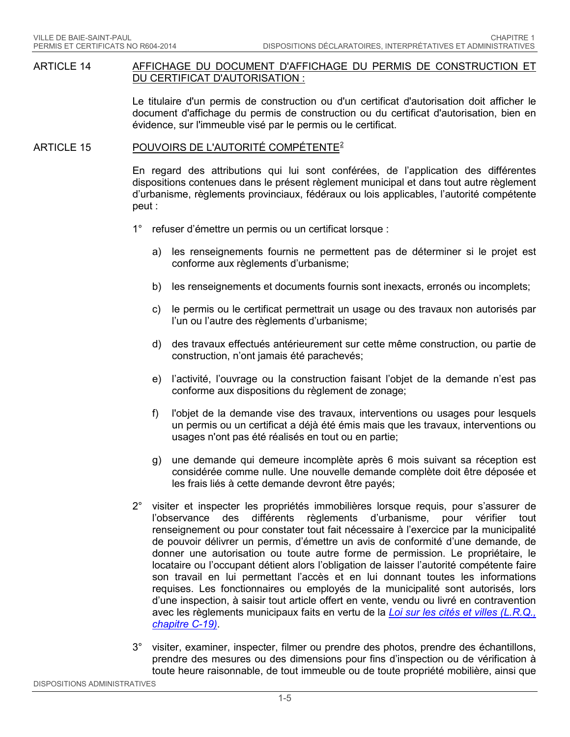#### ARTICLE 14 AFFICHAGE DU DOCUMENT D'AFFICHAGE DU PERMIS DE CONSTRUCTION ET DU CERTIFICAT D'AUTORISATION :

Le titulaire d'un permis de construction ou d'un certificat d'autorisation doit afficher le document d'affichage du permis de construction ou du certificat d'autorisation, bien en évidence, sur l'immeuble visé par le permis ou le certificat.

### ARTICLE 15 POUVOIRS DE L'AUTORITÉ COMPÉTENTE<sup>[2](#page-68-1)</sup>

En regard des attributions qui lui sont conférées, de l'application des différentes dispositions contenues dans le présent règlement municipal et dans tout autre règlement d'urbanisme, règlements provinciaux, fédéraux ou lois applicables, l'autorité compétente peut :

- 1° refuser d'émettre un permis ou un certificat lorsque :
	- a) les renseignements fournis ne permettent pas de déterminer si le projet est conforme aux règlements d'urbanisme;
	- b) les renseignements et documents fournis sont inexacts, erronés ou incomplets;
	- c) le permis ou le certificat permettrait un usage ou des travaux non autorisés par l'un ou l'autre des règlements d'urbanisme;
	- d) des travaux effectués antérieurement sur cette même construction, ou partie de construction, n'ont jamais été parachevés;
	- e) l'activité, l'ouvrage ou la construction faisant l'objet de la demande n'est pas conforme aux dispositions du règlement de zonage;
	- f) l'objet de la demande vise des travaux, interventions ou usages pour lesquels un permis ou un certificat a déjà été émis mais que les travaux, interventions ou usages n'ont pas été réalisés en tout ou en partie;
	- g) une demande qui demeure incomplète après 6 mois suivant sa réception est considérée comme nulle. Une nouvelle demande complète doit être déposée et les frais liés à cette demande devront être payés;
- 2° visiter et inspecter les propriétés immobilières lorsque requis, pour s'assurer de l'observance des différents règlements d'urbanisme, pour vérifier tout renseignement ou pour constater tout fait nécessaire à l'exercice par la municipalité de pouvoir délivrer un permis, d'émettre un avis de conformité d'une demande, de donner une autorisation ou toute autre forme de permission. Le propriétaire, le locataire ou l'occupant détient alors l'obligation de laisser l'autorité compétente faire son travail en lui permettant l'accès et en lui donnant toutes les informations requises. Les fonctionnaires ou employés de la municipalité sont autorisés, lors d'une inspection, à saisir tout article offert en vente, vendu ou livré en contravention avec les règlements municipaux faits en vertu de la *[Loi sur les cités et villes \(L.R.Q.,](http://www2.publicationsduquebec.gouv.qc.ca/dynamicSearch/telecharge.php?type=2&file=/C_19/C19.html)  [chapitre C-19\)](http://www2.publicationsduquebec.gouv.qc.ca/dynamicSearch/telecharge.php?type=2&file=/C_19/C19.html)*.
- 3° visiter, examiner, inspecter, filmer ou prendre des photos, prendre des échantillons, prendre des mesures ou des dimensions pour fins d'inspection ou de vérification à toute heure raisonnable, de tout immeuble ou de toute propriété mobilière, ainsi que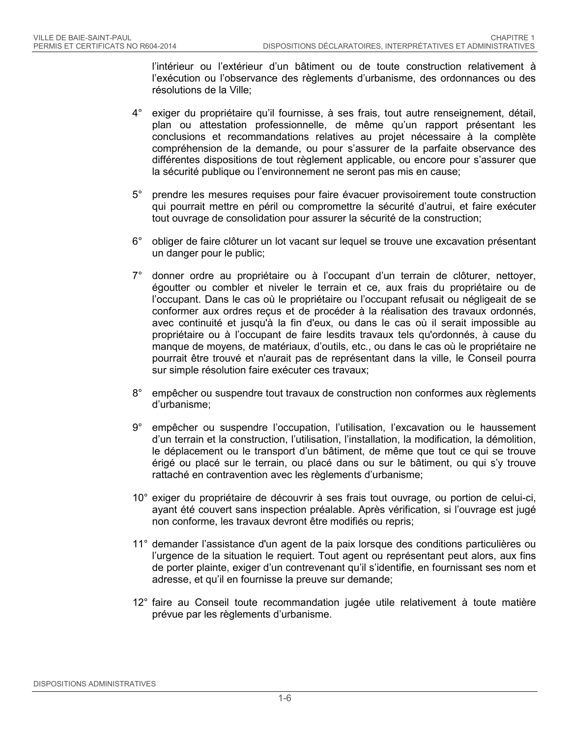l'intérieur ou l'extérieur d'un bâtiment ou de toute construction relativement à l'exécution ou l'observance des règlements d'urbanisme, des ordonnances ou des résolutions de la Ville;

- 4° exiger du propriétaire qu'il fournisse, à ses frais, tout autre renseignement, détail, plan ou attestation professionnelle, de même qu'un rapport présentant les conclusions et recommandations relatives au projet nécessaire à la complète compréhension de la demande, ou pour s'assurer de la parfaite observance des différentes dispositions de tout règlement applicable, ou encore pour s'assurer que la sécurité publique ou l'environnement ne seront pas mis en cause;
- 5° prendre les mesures requises pour faire évacuer provisoirement toute construction qui pourrait mettre en péril ou compromettre la sécurité d'autrui, et faire exécuter tout ouvrage de consolidation pour assurer la sécurité de la construction;
- 6° obliger de faire clôturer un lot vacant sur lequel se trouve une excavation présentant un danger pour le public;
- 7° donner ordre au propriétaire ou à l'occupant d'un terrain de clôturer, nettoyer, égoutter ou combler et niveler le terrain et ce, aux frais du propriétaire ou de l'occupant. Dans le cas où le propriétaire ou l'occupant refusait ou négligeait de se conformer aux ordres reçus et de procéder à la réalisation des travaux ordonnés, avec continuité et jusqu'à la fin d'eux, ou dans le cas où il serait impossible au propriétaire ou à l'occupant de faire lesdits travaux tels qu'ordonnés, à cause du manque de moyens, de matériaux, d'outils, etc., ou dans le cas où le propriétaire ne pourrait être trouvé et n'aurait pas de représentant dans la ville, le Conseil pourra sur simple résolution faire exécuter ces travaux;
- 8° empêcher ou suspendre tout travaux de construction non conformes aux règlements d'urbanisme;
- 9° empêcher ou suspendre l'occupation, l'utilisation, l'excavation ou le haussement d'un terrain et la construction, l'utilisation, l'installation, la modification, la démolition, le déplacement ou le transport d'un bâtiment, de même que tout ce qui se trouve érigé ou placé sur le terrain, ou placé dans ou sur le bâtiment, ou qui s'y trouve rattaché en contravention avec les règlements d'urbanisme;
- 10° exiger du propriétaire de découvrir à ses frais tout ouvrage, ou portion de celui-ci, ayant été couvert sans inspection préalable. Après vérification, si l'ouvrage est jugé non conforme, les travaux devront être modifiés ou repris;
- 11° demander l'assistance d'un agent de la paix lorsque des conditions particulières ou l'urgence de la situation le requiert. Tout agent ou représentant peut alors, aux fins de porter plainte, exiger d'un contrevenant qu'il s'identifie, en fournissant ses nom et adresse, et qu'il en fournisse la preuve sur demande;
- 12° faire au Conseil toute recommandation jugée utile relativement à toute matière prévue par les règlements d'urbanisme.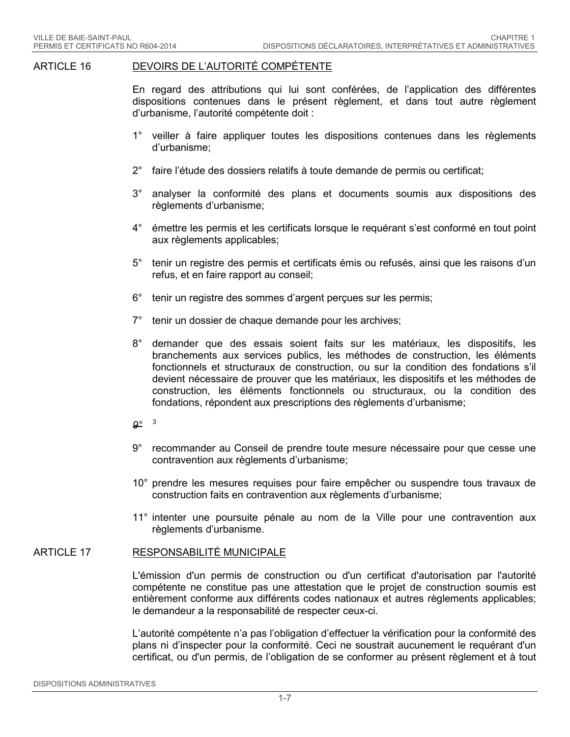#### ARTICLE 16 DEVOIRS DE L'AUTORITÉ COMPÉTENTE

En regard des attributions qui lui sont conférées, de l'application des différentes dispositions contenues dans le présent règlement, et dans tout autre règlement d'urbanisme, l'autorité compétente doit :

- 1° veiller à faire appliquer toutes les dispositions contenues dans les règlements d'urbanisme;
- 2° faire l'étude des dossiers relatifs à toute demande de permis ou certificat;
- 3° analyser la conformité des plans et documents soumis aux dispositions des règlements d'urbanisme;
- 4° émettre les permis et les certificats lorsque le requérant s'est conformé en tout point aux règlements applicables;
- 5° tenir un registre des permis et certificats émis ou refusés, ainsi que les raisons d'un refus, et en faire rapport au conseil;
- 6° tenir un registre des sommes d'argent perçues sur les permis;
- 7° tenir un dossier de chaque demande pour les archives;
- 8° demander que des essais soient faits sur les matériaux, les dispositifs, les branchements aux services publics, les méthodes de construction, les éléments fonctionnels et structuraux de construction, ou sur la condition des fondations s'il devient nécessaire de prouver que les matériaux, les dispositifs et les méthodes de construction, les éléments fonctionnels ou structuraux, ou la condition des fondations, répondent aux prescriptions des règlements d'urbanisme;
- *9°* [3](#page-68-2)
- 9° recommander au Conseil de prendre toute mesure nécessaire pour que cesse une contravention aux règlements d'urbanisme;
- 10° prendre les mesures requises pour faire empêcher ou suspendre tous travaux de construction faits en contravention aux règlements d'urbanisme;
- 11° intenter une poursuite pénale au nom de la Ville pour une contravention aux règlements d'urbanisme.

#### ARTICLE 17 RESPONSABILITÉ MUNICIPALE

L'émission d'un permis de construction ou d'un certificat d'autorisation par l'autorité compétente ne constitue pas une attestation que le projet de construction soumis est entièrement conforme aux différents codes nationaux et autres règlements applicables; le demandeur a la responsabilité de respecter ceux-ci.

L'autorité compétente n'a pas l'obligation d'effectuer la vérification pour la conformité des plans ni d'inspecter pour la conformité. Ceci ne soustrait aucunement le requérant d'un certificat, ou d'un permis, de l'obligation de se conformer au présent règlement et à tout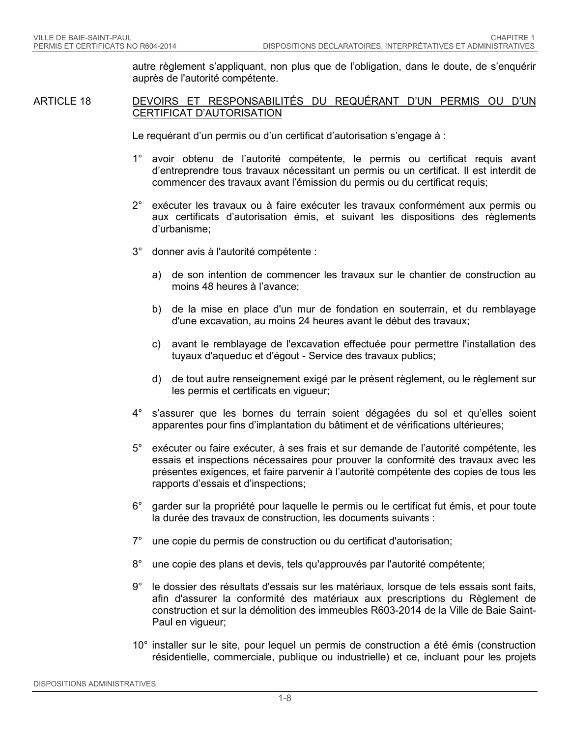autre règlement s'appliquant, non plus que de l'obligation, dans le doute, de s'enquérir auprès de l'autorité compétente.

ARTICLE 18 DEVOIRS ET RESPONSABILITÉS DU REQUÉRANT D'UN PERMIS OU D'UN CERTIFICAT D'AUTORISATION

Le requérant d'un permis ou d'un certificat d'autorisation s'engage à :

- 1° avoir obtenu de l'autorité compétente, le permis ou certificat requis avant d'entreprendre tous travaux nécessitant un permis ou un certificat. Il est interdit de commencer des travaux avant l'émission du permis ou du certificat requis;
- 2° exécuter les travaux ou à faire exécuter les travaux conformément aux permis ou aux certificats d'autorisation émis, et suivant les dispositions des règlements d'urbanisme;
- 3° donner avis à l'autorité compétente :
	- a) de son intention de commencer les travaux sur le chantier de construction au moins 48 heures à l'avance;
	- b) de la mise en place d'un mur de fondation en souterrain, et du remblayage d'une excavation, au moins 24 heures avant le début des travaux;
	- c) avant le remblayage de l'excavation effectuée pour permettre l'installation des tuyaux d'aqueduc et d'égout - Service des travaux publics;
	- d) de tout autre renseignement exigé par le présent règlement, ou le règlement sur les permis et certificats en vigueur;
- 4° s'assurer que les bornes du terrain soient dégagées du sol et qu'elles soient apparentes pour fins d'implantation du bâtiment et de vérifications ultérieures;
- 5° exécuter ou faire exécuter, à ses frais et sur demande de l'autorité compétente, les essais et inspections nécessaires pour prouver la conformité des travaux avec les présentes exigences, et faire parvenir à l'autorité compétente des copies de tous les rapports d'essais et d'inspections;
- 6° garder sur la propriété pour laquelle le permis ou le certificat fut émis, et pour toute la durée des travaux de construction, les documents suivants :
- 7° une copie du permis de construction ou du certificat d'autorisation;
- 8° une copie des plans et devis, tels qu'approuvés par l'autorité compétente;
- 9° le dossier des résultats d'essais sur les matériaux, lorsque de tels essais sont faits, afin d'assurer la conformité des matériaux aux prescriptions du Règlement de construction et sur la démolition des immeubles R603-2014 de la Ville de Baie Saint-Paul en vigueur;
- 10° installer sur le site, pour lequel un permis de construction a été émis (construction résidentielle, commerciale, publique ou industrielle) et ce, incluant pour les projets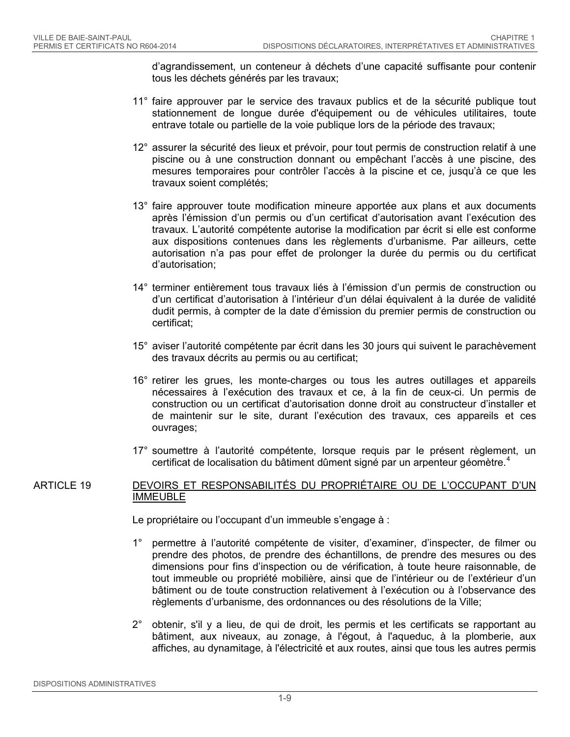d'agrandissement, un conteneur à déchets d'une capacité suffisante pour contenir tous les déchets générés par les travaux;

- 11° faire approuver par le service des travaux publics et de la sécurité publique tout stationnement de longue durée d'équipement ou de véhicules utilitaires, toute entrave totale ou partielle de la voie publique lors de la période des travaux;
- 12° assurer la sécurité des lieux et prévoir, pour tout permis de construction relatif à une piscine ou à une construction donnant ou empêchant l'accès à une piscine, des mesures temporaires pour contrôler l'accès à la piscine et ce, jusqu'à ce que les travaux soient complétés;
- 13° faire approuver toute modification mineure apportée aux plans et aux documents après l'émission d'un permis ou d'un certificat d'autorisation avant l'exécution des travaux. L'autorité compétente autorise la modification par écrit si elle est conforme aux dispositions contenues dans les règlements d'urbanisme. Par ailleurs, cette autorisation n'a pas pour effet de prolonger la durée du permis ou du certificat d'autorisation;
- 14° terminer entièrement tous travaux liés à l'émission d'un permis de construction ou d'un certificat d'autorisation à l'intérieur d'un délai équivalent à la durée de validité dudit permis, à compter de la date d'émission du premier permis de construction ou certificat;
- 15° aviser l'autorité compétente par écrit dans les 30 jours qui suivent le parachèvement des travaux décrits au permis ou au certificat;
- 16° retirer les grues, les monte-charges ou tous les autres outillages et appareils nécessaires à l'exécution des travaux et ce, à la fin de ceux-ci. Un permis de construction ou un certificat d'autorisation donne droit au constructeur d'installer et de maintenir sur le site, durant l'exécution des travaux, ces appareils et ces ouvrages;
- 17° soumettre à l'autorité compétente, lorsque requis par le présent règlement, un certificat de localisation du bâtiment dûment signé par un arpenteur géomètre.<sup>[4](#page-68-3)</sup>

### ARTICLE 19 DEVOIRS ET RESPONSABILITÉS DU PROPRIÉTAIRE OU DE L'OCCUPANT D'UN IMMEUBLE

Le propriétaire ou l'occupant d'un immeuble s'engage à :

- 1° permettre à l'autorité compétente de visiter, d'examiner, d'inspecter, de filmer ou prendre des photos, de prendre des échantillons, de prendre des mesures ou des dimensions pour fins d'inspection ou de vérification, à toute heure raisonnable, de tout immeuble ou propriété mobilière, ainsi que de l'intérieur ou de l'extérieur d'un bâtiment ou de toute construction relativement à l'exécution ou à l'observance des règlements d'urbanisme, des ordonnances ou des résolutions de la Ville;
- 2° obtenir, s'il y a lieu, de qui de droit, les permis et les certificats se rapportant au bâtiment, aux niveaux, au zonage, à l'égout, à l'aqueduc, à la plomberie, aux affiches, au dynamitage, à l'électricité et aux routes, ainsi que tous les autres permis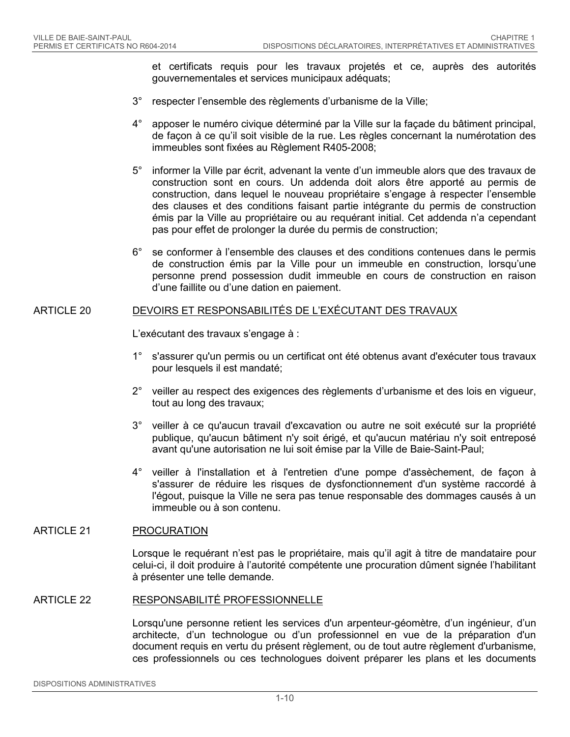et certificats requis pour les travaux projetés et ce, auprès des autorités gouvernementales et services municipaux adéquats;

- 3° respecter l'ensemble des règlements d'urbanisme de la Ville;
- 4° apposer le numéro civique déterminé par la Ville sur la façade du bâtiment principal, de façon à ce qu'il soit visible de la rue. Les règles concernant la numérotation des immeubles sont fixées au Règlement R405-2008;
- 5° informer la Ville par écrit, advenant la vente d'un immeuble alors que des travaux de construction sont en cours. Un addenda doit alors être apporté au permis de construction, dans lequel le nouveau propriétaire s'engage à respecter l'ensemble des clauses et des conditions faisant partie intégrante du permis de construction émis par la Ville au propriétaire ou au requérant initial. Cet addenda n'a cependant pas pour effet de prolonger la durée du permis de construction;
- 6° se conformer à l'ensemble des clauses et des conditions contenues dans le permis de construction émis par la Ville pour un immeuble en construction, lorsqu'une personne prend possession dudit immeuble en cours de construction en raison d'une faillite ou d'une dation en paiement.

### ARTICLE 20 DEVOIRS ET RESPONSABILITÉS DE L'EXÉCUTANT DES TRAVAUX

L'exécutant des travaux s'engage à :

- 1° s'assurer qu'un permis ou un certificat ont été obtenus avant d'exécuter tous travaux pour lesquels il est mandaté;
- 2° veiller au respect des exigences des règlements d'urbanisme et des lois en vigueur, tout au long des travaux;
- 3° veiller à ce qu'aucun travail d'excavation ou autre ne soit exécuté sur la propriété publique, qu'aucun bâtiment n'y soit érigé, et qu'aucun matériau n'y soit entreposé avant qu'une autorisation ne lui soit émise par la Ville de Baie-Saint-Paul;
- 4° veiller à l'installation et à l'entretien d'une pompe d'assèchement, de façon à s'assurer de réduire les risques de dysfonctionnement d'un système raccordé à l'égout, puisque la Ville ne sera pas tenue responsable des dommages causés à un immeuble ou à son contenu.

#### ARTICLE 21 PROCURATION

Lorsque le requérant n'est pas le propriétaire, mais qu'il agit à titre de mandataire pour celui-ci, il doit produire à l'autorité compétente une procuration dûment signée l'habilitant à présenter une telle demande.

#### ARTICLE 22 RESPONSABILITÉ PROFESSIONNELLE

Lorsqu'une personne retient les services d'un arpenteur-géomètre, d'un ingénieur, d'un architecte, d'un technologue ou d'un professionnel en vue de la préparation d'un document requis en vertu du présent règlement, ou de tout autre règlement d'urbanisme, ces professionnels ou ces technologues doivent préparer les plans et les documents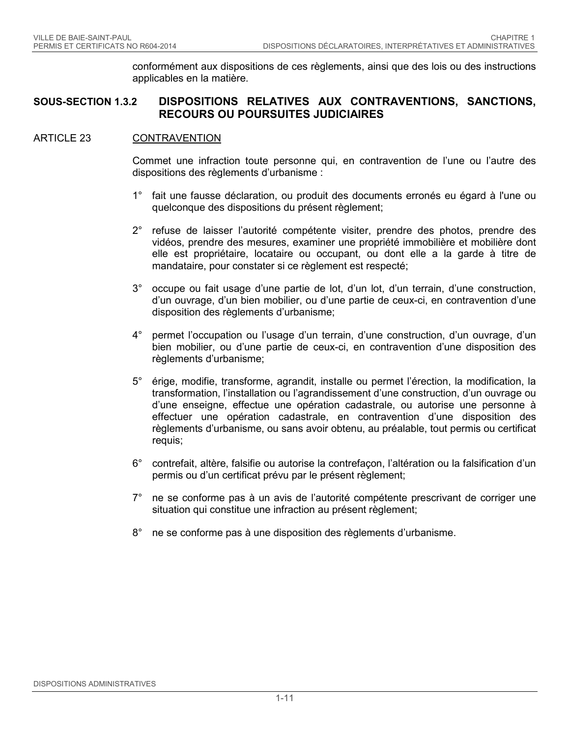conformément aux dispositions de ces règlements, ainsi que des lois ou des instructions applicables en la matière.

### **SOUS-SECTION 1.3.2 DISPOSITIONS RELATIVES AUX CONTRAVENTIONS, SANCTIONS, RECOURS OU POURSUITES JUDICIAIRES**

#### ARTICLE 23 CONTRAVENTION

Commet une infraction toute personne qui, en contravention de l'une ou l'autre des dispositions des règlements d'urbanisme :

- 1° fait une fausse déclaration, ou produit des documents erronés eu égard à l'une ou quelconque des dispositions du présent règlement;
- 2° refuse de laisser l'autorité compétente visiter, prendre des photos, prendre des vidéos, prendre des mesures, examiner une propriété immobilière et mobilière dont elle est propriétaire, locataire ou occupant, ou dont elle a la garde à titre de mandataire, pour constater si ce règlement est respecté;
- 3° occupe ou fait usage d'une partie de lot, d'un lot, d'un terrain, d'une construction, d'un ouvrage, d'un bien mobilier, ou d'une partie de ceux-ci, en contravention d'une disposition des règlements d'urbanisme;
- 4° permet l'occupation ou l'usage d'un terrain, d'une construction, d'un ouvrage, d'un bien mobilier, ou d'une partie de ceux-ci, en contravention d'une disposition des règlements d'urbanisme;
- 5° érige, modifie, transforme, agrandit, installe ou permet l'érection, la modification, la transformation, l'installation ou l'agrandissement d'une construction, d'un ouvrage ou d'une enseigne, effectue une opération cadastrale, ou autorise une personne à effectuer une opération cadastrale, en contravention d'une disposition des règlements d'urbanisme, ou sans avoir obtenu, au préalable, tout permis ou certificat requis;
- 6° contrefait, altère, falsifie ou autorise la contrefaçon, l'altération ou la falsification d'un permis ou d'un certificat prévu par le présent règlement;
- 7° ne se conforme pas à un avis de l'autorité compétente prescrivant de corriger une situation qui constitue une infraction au présent règlement;
- <span id="page-17-0"></span>8° ne se conforme pas à une disposition des règlements d'urbanisme.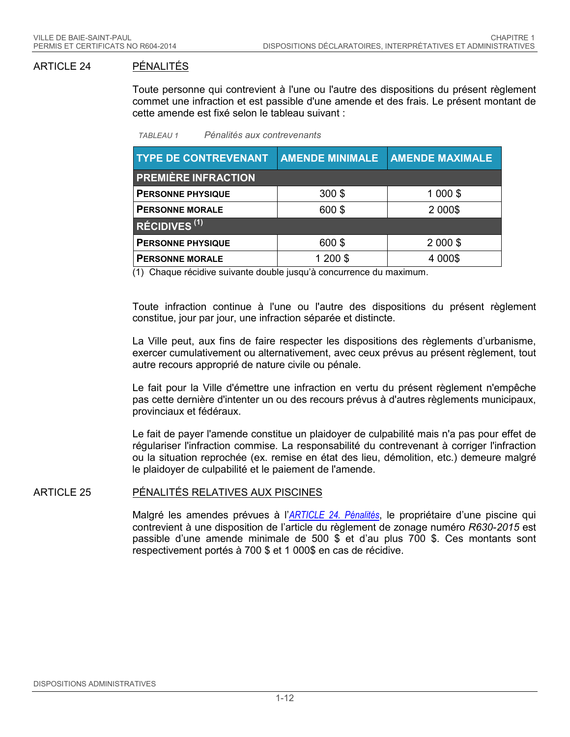### ARTICLE 24 PÉNALITÉS

Toute personne qui contrevient à l'une ou l'autre des dispositions du présent règlement commet une infraction et est passible d'une amende et des frais. Le présent montant de cette amende est fixé selon le tableau suivant :

|  | <b>TABLEAU 1</b> |  | Pénalités aux contrevenants |
|--|------------------|--|-----------------------------|
|--|------------------|--|-----------------------------|

| <b>TYPE DE CONTREVENANT</b> | <b>AMENDE MINIMALE</b> | <b>AMENDE MAXIMALE</b> |  |  |
|-----------------------------|------------------------|------------------------|--|--|
| <b>PREMIÈRE INFRACTION</b>  |                        |                        |  |  |
| <b>PERSONNE PHYSIQUE</b>    | $300$ \$               | 1 000 \$               |  |  |
| <b>PERSONNE MORALE</b>      | 600\$                  | 2 0 0 0 \$             |  |  |
| RÉCIDIVES <sup>(1)</sup>    |                        |                        |  |  |
| <b>PERSONNE PHYSIQUE</b>    | 600\$                  | 2 000 \$               |  |  |
| <b>PERSONNE MORALE</b>      | 1 200 \$               | 4 000\$                |  |  |

(1) Chaque récidive suivante double jusqu'à concurrence du maximum.

Toute infraction continue à l'une ou l'autre des dispositions du présent règlement constitue, jour par jour, une infraction séparée et distincte.

La Ville peut, aux fins de faire respecter les dispositions des règlements d'urbanisme, exercer cumulativement ou alternativement, avec ceux prévus au présent règlement, tout autre recours approprié de nature civile ou pénale.

Le fait pour la Ville d'émettre une infraction en vertu du présent règlement n'empêche pas cette dernière d'intenter un ou des recours prévus à d'autres règlements municipaux, provinciaux et fédéraux.

Le fait de payer l'amende constitue un plaidoyer de culpabilité mais n'a pas pour effet de régulariser l'infraction commise. La responsabilité du contrevenant à corriger l'infraction ou la situation reprochée (ex. remise en état des lieu, démolition, etc.) demeure malgré le plaidoyer de culpabilité et le paiement de l'amende.

#### ARTICLE 25 PÉNALITÉS RELATIVES AUX PISCINES

Malgré les amendes prévues à l'*[ARTICLE 24. Pénalités](#page-17-0)*, le propriétaire d'une piscine qui contrevient à une disposition de l'article du règlement de zonage numéro *R630-2015* est passible d'une amende minimale de 500 \$ et d'au plus 700 \$. Ces montants sont respectivement portés à 700 \$ et 1 000\$ en cas de récidive.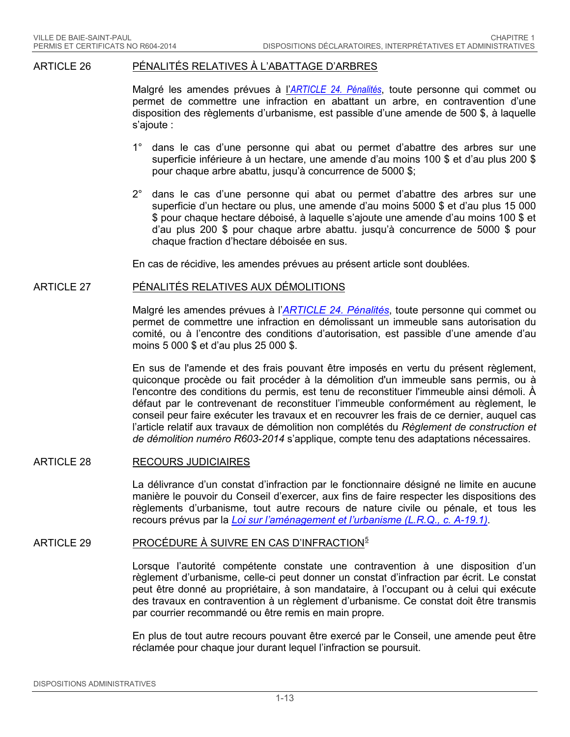#### ARTICLE 26 PÉNALITÉS RELATIVES À L'ABATTAGE D'ARBRES

Malgré les amendes prévues à l'*[ARTICLE 24. Pénalités](#page-17-0)*, toute personne qui commet ou permet de commettre une infraction en abattant un arbre, en contravention d'une disposition des règlements d'urbanisme, est passible d'une amende de 500 \$, à laquelle s'ajoute :

- 1° dans le cas d'une personne qui abat ou permet d'abattre des arbres sur une superficie inférieure à un hectare, une amende d'au moins 100 \$ et d'au plus 200 \$ pour chaque arbre abattu, jusqu'à concurrence de 5000 \$;
- 2° dans le cas d'une personne qui abat ou permet d'abattre des arbres sur une superficie d'un hectare ou plus, une amende d'au moins 5000 \$ et d'au plus 15 000 \$ pour chaque hectare déboisé, à laquelle s'ajoute une amende d'au moins 100 \$ et d'au plus 200 \$ pour chaque arbre abattu. jusqu'à concurrence de 5000 \$ pour chaque fraction d'hectare déboisée en sus.

En cas de récidive, les amendes prévues au présent article sont doublées.

#### ARTICLE 27 PÉNALITÉS RELATIVES AUX DÉMOLITIONS

Malgré les amendes prévues à l'*[ARTICLE 24. Pénalités](#page-17-0)*, toute personne qui commet ou permet de commettre une infraction en démolissant un immeuble sans autorisation du comité, ou à l'encontre des conditions d'autorisation, est passible d'une amende d'au moins 5 000 \$ et d'au plus 25 000 \$.

En sus de l'amende et des frais pouvant être imposés en vertu du présent règlement, quiconque procède ou fait procéder à la démolition d'un immeuble sans permis, ou à l'encontre des conditions du permis, est tenu de reconstituer l'immeuble ainsi démoli. À défaut par le contrevenant de reconstituer l'immeuble conformément au règlement, le conseil peur faire exécuter les travaux et en recouvrer les frais de ce dernier, auquel cas l'article relatif aux travaux de démolition non complétés du *Règlement de construction et de démolition numéro R603-2014* s'applique, compte tenu des adaptations nécessaires.

#### ARTICLE 28 RECOURS JUDICIAIRES

La délivrance d'un constat d'infraction par le fonctionnaire désigné ne limite en aucune manière le pouvoir du Conseil d'exercer, aux fins de faire respecter les dispositions des règlements d'urbanisme, tout autre recours de nature civile ou pénale, et tous les recours prévus par la *[Loi sur l'aménagement et l'urbanisme \(L.R.Q., c. A-19.1\)](http://www2.publicationsduquebec.gouv.qc.ca/dynamicSearch/telecharge.php?type=2&file=/A_19_1/A19_1.html)*.

#### ARTICLE 29 PROCÉDURE À SUIVRE EN CAS D'INFRACTION<sup>[5](#page-68-4)</sup>

Lorsque l'autorité compétente constate une contravention à une disposition d'un règlement d'urbanisme, celle-ci peut donner un constat d'infraction par écrit. Le constat peut être donné au propriétaire, à son mandataire, à l'occupant ou à celui qui exécute des travaux en contravention à un règlement d'urbanisme. Ce constat doit être transmis par courrier recommandé ou être remis en main propre.

En plus de tout autre recours pouvant être exercé par le Conseil, une amende peut être réclamée pour chaque jour durant lequel l'infraction se poursuit.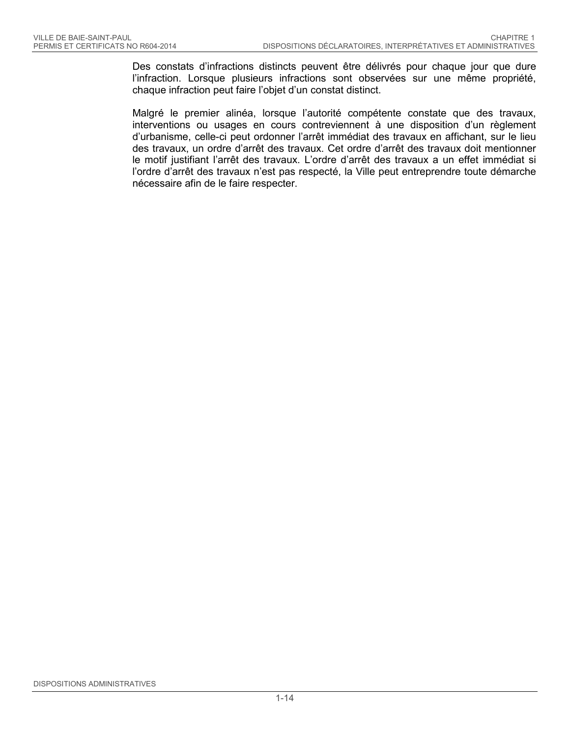Des constats d'infractions distincts peuvent être délivrés pour chaque jour que dure l'infraction. Lorsque plusieurs infractions sont observées sur une même propriété, chaque infraction peut faire l'objet d'un constat distinct.

Malgré le premier alinéa, lorsque l'autorité compétente constate que des travaux, interventions ou usages en cours contreviennent à une disposition d'un règlement d'urbanisme, celle-ci peut ordonner l'arrêt immédiat des travaux en affichant, sur le lieu des travaux, un ordre d'arrêt des travaux. Cet ordre d'arrêt des travaux doit mentionner le motif justifiant l'arrêt des travaux. L'ordre d'arrêt des travaux a un effet immédiat si l'ordre d'arrêt des travaux n'est pas respecté, la Ville peut entreprendre toute démarche nécessaire afin de le faire respecter.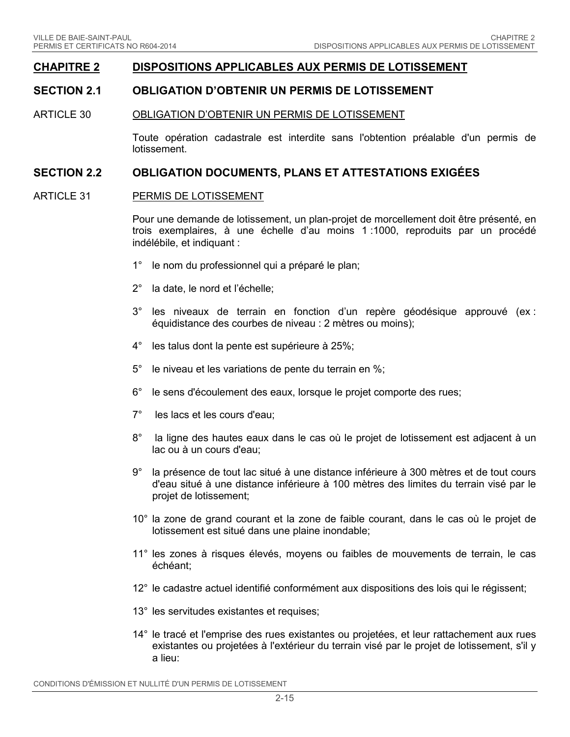### **CHAPITRE 2 DISPOSITIONS APPLICABLES AUX PERMIS DE LOTISSEMENT**

### **SECTION 2.1 OBLIGATION D'OBTENIR UN PERMIS DE LOTISSEMENT**

#### ARTICLE 30 OBLIGATION D'OBTENIR UN PERMIS DE LOTISSEMENT

Toute opération cadastrale est interdite sans l'obtention préalable d'un permis de lotissement.

#### **SECTION 2.2 OBLIGATION DOCUMENTS, PLANS ET ATTESTATIONS EXIGÉES**

#### ARTICLE 31 PERMIS DE LOTISSEMENT

Pour une demande de lotissement, un plan-projet de morcellement doit être présenté, en trois exemplaires, à une échelle d'au moins 1 :1000, reproduits par un procédé indélébile, et indiquant :

- 1° le nom du professionnel qui a préparé le plan;
- 2° la date, le nord et l'échelle;
- 3° les niveaux de terrain en fonction d'un repère géodésique approuvé (ex : équidistance des courbes de niveau : 2 mètres ou moins);
- 4° les talus dont la pente est supérieure à 25%;
- 5° le niveau et les variations de pente du terrain en %;
- 6° le sens d'écoulement des eaux, lorsque le projet comporte des rues;
- 7° les lacs et les cours d'eau;
- 8° la ligne des hautes eaux dans le cas où le projet de lotissement est adjacent à un lac ou à un cours d'eau;
- 9° la présence de tout lac situé à une distance inférieure à 300 mètres et de tout cours d'eau situé à une distance inférieure à 100 mètres des limites du terrain visé par le projet de lotissement;
- 10° la zone de grand courant et la zone de faible courant, dans le cas où le projet de lotissement est situé dans une plaine inondable;
- 11° les zones à risques élevés, moyens ou faibles de mouvements de terrain, le cas échéant;
- 12° le cadastre actuel identifié conformément aux dispositions des lois qui le régissent;
- 13° les servitudes existantes et requises;
- 14° le tracé et l'emprise des rues existantes ou projetées, et leur rattachement aux rues existantes ou projetées à l'extérieur du terrain visé par le projet de lotissement, s'il y a lieu: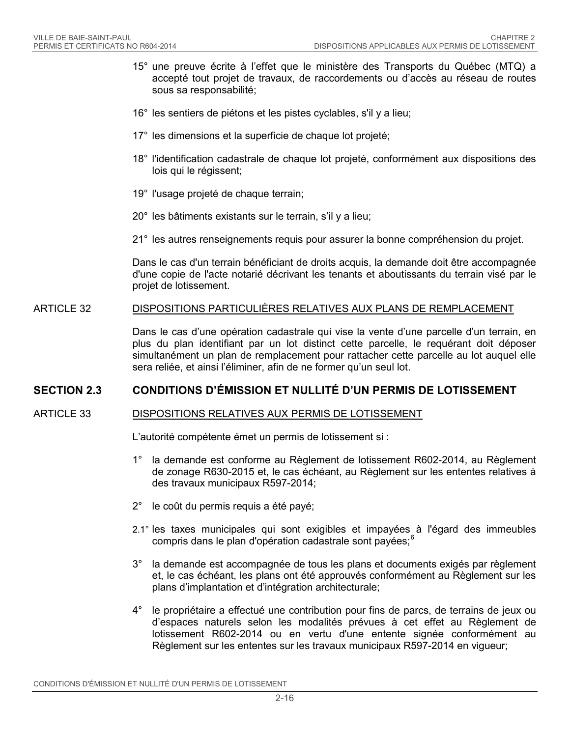- 15° une preuve écrite à l'effet que le ministère des Transports du Québec (MTQ) a accepté tout projet de travaux, de raccordements ou d'accès au réseau de routes sous sa responsabilité;
- 16° les sentiers de piétons et les pistes cyclables, s'il y a lieu;
- 17° les dimensions et la superficie de chaque lot projeté;
- 18° l'identification cadastrale de chaque lot projeté, conformément aux dispositions des lois qui le régissent;
- 19° l'usage projeté de chaque terrain;
- 20° les bâtiments existants sur le terrain, s'il y a lieu;
- 21° les autres renseignements requis pour assurer la bonne compréhension du projet.

Dans le cas d'un terrain bénéficiant de droits acquis, la demande doit être accompagnée d'une copie de l'acte notarié décrivant les tenants et aboutissants du terrain visé par le projet de lotissement.

#### ARTICLE 32 DISPOSITIONS PARTICULIÈRES RELATIVES AUX PLANS DE REMPLACEMENT

Dans le cas d'une opération cadastrale qui vise la vente d'une parcelle d'un terrain, en plus du plan identifiant par un lot distinct cette parcelle, le requérant doit déposer simultanément un plan de remplacement pour rattacher cette parcelle au lot auquel elle sera reliée, et ainsi l'éliminer, afin de ne former qu'un seul lot.

### **SECTION 2.3 CONDITIONS D'ÉMISSION ET NULLITÉ D'UN PERMIS DE LOTISSEMENT**

#### ARTICLE 33 DISPOSITIONS RELATIVES AUX PERMIS DE LOTISSEMENT

L'autorité compétente émet un permis de lotissement si :

- 1° la demande est conforme au Règlement de lotissement R602-2014, au Règlement de zonage R630-2015 et, le cas échéant, au Règlement sur les ententes relatives à des travaux municipaux R597-2014;
- 2° le coût du permis requis a été payé;
- 2.1° les taxes municipales qui sont exigibles et impayées à l'égard des immeubles compris dans le plan d'opération cadastrale sont payées;<sup>[6](#page-68-5)</sup>
- 3° la demande est accompagnée de tous les plans et documents exigés par règlement et, le cas échéant, les plans ont été approuvés conformément au Règlement sur les plans d'implantation et d'intégration architecturale;
- 4° le propriétaire a effectué une contribution pour fins de parcs, de terrains de jeux ou d'espaces naturels selon les modalités prévues à cet effet au Règlement de lotissement R602-2014 ou en vertu d'une entente signée conformément au Règlement sur les ententes sur les travaux municipaux R597-2014 en vigueur;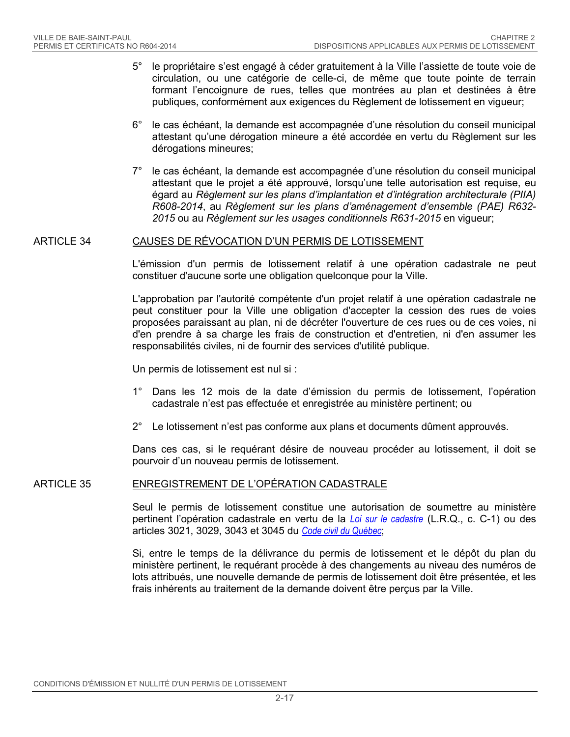- 5° le propriétaire s'est engagé à céder gratuitement à la Ville l'assiette de toute voie de circulation, ou une catégorie de celle-ci, de même que toute pointe de terrain formant l'encoignure de rues, telles que montrées au plan et destinées à être publiques, conformément aux exigences du Règlement de lotissement en vigueur;
- 6° le cas échéant, la demande est accompagnée d'une résolution du conseil municipal attestant qu'une dérogation mineure a été accordée en vertu du Règlement sur les dérogations mineures;
- 7° le cas échéant, la demande est accompagnée d'une résolution du conseil municipal attestant que le projet a été approuvé, lorsqu'une telle autorisation est requise, eu égard au *Règlement sur les plans d'implantation et d'intégration architecturale (PIIA) R608-2014*, au *Règlement sur les plans d'aménagement d'ensemble (PAE) R632- 2015* ou au *Règlement sur les usages conditionnels R631-2015* en vigueur;

#### ARTICLE 34 CAUSES DE RÉVOCATION D'UN PERMIS DE LOTISSEMENT

L'émission d'un permis de lotissement relatif à une opération cadastrale ne peut constituer d'aucune sorte une obligation quelconque pour la Ville.

L'approbation par l'autorité compétente d'un projet relatif à une opération cadastrale ne peut constituer pour la Ville une obligation d'accepter la cession des rues de voies proposées paraissant au plan, ni de décréter l'ouverture de ces rues ou de ces voies, ni d'en prendre à sa charge les frais de construction et d'entretien, ni d'en assumer les responsabilités civiles, ni de fournir des services d'utilité publique.

Un permis de lotissement est nul si :

- 1° Dans les 12 mois de la date d'émission du permis de lotissement, l'opération cadastrale n'est pas effectuée et enregistrée au ministère pertinent; ou
- 2° Le lotissement n'est pas conforme aux plans et documents dûment approuvés.

Dans ces cas, si le requérant désire de nouveau procéder au lotissement, il doit se pourvoir d'un nouveau permis de lotissement.

#### ARTICLE 35 ENREGISTREMENT DE L'OPÉRATION CADASTRALE

Seul le permis de lotissement constitue une autorisation de soumettre au ministère pertinent l'opération cadastrale en vertu de la *[Loi sur le cadastre](http://www2.publicationsduquebec.gouv.qc.ca/dynamicSearch/telecharge.php?type=2&file=/C_1/C1.html)* (L.R.Q., c. C-1) ou des articles 3021, 3029, 3043 et 3045 du *[Code civil du Québec](http://www2.publicationsduquebec.gouv.qc.ca/dynamicSearch/telecharge.php?type=2&file=/CCQ_1991/CCQ1991.html)*;

Si, entre le temps de la délivrance du permis de lotissement et le dépôt du plan du ministère pertinent, le requérant procède à des changements au niveau des numéros de lots attribués, une nouvelle demande de permis de lotissement doit être présentée, et les frais inhérents au traitement de la demande doivent être perçus par la Ville.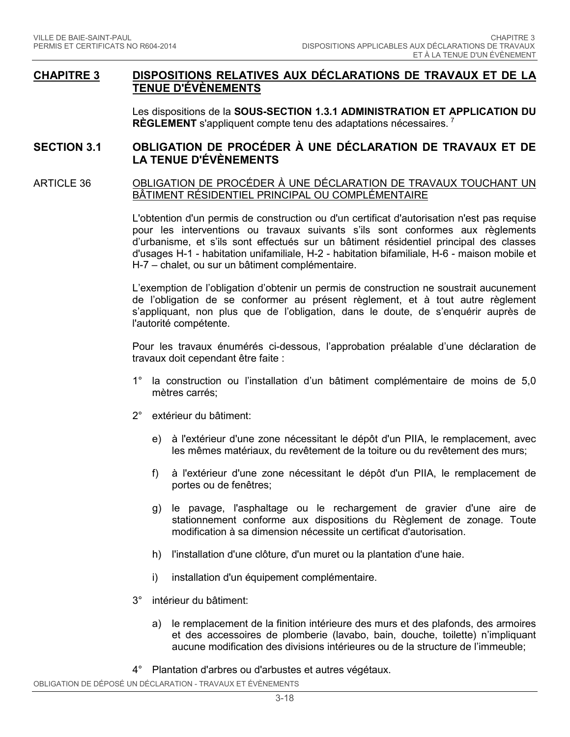### **CHAPITRE 3 DISPOSITIONS RELATIVES AUX DÉCLARATIONS DE TRAVAUX ET DE LA TENUE D'ÉVÈNEMENTS**

Les dispositions de la **SOUS-SECTION 1.3.1 ADMINISTRATION ET APPLICATION DU RÈGLEMENT** s'appliquent compte tenu des adaptations nécessaires. [7](#page-68-6)

### **SECTION 3.1 OBLIGATION DE PROCÉDER À UNE DÉCLARATION DE TRAVAUX ET DE LA TENUE D'ÉVÈNEMENTS**

#### ARTICLE 36 OBLIGATION DE PROCÉDER À UNE DÉCLARATION DE TRAVAUX TOUCHANT UN BÂTIMENT RÉSIDENTIEL PRINCIPAL OU COMPLÉMENTAIRE

L'obtention d'un permis de construction ou d'un certificat d'autorisation n'est pas requise pour les interventions ou travaux suivants s'ils sont conformes aux règlements d'urbanisme, et s'ils sont effectués sur un bâtiment résidentiel principal des classes d'usages H-1 - habitation unifamiliale, H-2 - habitation bifamiliale, H-6 - maison mobile et H-7 – chalet, ou sur un bâtiment complémentaire.

L'exemption de l'obligation d'obtenir un permis de construction ne soustrait aucunement de l'obligation de se conformer au présent règlement, et à tout autre règlement s'appliquant, non plus que de l'obligation, dans le doute, de s'enquérir auprès de l'autorité compétente.

Pour les travaux énumérés ci-dessous, l'approbation préalable d'une déclaration de travaux doit cependant être faite :

- 1° la construction ou l'installation d'un bâtiment complémentaire de moins de 5,0 mètres carrés;
- 2° extérieur du bâtiment:
	- e) à l'extérieur d'une zone nécessitant le dépôt d'un PIIA, le remplacement, avec les mêmes matériaux, du revêtement de la toiture ou du revêtement des murs;
	- f) à l'extérieur d'une zone nécessitant le dépôt d'un PIIA, le remplacement de portes ou de fenêtres;
	- g) le pavage, l'asphaltage ou le rechargement de gravier d'une aire de stationnement conforme aux dispositions du Règlement de zonage. Toute modification à sa dimension nécessite un certificat d'autorisation.
	- h) l'installation d'une clôture, d'un muret ou la plantation d'une haie.
	- i) installation d'un équipement complémentaire.
- 3° intérieur du bâtiment:
	- a) le remplacement de la finition intérieure des murs et des plafonds, des armoires et des accessoires de plomberie (lavabo, bain, douche, toilette) n'impliquant aucune modification des divisions intérieures ou de la structure de l'immeuble;
- 4° Plantation d'arbres ou d'arbustes et autres végétaux.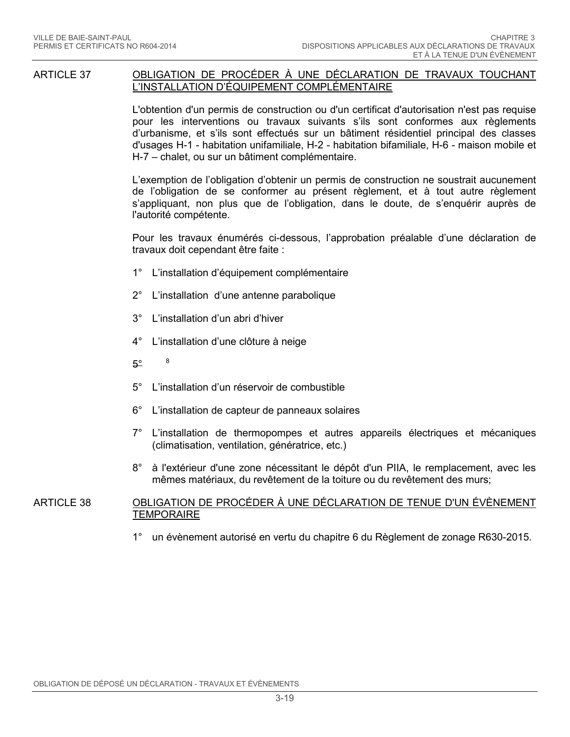#### ARTICLE 37 OBLIGATION DE PROCÉDER À UNE DÉCLARATION DE TRAVAUX TOUCHANT L'INSTALLATION D'ÉQUIPEMENT COMPLÉMENTAIRE

L'obtention d'un permis de construction ou d'un certificat d'autorisation n'est pas requise pour les interventions ou travaux suivants s'ils sont conformes aux règlements d'urbanisme, et s'ils sont effectués sur un bâtiment résidentiel principal des classes d'usages H-1 - habitation unifamiliale, H-2 - habitation bifamiliale, H-6 - maison mobile et H-7 – chalet, ou sur un bâtiment complémentaire.

L'exemption de l'obligation d'obtenir un permis de construction ne soustrait aucunement de l'obligation de se conformer au présent règlement, et à tout autre règlement s'appliquant, non plus que de l'obligation, dans le doute, de s'enquérir auprès de l'autorité compétente.

Pour les travaux énumérés ci-dessous, l'approbation préalable d'une déclaration de travaux doit cependant être faite :

- 1° L'installation d'équipement complémentaire
- 2° L'installation d'une antenne parabolique
- 3° L'installation d'un abri d'hiver
- 4° L'installation d'une clôture à neige
- $5^\circ$  [8](#page-68-7)
- 5° L'installation d'un réservoir de combustible
- 6° L'installation de capteur de panneaux solaires
- 7° L'installation de thermopompes et autres appareils électriques et mécaniques (climatisation, ventilation, génératrice, etc.)
- 8° à l'extérieur d'une zone nécessitant le dépôt d'un PIIA, le remplacement, avec les mêmes matériaux, du revêtement de la toiture ou du revêtement des murs;

#### ARTICLE 38 OBLIGATION DE PROCÉDER À UNE DÉCLARATION DE TENUE D'UN ÉVÈNEMENT **TEMPORAIRE**

1° un évènement autorisé en vertu du chapitre 6 du Règlement de zonage R630-2015.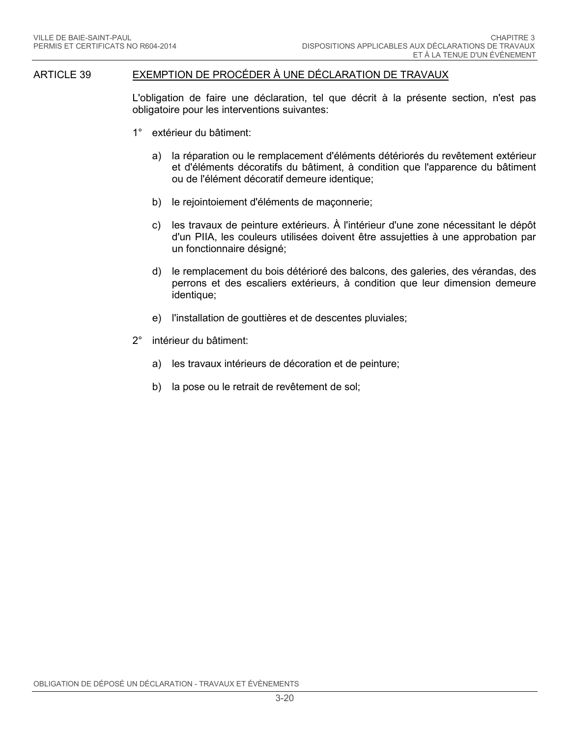#### ARTICLE 39 EXEMPTION DE PROCÉDER À UNE DÉCLARATION DE TRAVAUX

L'obligation de faire une déclaration, tel que décrit à la présente section, n'est pas obligatoire pour les interventions suivantes:

- 1° extérieur du bâtiment:
	- a) la réparation ou le remplacement d'éléments détériorés du revêtement extérieur et d'éléments décoratifs du bâtiment, à condition que l'apparence du bâtiment ou de l'élément décoratif demeure identique;
	- b) le rejointoiement d'éléments de maçonnerie;
	- c) les travaux de peinture extérieurs. À l'intérieur d'une zone nécessitant le dépôt d'un PIIA, les couleurs utilisées doivent être assujetties à une approbation par un fonctionnaire désigné;
	- d) le remplacement du bois détérioré des balcons, des galeries, des vérandas, des perrons et des escaliers extérieurs, à condition que leur dimension demeure identique;
	- e) l'installation de gouttières et de descentes pluviales;
- 2° intérieur du bâtiment:
	- a) les travaux intérieurs de décoration et de peinture;
	- b) la pose ou le retrait de revêtement de sol;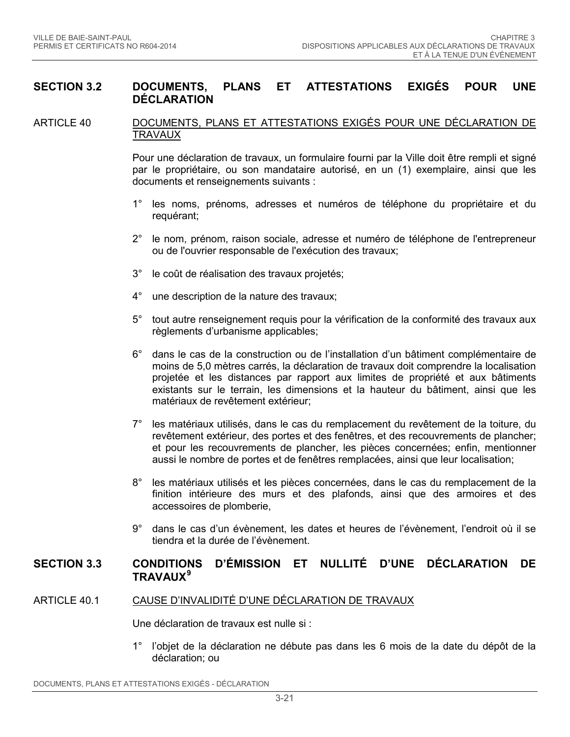### **SECTION 3.2 DOCUMENTS, PLANS ET ATTESTATIONS EXIGÉS POUR UNE DÉCLARATION**

#### <span id="page-27-0"></span>ARTICLE 40 DOCUMENTS, PLANS ET ATTESTATIONS EXIGÉS POUR UNE DÉCLARATION DE TRAVAUX

Pour une déclaration de travaux, un formulaire fourni par la Ville doit être rempli et signé par le propriétaire, ou son mandataire autorisé, en un (1) exemplaire, ainsi que les documents et renseignements suivants :

- 1° les noms, prénoms, adresses et numéros de téléphone du propriétaire et du requérant;
- 2° le nom, prénom, raison sociale, adresse et numéro de téléphone de l'entrepreneur ou de l'ouvrier responsable de l'exécution des travaux;
- 3° le coût de réalisation des travaux projetés;
- 4° une description de la nature des travaux;
- 5° tout autre renseignement requis pour la vérification de la conformité des travaux aux règlements d'urbanisme applicables;
- 6° dans le cas de la construction ou de l'installation d'un bâtiment complémentaire de moins de 5,0 mètres carrés, la déclaration de travaux doit comprendre la localisation projetée et les distances par rapport aux limites de propriété et aux bâtiments existants sur le terrain, les dimensions et la hauteur du bâtiment, ainsi que les matériaux de revêtement extérieur;
- 7° les matériaux utilisés, dans le cas du remplacement du revêtement de la toiture, du revêtement extérieur, des portes et des fenêtres, et des recouvrements de plancher; et pour les recouvrements de plancher, les pièces concernées; enfin, mentionner aussi le nombre de portes et de fenêtres remplacées, ainsi que leur localisation;
- 8° les matériaux utilisés et les pièces concernées, dans le cas du remplacement de la finition intérieure des murs et des plafonds, ainsi que des armoires et des accessoires de plomberie,
- 9° dans le cas d'un évènement, les dates et heures de l'évènement, l'endroit où il se tiendra et la durée de l'évènement.

### **SECTION 3.3 CONDITIONS D'ÉMISSION ET NULLITÉ D'UNE DÉCLARATION DE TRAVAUX[9](#page-68-8)**

### ARTICLE 40.1 CAUSE D'INVALIDITÉ D'UNE DÉCLARATION DE TRAVAUX

Une déclaration de travaux est nulle si :

1° l'objet de la déclaration ne débute pas dans les 6 mois de la date du dépôt de la déclaration; ou

DOCUMENTS, PLANS ET ATTESTATIONS EXIGÉS - DÉCLARATION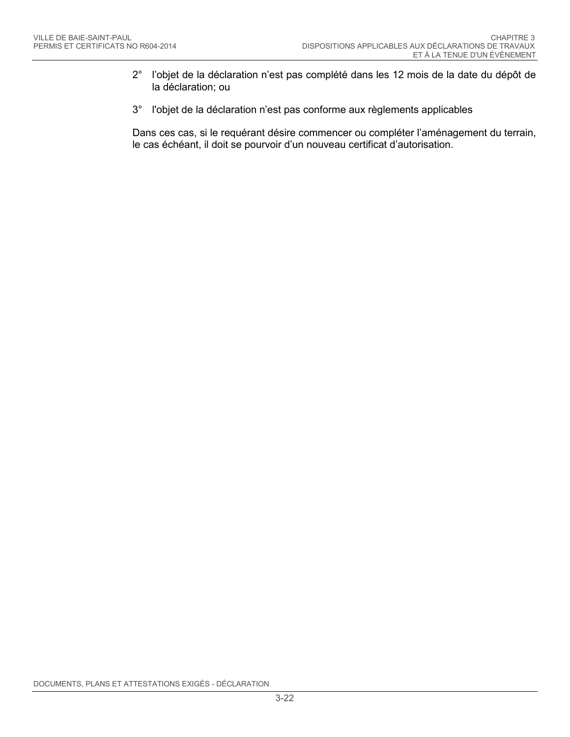- 2° l'objet de la déclaration n'est pas complété dans les 12 mois de la date du dépôt de la déclaration; ou
- 3° l'objet de la déclaration n'est pas conforme aux règlements applicables

Dans ces cas, si le requérant désire commencer ou compléter l'aménagement du terrain, le cas échéant, il doit se pourvoir d'un nouveau certificat d'autorisation.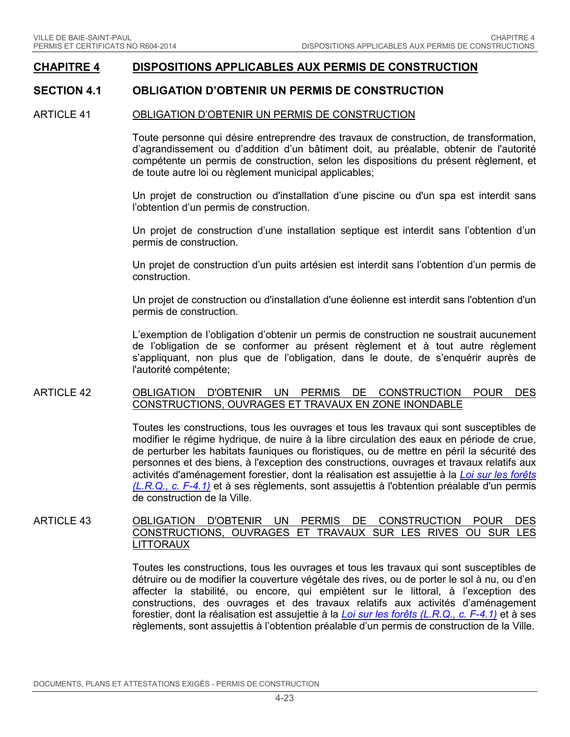### **CHAPITRE 4 DISPOSITIONS APPLICABLES AUX PERMIS DE CONSTRUCTION**

### **SECTION 4.1 OBLIGATION D'OBTENIR UN PERMIS DE CONSTRUCTION**

#### ARTICLE 41 OBLIGATION D'OBTENIR UN PERMIS DE CONSTRUCTION

Toute personne qui désire entreprendre des travaux de construction, de transformation, d'agrandissement ou d'addition d'un bâtiment doit, au préalable, obtenir de l'autorité compétente un permis de construction, selon les dispositions du présent règlement, et de toute autre loi ou règlement municipal applicables;

Un projet de construction ou d'installation d'une piscine ou d'un spa est interdit sans l'obtention d'un permis de construction.

Un projet de construction d'une installation septique est interdit sans l'obtention d'un permis de construction.

Un projet de construction d'un puits artésien est interdit sans l'obtention d'un permis de construction.

Un projet de construction ou d'installation d'une éolienne est interdit sans l'obtention d'un permis de construction.

L'exemption de l'obligation d'obtenir un permis de construction ne soustrait aucunement de l'obligation de se conformer au présent règlement et à tout autre règlement s'appliquant, non plus que de l'obligation, dans le doute, de s'enquérir auprès de l'autorité compétente;

#### ARTICLE 42 OBLIGATION D'OBTENIR UN PERMIS DE CONSTRUCTION POUR DES CONSTRUCTIONS, OUVRAGES ET TRAVAUX EN ZONE INONDABLE

Toutes les constructions, tous les ouvrages et tous les travaux qui sont susceptibles de modifier le régime hydrique, de nuire à la libre circulation des eaux en période de crue, de perturber les habitats fauniques ou floristiques, ou de mettre en péril la sécurité des personnes et des biens, à l'exception des constructions, ouvrages et travaux relatifs aux activités d'aménagement forestier, dont la réalisation est assujettie à la *[Loi sur les forêts](http://www2.publicationsduquebec.gouv.qc.ca/dynamicSearch/telecharge.php?type=2&file=/F_4_1/F4_1.html) (L.R.Q., [c. F-4.1\)](http://www2.publicationsduquebec.gouv.qc.ca/dynamicSearch/telecharge.php?type=2&file=/F_4_1/F4_1.html)* et à ses règlements, sont assujettis à l'obtention préalable d'un permis de construction de la Ville.

### ARTICLE 43 OBLIGATION D'OBTENIR UN PERMIS DE CONSTRUCTION POUR DES CONSTRUCTIONS, OUVRAGES ET TRAVAUX SUR LES RIVES OU SUR LES LITTORAUX

Toutes les constructions, tous les ouvrages et tous les travaux qui sont susceptibles de détruire ou de modifier la couverture végétale des rives, ou de porter le sol à nu, ou d'en affecter la stabilité, ou encore, qui empiètent sur le littoral, à l'exception des constructions, des ouvrages et des travaux relatifs aux activités d'aménagement forestier, dont la réalisation est assujettie à la *[Loi sur les forêts \(L.R.Q., c. F-4.1\)](http://www2.publicationsduquebec.gouv.qc.ca/dynamicSearch/telecharge.php?type=2&file=/F_4_1/F4_1.html)* et à ses règlements, sont assujettis à l'obtention préalable d'un permis de construction de la Ville.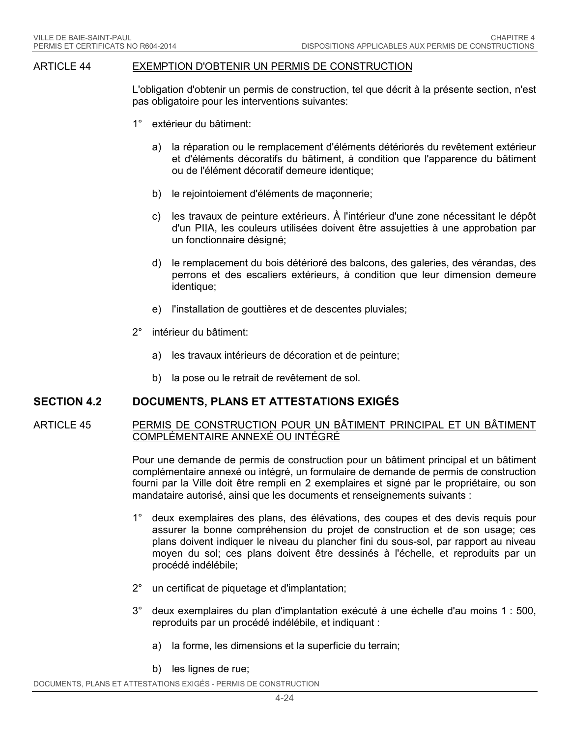#### ARTICLE 44 EXEMPTION D'OBTENIR UN PERMIS DE CONSTRUCTION

L'obligation d'obtenir un permis de construction, tel que décrit à la présente section, n'est pas obligatoire pour les interventions suivantes:

- 1° extérieur du bâtiment:
	- a) la réparation ou le remplacement d'éléments détériorés du revêtement extérieur et d'éléments décoratifs du bâtiment, à condition que l'apparence du bâtiment ou de l'élément décoratif demeure identique;
	- b) le rejointoiement d'éléments de maçonnerie;
	- c) les travaux de peinture extérieurs. À l'intérieur d'une zone nécessitant le dépôt d'un PIIA, les couleurs utilisées doivent être assujetties à une approbation par un fonctionnaire désigné;
	- d) le remplacement du bois détérioré des balcons, des galeries, des vérandas, des perrons et des escaliers extérieurs, à condition que leur dimension demeure identique;
	- e) l'installation de gouttières et de descentes pluviales;
- 2° intérieur du bâtiment:
	- a) les travaux intérieurs de décoration et de peinture;
	- b) la pose ou le retrait de revêtement de sol.

### **SECTION 4.2 DOCUMENTS, PLANS ET ATTESTATIONS EXIGÉS**

#### <span id="page-30-0"></span>ARTICLE 45 PERMIS DE CONSTRUCTION POUR UN BÂTIMENT PRINCIPAL ET UN BÂTIMENT COMPLÉMENTAIRE ANNEXÉ OU INTÉGRÉ

Pour une demande de permis de construction pour un bâtiment principal et un bâtiment complémentaire annexé ou intégré, un formulaire de demande de permis de construction fourni par la Ville doit être rempli en 2 exemplaires et signé par le propriétaire, ou son mandataire autorisé, ainsi que les documents et renseignements suivants :

- 1° deux exemplaires des plans, des élévations, des coupes et des devis requis pour assurer la bonne compréhension du projet de construction et de son usage; ces plans doivent indiquer le niveau du plancher fini du sous-sol, par rapport au niveau moyen du sol; ces plans doivent être dessinés à l'échelle, et reproduits par un procédé indélébile;
- 2° un certificat de piquetage et d'implantation;
- 3° deux exemplaires du plan d'implantation exécuté à une échelle d'au moins 1 : 500, reproduits par un procédé indélébile, et indiquant :
	- a) la forme, les dimensions et la superficie du terrain;
	- b) les lignes de rue;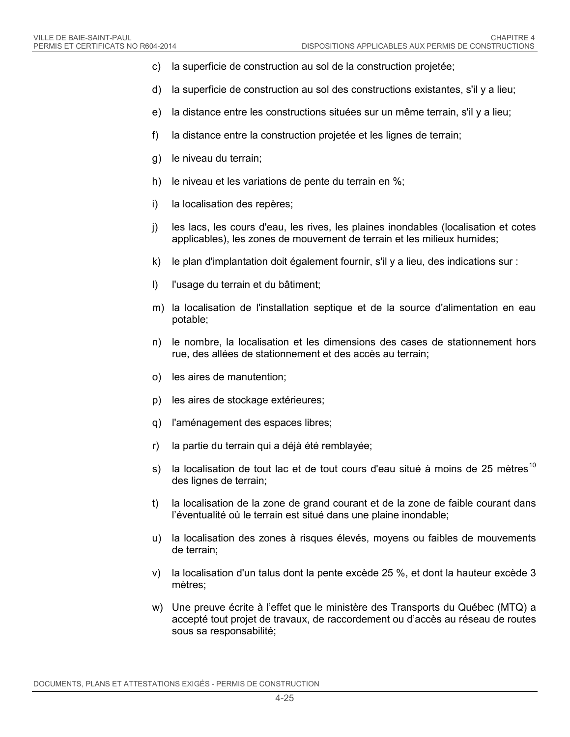- c) la superficie de construction au sol de la construction projetée;
- d) la superficie de construction au sol des constructions existantes, s'il y a lieu;
- e) la distance entre les constructions situées sur un même terrain, s'il y a lieu;
- f) la distance entre la construction projetée et les lignes de terrain;
- g) le niveau du terrain;
- h) le niveau et les variations de pente du terrain en %;
- i) la localisation des repères;
- j) les lacs, les cours d'eau, les rives, les plaines inondables (localisation et cotes applicables), les zones de mouvement de terrain et les milieux humides;
- k) le plan d'implantation doit également fournir, s'il y a lieu, des indications sur :
- l) l'usage du terrain et du bâtiment;
- m) la localisation de l'installation septique et de la source d'alimentation en eau potable;
- n) le nombre, la localisation et les dimensions des cases de stationnement hors rue, des allées de stationnement et des accès au terrain;
- o) les aires de manutention;
- p) les aires de stockage extérieures;
- q) l'aménagement des espaces libres;
- r) la partie du terrain qui a déjà été remblayée;
- s) la localisation de tout lac et de tout cours d'eau situé à moins de 25 mètres<sup>[10](#page-68-9)</sup> des lignes de terrain;
- t) la localisation de la zone de grand courant et de la zone de faible courant dans l'éventualité où le terrain est situé dans une plaine inondable;
- u) la localisation des zones à risques élevés, moyens ou faibles de mouvements de terrain;
- v) la localisation d'un talus dont la pente excède 25 %, et dont la hauteur excède 3 mètres;
- w) Une preuve écrite à l'effet que le ministère des Transports du Québec (MTQ) a accepté tout projet de travaux, de raccordement ou d'accès au réseau de routes sous sa responsabilité;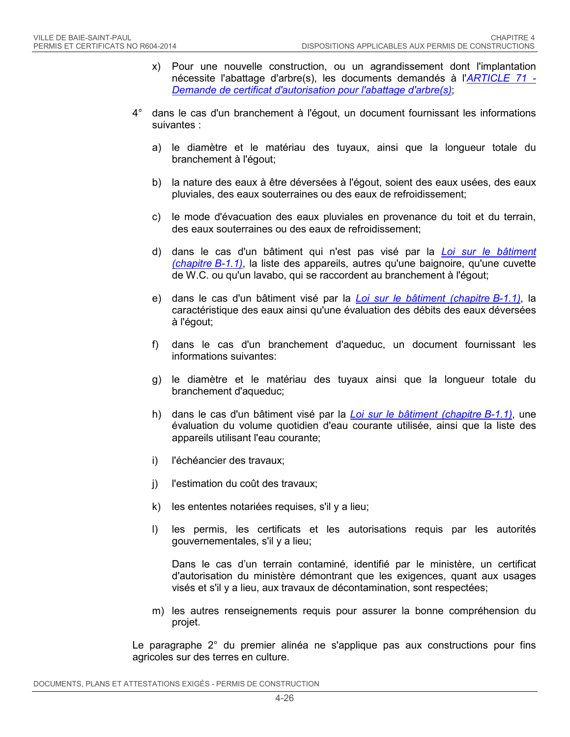- x) Pour une nouvelle construction, ou un agrandissement dont l'implantation nécessite l'abattage d'arbre(s), les documents demandés à l'*[ARTICLE 71 -](#page-50-0) [Demande de certificat d'autorisation pour l'abattage d'arbre\(s\)](#page-50-0)*;
- 4° dans le cas d'un branchement à l'égout, un document fournissant les informations suivantes :
	- a) le diamètre et le matériau des tuyaux, ainsi que la longueur totale du branchement à l'égout;
	- b) la nature des eaux à être déversées à l'égout, soient des eaux usées, des eaux pluviales, des eaux souterraines ou des eaux de refroidissement;
	- c) le mode d'évacuation des eaux pluviales en provenance du toit et du terrain, des eaux souterraines ou des eaux de refroidissement;
	- d) dans le cas d'un bâtiment qui n'est pas visé par la *[Loi sur le bâtiment](http://www2.publicationsduquebec.gouv.qc.ca/dynamicSearch/telecharge.php?type=2&file=/B_1_1/B1_1.html)  [\(chapitre](http://www2.publicationsduquebec.gouv.qc.ca/dynamicSearch/telecharge.php?type=2&file=/B_1_1/B1_1.html) B-1.1)*, la liste des appareils, autres qu'une baignoire, qu'une cuvette de W.C. ou qu'un lavabo, qui se raccordent au branchement à l'égout;
	- e) dans le cas d'un bâtiment visé par la *[Loi sur le bâtiment \(chapitre](http://www2.publicationsduquebec.gouv.qc.ca/dynamicSearch/telecharge.php?type=2&file=/B_1_1/B1_1.html) B-1.1)*, la caractéristique des eaux ainsi qu'une évaluation des débits des eaux déversées à l'égout;
	- f) dans le cas d'un branchement d'aqueduc, un document fournissant les informations suivantes:
	- g) le diamètre et le matériau des tuyaux ainsi que la longueur totale du branchement d'aqueduc;
	- h) dans le cas d'un bâtiment visé par la *[Loi sur le bâtiment \(chapitre](http://www2.publicationsduquebec.gouv.qc.ca/dynamicSearch/telecharge.php?type=2&file=/B_1_1/B1_1.html) B-1.1)*, une évaluation du volume quotidien d'eau courante utilisée, ainsi que la liste des appareils utilisant l'eau courante;
	- i) l'échéancier des travaux;
	- j) l'estimation du coût des travaux;
	- k) les ententes notariées requises, s'il y a lieu;
	- l) les permis, les certificats et les autorisations requis par les autorités gouvernementales, s'il y a lieu;

Dans le cas d'un terrain contaminé, identifié par le ministère, un certificat d'autorisation du ministère démontrant que les exigences, quant aux usages visés et s'il y a lieu, aux travaux de décontamination, sont respectées;

m) les autres renseignements requis pour assurer la bonne compréhension du projet.

Le paragraphe 2° du premier alinéa ne s'applique pas aux constructions pour fins agricoles sur des terres en culture.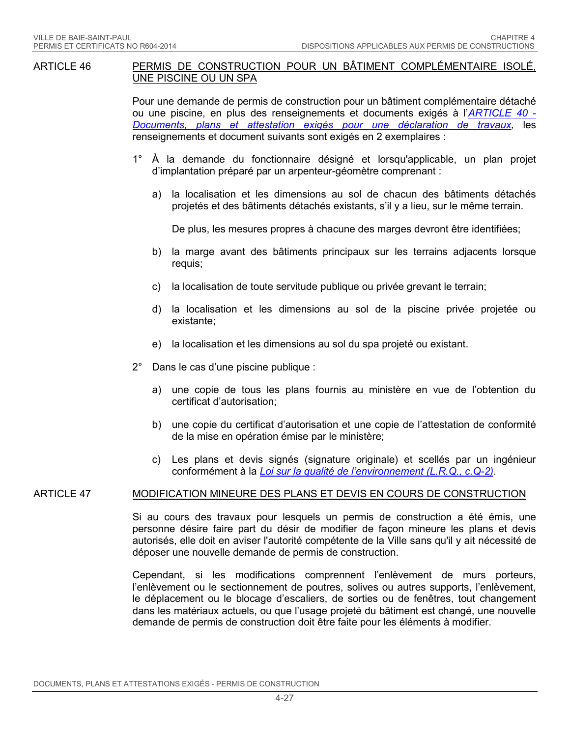#### <span id="page-33-0"></span>ARTICLE 46 PERMIS DE CONSTRUCTION POUR UN BÂTIMENT COMPLÉMENTAIRE ISOLÉ, UNE PISCINE OU UN SPA

Pour une demande de permis de construction pour un bâtiment complémentaire détaché ou une piscine, en plus des renseignements et documents exigés à l'*[ARTICLE 40](#page-27-0) - [Documents, plans et attestation exigés](#page-27-0) pour une déclaration de travaux,* les renseignements et document suivants sont exigés en 2 exemplaires :

- 1° À la demande du fonctionnaire désigné et lorsqu'applicable, un plan projet d'implantation préparé par un arpenteur-géomètre comprenant :
	- a) la localisation et les dimensions au sol de chacun des bâtiments détachés projetés et des bâtiments détachés existants, s'il y a lieu, sur le même terrain.

De plus, les mesures propres à chacune des marges devront être identifiées;

- b) la marge avant des bâtiments principaux sur les terrains adjacents lorsque requis;
- c) la localisation de toute servitude publique ou privée grevant le terrain;
- d) la localisation et les dimensions au sol de la piscine privée projetée ou existante;
- e) la localisation et les dimensions au sol du spa projeté ou existant.
- 2° Dans le cas d'une piscine publique :
	- a) une copie de tous les plans fournis au ministère en vue de l'obtention du certificat d'autorisation;
	- b) une copie du certificat d'autorisation et une copie de l'attestation de conformité de la mise en opération émise par le ministère;
	- c) Les plans et devis signés (signature originale) et scellés par un ingénieur conformément à la *Loi sur la qualité [de l'environnement \(L.R.Q., c.Q-2\)](http://www2.publicationsduquebec.gouv.qc.ca/dynamicSearch/telecharge.php?type=2&file=/Q_2/Q2.htm)*.

#### <span id="page-33-1"></span>ARTICLE 47 MODIFICATION MINEURE DES PLANS ET DEVIS EN COURS DE CONSTRUCTION

Si au cours des travaux pour lesquels un permis de construction a été émis, une personne désire faire part du désir de modifier de façon mineure les plans et devis autorisés, elle doit en aviser l'autorité compétente de la Ville sans qu'il y ait nécessité de déposer une nouvelle demande de permis de construction.

Cependant, si les modifications comprennent l'enlèvement de murs porteurs, l'enlèvement ou le sectionnement de poutres, solives ou autres supports, l'enlèvement, le déplacement ou le blocage d'escaliers, de sorties ou de fenêtres, tout changement dans les matériaux actuels, ou que l'usage projeté du bâtiment est changé, une nouvelle demande de permis de construction doit être faite pour les éléments à modifier.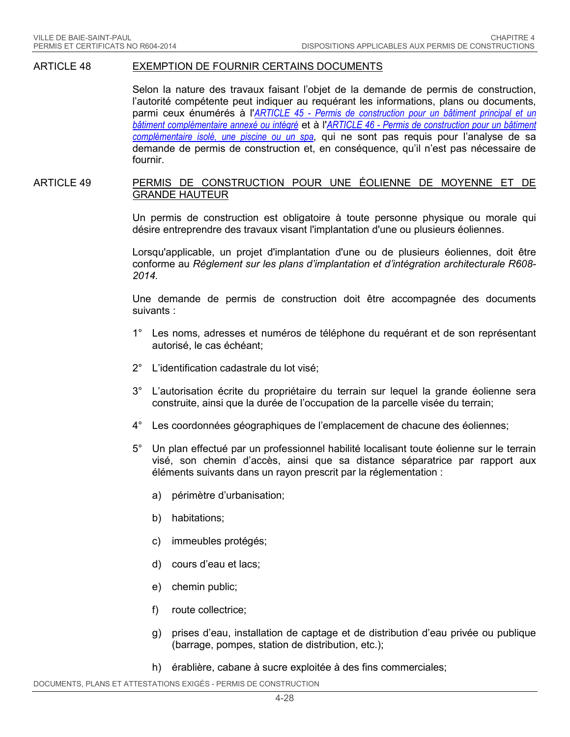#### ARTICLE 48 EXEMPTION DE FOURNIR CERTAINS DOCUMENTS

Selon la nature des travaux faisant l'objet de la demande de permis de construction, l'autorité compétente peut indiquer au requérant les informations, plans ou documents, parmi ceux énumérés à l'*ARTICLE 45 - [Permis de construction pour un bâtiment principal et un](#page-30-0)  [bâtiment complémentaire annexé ou intégré](#page-30-0)* et à l'*ARTICLE 46 - [Permis de construction pour un bâtiment](#page-33-0)  [complémentaire isolé, une piscine ou un spa](#page-33-0)*, qui ne sont pas requis pour l'analyse de sa demande de permis de construction et, en conséquence, qu'il n'est pas nécessaire de fournir.

#### ARTICLE 49 PERMIS DE CONSTRUCTION POUR UNE ÉOLIENNE DE MOYENNE ET DE GRANDE HAUTEUR

Un permis de construction est obligatoire à toute personne physique ou morale qui désire entreprendre des travaux visant l'implantation d'une ou plusieurs éoliennes.

Lorsqu'applicable, un projet d'implantation d'une ou de plusieurs éoliennes, doit être conforme au *Règlement sur les plans d'implantation et d'intégration architecturale R608- 2014.*

Une demande de permis de construction doit être accompagnée des documents suivants :

- 1° Les noms, adresses et numéros de téléphone du requérant et de son représentant autorisé, le cas échéant;
- 2° L'identification cadastrale du lot visé;
- 3° L'autorisation écrite du propriétaire du terrain sur lequel la grande éolienne sera construite, ainsi que la durée de l'occupation de la parcelle visée du terrain;
- 4° Les coordonnées géographiques de l'emplacement de chacune des éoliennes;
- 5° Un plan effectué par un professionnel habilité localisant toute éolienne sur le terrain visé, son chemin d'accès, ainsi que sa distance séparatrice par rapport aux éléments suivants dans un rayon prescrit par la réglementation :
	- a) périmètre d'urbanisation;
	- b) habitations;
	- c) immeubles protégés;
	- d) cours d'eau et lacs;
	- e) chemin public;
	- f) route collectrice;
	- g) prises d'eau, installation de captage et de distribution d'eau privée ou publique (barrage, pompes, station de distribution, etc.);
	- h) érablière, cabane à sucre exploitée à des fins commerciales;

DOCUMENTS, PLANS ET ATTESTATIONS EXIGÉS - PERMIS DE CONSTRUCTION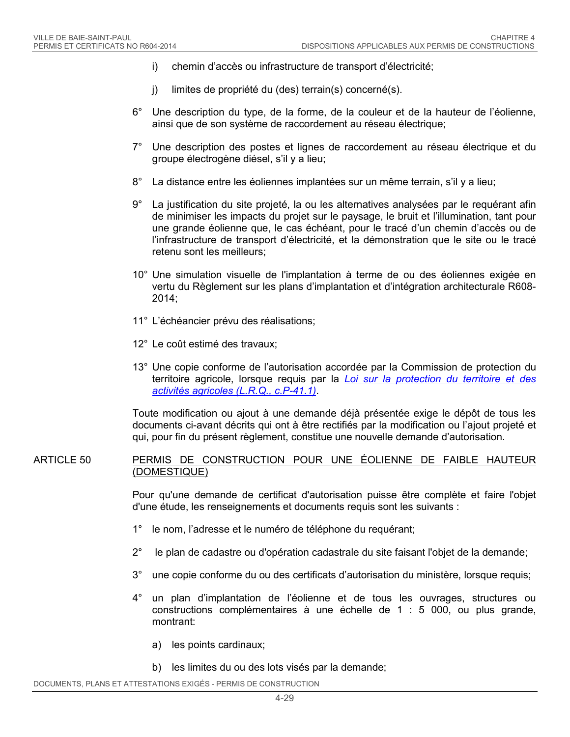- i) chemin d'accès ou infrastructure de transport d'électricité;
- j) limites de propriété du (des) terrain(s) concerné(s).
- 6° Une description du type, de la forme, de la couleur et de la hauteur de l'éolienne, ainsi que de son système de raccordement au réseau électrique;
- 7° Une description des postes et lignes de raccordement au réseau électrique et du groupe électrogène diésel, s'il y a lieu;
- 8° La distance entre les éoliennes implantées sur un même terrain, s'il y a lieu;
- 9° La justification du site projeté, la ou les alternatives analysées par le requérant afin de minimiser les impacts du projet sur le paysage, le bruit et l'illumination, tant pour une grande éolienne que, le cas échéant, pour le tracé d'un chemin d'accès ou de l'infrastructure de transport d'électricité, et la démonstration que le site ou le tracé retenu sont les meilleurs;
- 10° Une simulation visuelle de l'implantation à terme de ou des éoliennes exigée en vertu du Règlement sur les plans d'implantation et d'intégration architecturale R608- 2014;
- 11° L'échéancier prévu des réalisations;
- 12° Le coût estimé des travaux;
- 13° Une copie conforme de l'autorisation accordée par la Commission de protection du territoire agricole, lorsque requis par la *[Loi sur la protection du territoire et des](http://www2.publicationsduquebec.gouv.qc.ca/dynamicSearch/telecharge.php?type=2&file=/P_41_1/P41_1.html)  [activités agricoles](http://www2.publicationsduquebec.gouv.qc.ca/dynamicSearch/telecharge.php?type=2&file=/P_41_1/P41_1.html) (L.R.Q., c.P-41.1)*.

Toute modification ou ajout à une demande déjà présentée exige le dépôt de tous les documents ci-avant décrits qui ont à être rectifiés par la modification ou l'ajout projeté et qui, pour fin du présent règlement, constitue une nouvelle demande d'autorisation.

#### ARTICLE 50 PERMIS DE CONSTRUCTION POUR UNE ÉOLIENNE DE FAIBLE HAUTEUR (DOMESTIQUE)

Pour qu'une demande de certificat d'autorisation puisse être complète et faire l'objet d'une étude, les renseignements et documents requis sont les suivants :

- 1° le nom, l'adresse et le numéro de téléphone du requérant;
- 2° le plan de cadastre ou d'opération cadastrale du site faisant l'objet de la demande;
- 3° une copie conforme du ou des certificats d'autorisation du ministère, lorsque requis;
- 4° un plan d'implantation de l'éolienne et de tous les ouvrages, structures ou constructions complémentaires à une échelle de 1 : 5 000, ou plus grande, montrant:
	- a) les points cardinaux;
	- b) les limites du ou des lots visés par la demande;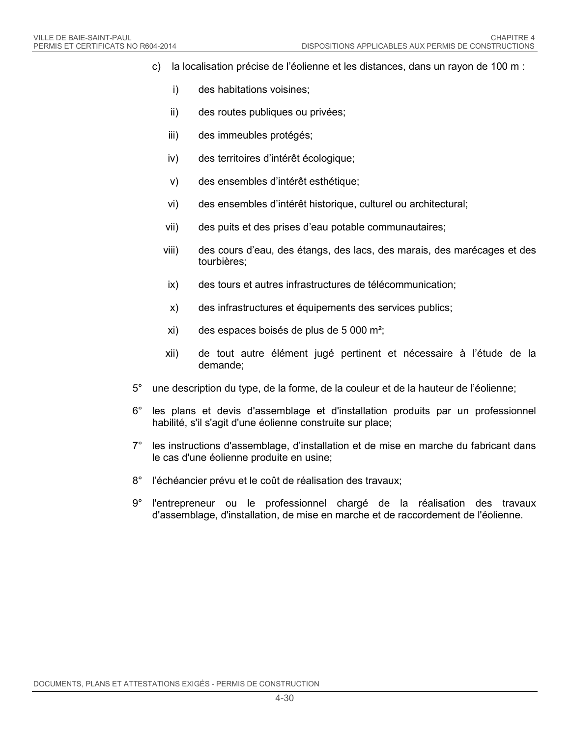- c) la localisation précise de l'éolienne et les distances, dans un rayon de 100 m :
	- i) des habitations voisines;
	- ii) des routes publiques ou privées;
	- iii) des immeubles protégés;
	- iv) des territoires d'intérêt écologique;
	- v) des ensembles d'intérêt esthétique;
	- vi) des ensembles d'intérêt historique, culturel ou architectural;
	- vii) des puits et des prises d'eau potable communautaires;
	- viii) des cours d'eau, des étangs, des lacs, des marais, des marécages et des tourbières;
	- ix) des tours et autres infrastructures de télécommunication;
	- x) des infrastructures et équipements des services publics;
	- xi) des espaces boisés de plus de 5 000 m²;
	- xii) de tout autre élément jugé pertinent et nécessaire à l'étude de la demande;
- 5° une description du type, de la forme, de la couleur et de la hauteur de l'éolienne;
- 6° les plans et devis d'assemblage et d'installation produits par un professionnel habilité, s'il s'agit d'une éolienne construite sur place;
- 7° les instructions d'assemblage, d'installation et de mise en marche du fabricant dans le cas d'une éolienne produite en usine;
- 8° l'échéancier prévu et le coût de réalisation des travaux;
- 9° l'entrepreneur ou le professionnel chargé de la réalisation des travaux d'assemblage, d'installation, de mise en marche et de raccordement de l'éolienne.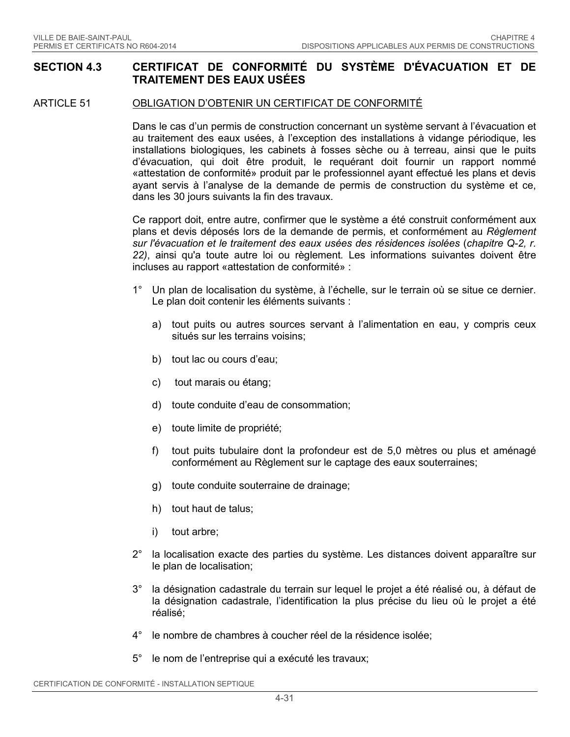### **SECTION 4.3 CERTIFICAT DE CONFORMITÉ DU SYSTÈME D'ÉVACUATION ET DE TRAITEMENT DES EAUX USÉES**

### ARTICLE 51 OBLIGATION D'OBTENIR UN CERTIFICAT DE CONFORMITÉ

Dans le cas d'un permis de construction concernant un système servant à l'évacuation et au traitement des eaux usées, à l'exception des installations à vidange périodique, les installations biologiques, les cabinets à fosses sèche ou à terreau, ainsi que le puits d'évacuation, qui doit être produit, le requérant doit fournir un rapport nommé «attestation de conformité» produit par le professionnel ayant effectué les plans et devis ayant servis à l'analyse de la demande de permis de construction du système et ce, dans les 30 jours suivants la fin des travaux.

Ce rapport doit, entre autre, confirmer que le système a été construit conformément aux plans et devis déposés lors de la demande de permis, et conformément au *Règlement sur l'évacuation et le traitement des eaux usées des résidences isolées* (*chapitre Q-2, r. 22)*, ainsi qu'a toute autre loi ou règlement*.* Les informations suivantes doivent être incluses au rapport «attestation de conformité» :

- 1° Un plan de localisation du système, à l'échelle, sur le terrain où se situe ce dernier. Le plan doit contenir les éléments suivants :
	- a) tout puits ou autres sources servant à l'alimentation en eau, y compris ceux situés sur les terrains voisins;
	- b) tout lac ou cours d'eau;
	- c) tout marais ou étang;
	- d) toute conduite d'eau de consommation;
	- e) toute limite de propriété;
	- f) tout puits tubulaire dont la profondeur est de 5,0 mètres ou plus et aménagé conformément au Règlement sur le captage des eaux souterraines;
	- g) toute conduite souterraine de drainage;
	- h) tout haut de talus;
	- i) tout arbre;
- 2° la localisation exacte des parties du système. Les distances doivent apparaître sur le plan de localisation;
- 3° la désignation cadastrale du terrain sur lequel le projet a été réalisé ou, à défaut de la désignation cadastrale, l'identification la plus précise du lieu où le projet a été réalisé;
- 4° le nombre de chambres à coucher réel de la résidence isolée;
- 5° le nom de l'entreprise qui a exécuté les travaux;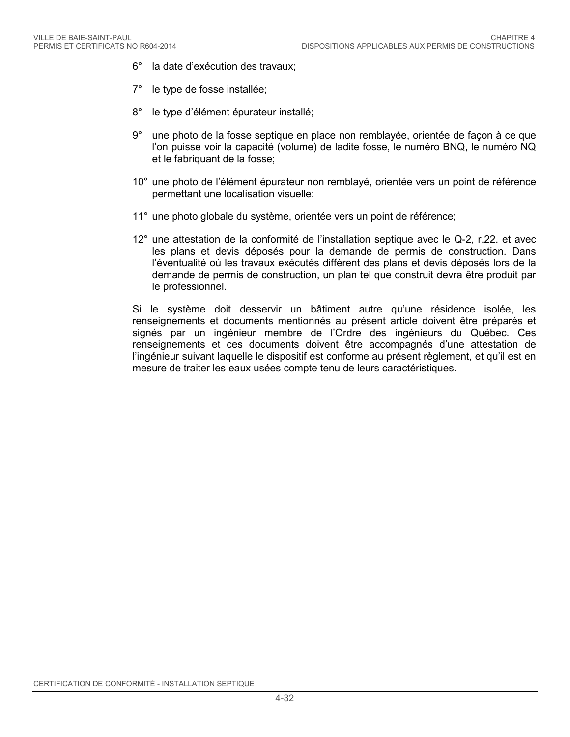- 6° la date d'exécution des travaux;
- 7° le type de fosse installée;
- 8° le type d'élément épurateur installé;
- 9° une photo de la fosse septique en place non remblayée, orientée de façon à ce que l'on puisse voir la capacité (volume) de ladite fosse, le numéro BNQ, le numéro NQ et le fabriquant de la fosse;
- 10° une photo de l'élément épurateur non remblayé, orientée vers un point de référence permettant une localisation visuelle;
- 11° une photo globale du système, orientée vers un point de référence;
- 12° une attestation de la conformité de l'installation septique avec le Q-2, r.22. et avec les plans et devis déposés pour la demande de permis de construction. Dans l'éventualité où les travaux exécutés diffèrent des plans et devis déposés lors de la demande de permis de construction, un plan tel que construit devra être produit par le professionnel.

Si le système doit desservir un bâtiment autre qu'une résidence isolée, les renseignements et documents mentionnés au présent article doivent être préparés et signés par un ingénieur membre de l'Ordre des ingénieurs du Québec. Ces renseignements et ces documents doivent être accompagnés d'une attestation de l'ingénieur suivant laquelle le dispositif est conforme au présent règlement, et qu'il est en mesure de traiter les eaux usées compte tenu de leurs caractéristiques.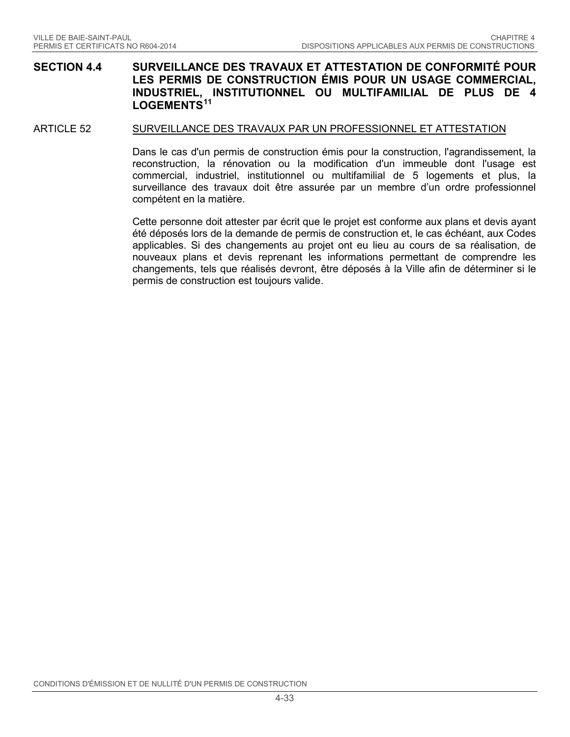### **SECTION 4.4 SURVEILLANCE DES TRAVAUX ET ATTESTATION DE CONFORMITÉ POUR LES PERMIS DE CONSTRUCTION ÉMIS POUR UN USAGE COMMERCIAL, INDUSTRIEL, INSTITUTIONNEL OU MULTIFAMILIAL DE PLUS DE 4 LOGEMENTS[11](#page-68-10)**

#### ARTICLE 52 SURVEILLANCE DES TRAVAUX PAR UN PROFESSIONNEL ET ATTESTATION

Dans le cas d'un permis de construction émis pour la construction, l'agrandissement, la reconstruction, la rénovation ou la modification d'un immeuble dont l'usage est commercial, industriel, institutionnel ou multifamilial de 5 logements et plus, la surveillance des travaux doit être assurée par un membre d'un ordre professionnel compétent en la matière.

Cette personne doit attester par écrit que le projet est conforme aux plans et devis ayant été déposés lors de la demande de permis de construction et, le cas échéant, aux Codes applicables. Si des changements au projet ont eu lieu au cours de sa réalisation, de nouveaux plans et devis reprenant les informations permettant de comprendre les changements, tels que réalisés devront, être déposés à la Ville afin de déterminer si le permis de construction est toujours valide.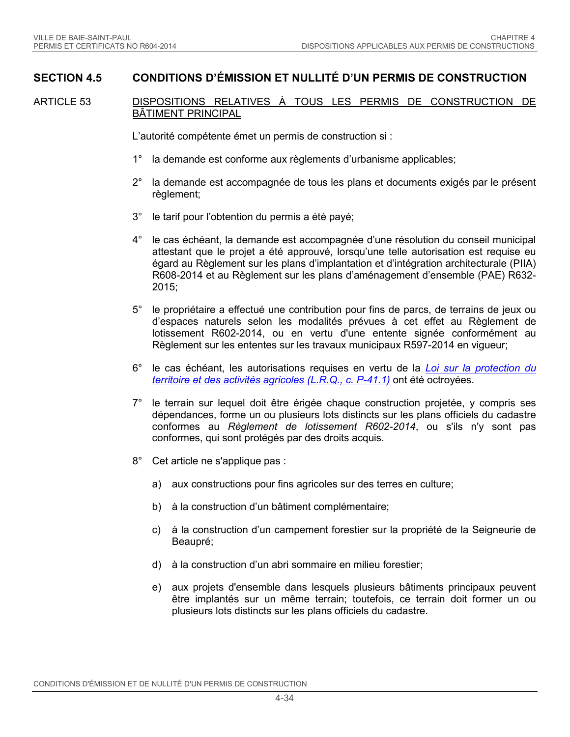### **SECTION 4.5 CONDITIONS D'ÉMISSION ET NULLITÉ D'UN PERMIS DE CONSTRUCTION**

ARTICLE 53 DISPOSITIONS RELATIVES À TOUS LES PERMIS DE CONSTRUCTION DE BÂTIMENT PRINCIPAL

L'autorité compétente émet un permis de construction si :

- 1° la demande est conforme aux règlements d'urbanisme applicables;
- 2° la demande est accompagnée de tous les plans et documents exigés par le présent règlement;
- 3° le tarif pour l'obtention du permis a été payé;
- 4° le cas échéant, la demande est accompagnée d'une résolution du conseil municipal attestant que le projet a été approuvé, lorsqu'une telle autorisation est requise eu égard au Règlement sur les plans d'implantation et d'intégration architecturale (PIIA) R608-2014 et au Règlement sur les plans d'aménagement d'ensemble (PAE) R632- 2015;
- 5° le propriétaire a effectué une contribution pour fins de parcs, de terrains de jeux ou d'espaces naturels selon les modalités prévues à cet effet au Règlement de lotissement R602-2014, ou en vertu d'une entente signée conformément au Règlement sur les ententes sur les travaux municipaux R597-2014 en vigueur;
- 6° le cas échéant, les autorisations requises en vertu de la *[Loi sur la protection du](http://www2.publicationsduquebec.gouv.qc.ca/dynamicSearch/telecharge.php?type=2&file=/P_41_1/P41_1.html)  [territoire et des activités agricoles \(L.R.Q., c.](http://www2.publicationsduquebec.gouv.qc.ca/dynamicSearch/telecharge.php?type=2&file=/P_41_1/P41_1.html) P-41.1)* ont été octroyées.
- 7° le terrain sur lequel doit être érigée chaque construction projetée, y compris ses dépendances, forme un ou plusieurs lots distincts sur les plans officiels du cadastre conformes au *Règlement de lotissement R602-2014*, ou s'ils n'y sont pas conformes, qui sont protégés par des droits acquis.
- 8° Cet article ne s'applique pas :
	- a) aux constructions pour fins agricoles sur des terres en culture;
	- b) à la construction d'un bâtiment complémentaire;
	- c) à la construction d'un campement forestier sur la propriété de la Seigneurie de Beaupré;
	- d) à la construction d'un abri sommaire en milieu forestier;
	- e) aux projets d'ensemble dans lesquels plusieurs bâtiments principaux peuvent être implantés sur un même terrain; toutefois, ce terrain doit former un ou plusieurs lots distincts sur les plans officiels du cadastre.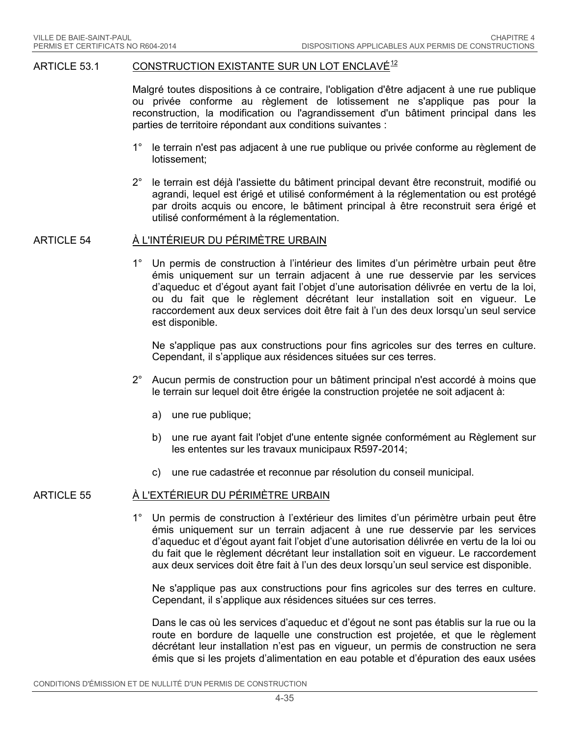#### ARTICLE 53.1 CONSTRUCTION EXISTANTE SUR UN LOT ENCLAVÉ<sup>[12](#page-68-11)</sup>

Malgré toutes dispositions à ce contraire, l'obligation d'être adjacent à une rue publique ou privée conforme au règlement de lotissement ne s'applique pas pour la reconstruction, la modification ou l'agrandissement d'un bâtiment principal dans les parties de territoire répondant aux conditions suivantes :

- 1° le terrain n'est pas adjacent à une rue publique ou privée conforme au règlement de lotissement;
- 2° le terrain est déjà l'assiette du bâtiment principal devant être reconstruit, modifié ou agrandi, lequel est érigé et utilisé conformément à la réglementation ou est protégé par droits acquis ou encore, le bâtiment principal à être reconstruit sera érigé et utilisé conformément à la réglementation.

#### ARTICLE 54 À L'INTÉRIEUR DU PÉRIMÈTRE URBAIN

1° Un permis de construction à l'intérieur des limites d'un périmètre urbain peut être émis uniquement sur un terrain adjacent à une rue desservie par les services d'aqueduc et d'égout ayant fait l'objet d'une autorisation délivrée en vertu de la loi, ou du fait que le règlement décrétant leur installation soit en vigueur. Le raccordement aux deux services doit être fait à l'un des deux lorsqu'un seul service est disponible.

Ne s'applique pas aux constructions pour fins agricoles sur des terres en culture. Cependant, il s'applique aux résidences situées sur ces terres.

- 2° Aucun permis de construction pour un bâtiment principal n'est accordé à moins que le terrain sur lequel doit être érigée la construction projetée ne soit adjacent à:
	- a) une rue publique;
	- b) une rue ayant fait l'objet d'une entente signée conformément au Règlement sur les ententes sur les travaux municipaux R597-2014;
	- c) une rue cadastrée et reconnue par résolution du conseil municipal.

### ARTICLE 55 À L'EXTÉRIEUR DU PÉRIMÈTRE URBAIN

1° Un permis de construction à l'extérieur des limites d'un périmètre urbain peut être émis uniquement sur un terrain adjacent à une rue desservie par les services d'aqueduc et d'égout ayant fait l'objet d'une autorisation délivrée en vertu de la loi ou du fait que le règlement décrétant leur installation soit en vigueur. Le raccordement aux deux services doit être fait à l'un des deux lorsqu'un seul service est disponible.

Ne s'applique pas aux constructions pour fins agricoles sur des terres en culture. Cependant, il s'applique aux résidences situées sur ces terres.

Dans le cas où les services d'aqueduc et d'égout ne sont pas établis sur la rue ou la route en bordure de laquelle une construction est projetée, et que le règlement décrétant leur installation n'est pas en vigueur, un permis de construction ne sera émis que si les projets d'alimentation en eau potable et d'épuration des eaux usées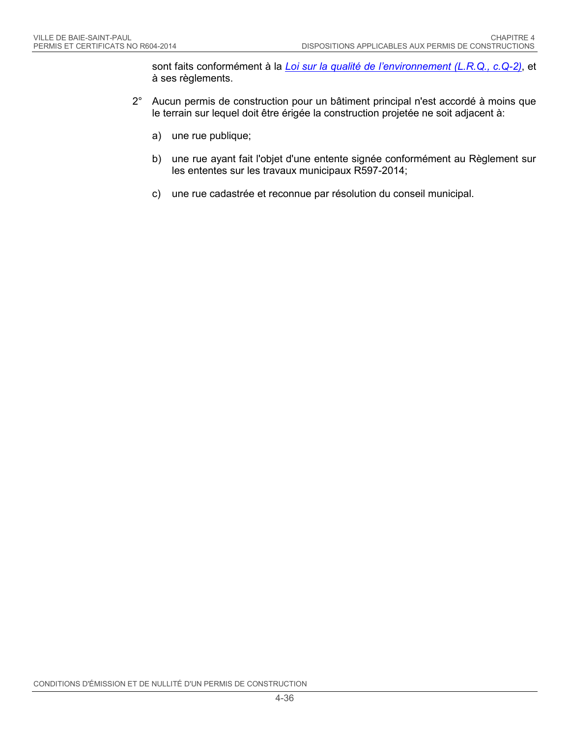sont faits conformément à la *[Loi sur la qualité de l'environnement \(L.R.Q., c.Q-2\)](http://www2.publicationsduquebec.gouv.qc.ca/dynamicSearch/telecharge.php?type=2&file=/Q_2/Q2.htm)*, et à ses règlements.

- 2° Aucun permis de construction pour un bâtiment principal n'est accordé à moins que le terrain sur lequel doit être érigée la construction projetée ne soit adjacent à:
	- a) une rue publique;
	- b) une rue ayant fait l'objet d'une entente signée conformément au Règlement sur les ententes sur les travaux municipaux R597-2014;
	- c) une rue cadastrée et reconnue par résolution du conseil municipal.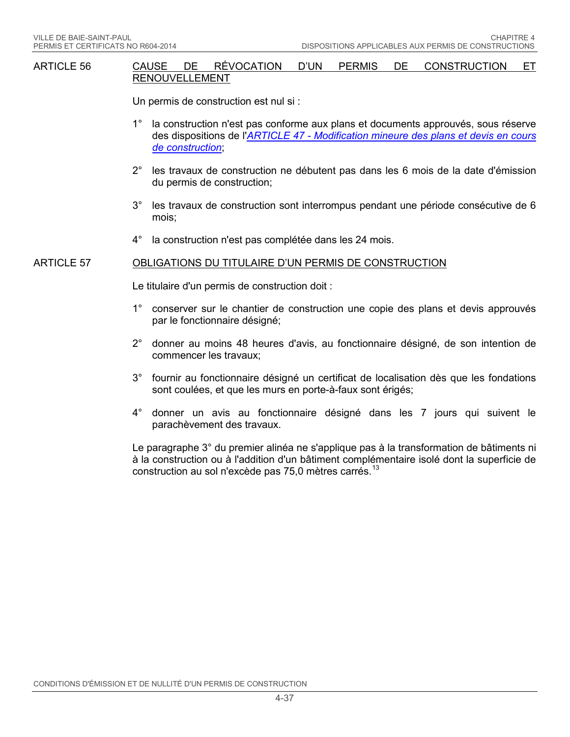#### ARTICLE 56 CAUSE DE RÉVOCATION D'UN PERMIS DE CONSTRUCTION ET RENOUVELLEMENT

Un permis de construction est nul si :

- 1° la construction n'est pas conforme aux plans et documents approuvés, sous réserve des dispositions de l'*ARTICLE 47 - [Modification mineure des plans et devis en cours](#page-33-1)  [de construction](#page-33-1)*;
- 2° les travaux de construction ne débutent pas dans les 6 mois de la date d'émission du permis de construction;
- 3° les travaux de construction sont interrompus pendant une période consécutive de 6 mois;
- 4° la construction n'est pas complétée dans les 24 mois.

#### ARTICLE 57 OBLIGATIONS DU TITULAIRE D'UN PERMIS DE CONSTRUCTION

Le titulaire d'un permis de construction doit :

- 1° conserver sur le chantier de construction une copie des plans et devis approuvés par le fonctionnaire désigné;
- 2° donner au moins 48 heures d'avis, au fonctionnaire désigné, de son intention de commencer les travaux;
- 3° fournir au fonctionnaire désigné un certificat de localisation dès que les fondations sont coulées, et que les murs en porte-à-faux sont érigés;
- 4° donner un avis au fonctionnaire désigné dans les 7 jours qui suivent le parachèvement des travaux.

Le paragraphe 3° du premier alinéa ne s'applique pas à la transformation de bâtiments ni à la construction ou à l'addition d'un bâtiment complémentaire isolé dont la superficie de construction au sol n'excède pas 75,0 mètres carrés.<sup>[13](#page-68-12)</sup>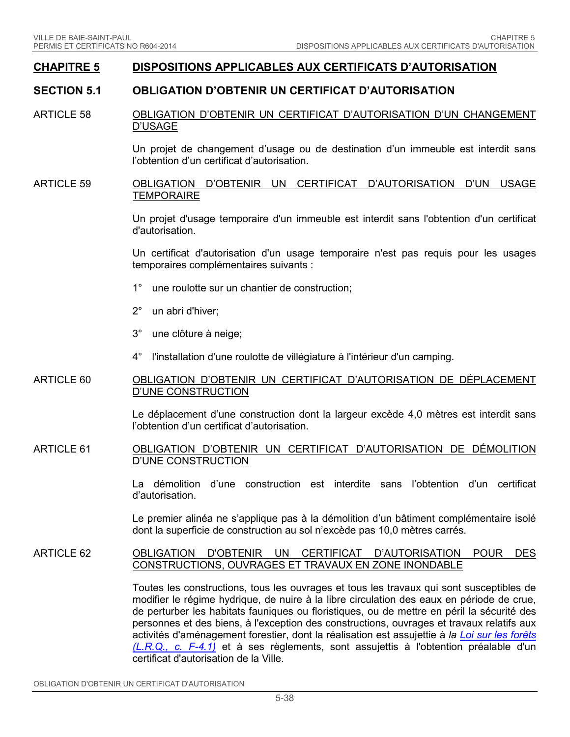### **CHAPITRE 5 DISPOSITIONS APPLICABLES AUX CERTIFICATS D'AUTORISATION**

### **SECTION 5.1 OBLIGATION D'OBTENIR UN CERTIFICAT D'AUTORISATION**

#### ARTICLE 58 OBLIGATION D'OBTENIR UN CERTIFICAT D'AUTORISATION D'UN CHANGEMENT D'USAGE

Un projet de changement d'usage ou de destination d'un immeuble est interdit sans l'obtention d'un certificat d'autorisation.

#### ARTICLE 59 OBLIGATION D'OBTENIR UN CERTIFICAT D'AUTORISATION D'UN USAGE **TEMPORAIRE**

Un projet d'usage temporaire d'un immeuble est interdit sans l'obtention d'un certificat d'autorisation.

Un certificat d'autorisation d'un usage temporaire n'est pas requis pour les usages temporaires complémentaires suivants :

- 1° une roulotte sur un chantier de construction;
- 2° un abri d'hiver;
- 3° une clôture à neige;
- 4° l'installation d'une roulotte de villégiature à l'intérieur d'un camping.

#### ARTICLE 60 OBLIGATION D'OBTENIR UN CERTIFICAT D'AUTORISATION DE DÉPLACEMENT D'UNE CONSTRUCTION

Le déplacement d'une construction dont la largeur excède 4,0 mètres est interdit sans l'obtention d'un certificat d'autorisation.

#### ARTICLE 61 OBLIGATION D'OBTENIR UN CERTIFICAT D'AUTORISATION DE DÉMOLITION D'UNE CONSTRUCTION

La démolition d'une construction est interdite sans l'obtention d'un certificat d'autorisation.

Le premier alinéa ne s'applique pas à la démolition d'un bâtiment complémentaire isolé dont la superficie de construction au sol n'excède pas 10,0 mètres carrés.

#### ARTICLE 62 OBLIGATION D'OBTENIR UN CERTIFICAT D'AUTORISATION POUR DES CONSTRUCTIONS, OUVRAGES ET TRAVAUX EN ZONE INONDABLE

Toutes les constructions, tous les ouvrages et tous les travaux qui sont susceptibles de modifier le régime hydrique, de nuire à la libre circulation des eaux en période de crue, de perturber les habitats fauniques ou floristiques, ou de mettre en péril la sécurité des personnes et des biens, à l'exception des constructions, ouvrages et travaux relatifs aux activités d'aménagement forestier, dont la réalisation est assujettie à *la [Loi sur les forêts](http://www2.publicationsduquebec.gouv.qc.ca/dynamicSearch/telecharge.php?type=2&file=/F_4_1/F4_1.html) [\(L.R.Q., c. F-4.1\)](http://www2.publicationsduquebec.gouv.qc.ca/dynamicSearch/telecharge.php?type=2&file=/F_4_1/F4_1.html)* et à ses règlements, sont assujettis à l'obtention préalable d'un certificat d'autorisation de la Ville.

OBLIGATION D'OBTENIR UN CERTIFICAT D'AUTORISATION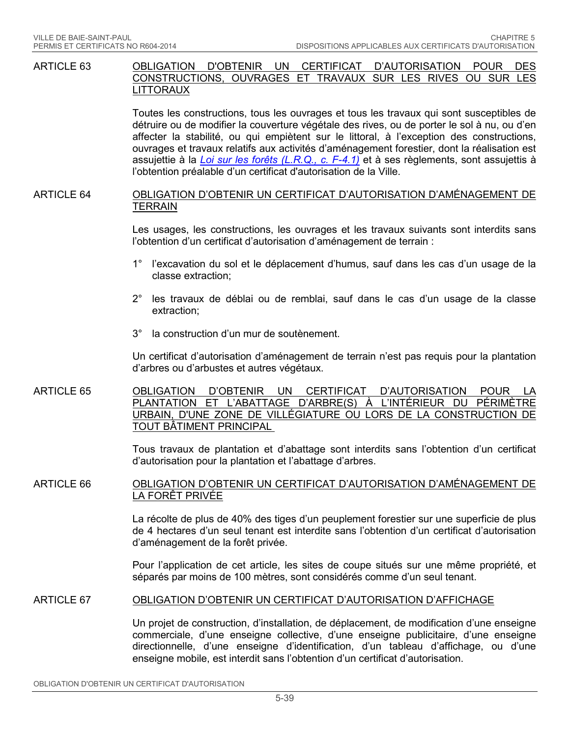ARTICLE 63 OBLIGATION D'OBTENIR UN CERTIFICAT D'AUTORISATION POUR DES CONSTRUCTIONS, OUVRAGES ET TRAVAUX SUR LES RIVES OU SUR LES LITTORAUX

> Toutes les constructions, tous les ouvrages et tous les travaux qui sont susceptibles de détruire ou de modifier la couverture végétale des rives, ou de porter le sol à nu, ou d'en affecter la stabilité, ou qui empiètent sur le littoral, à l'exception des constructions, ouvrages et travaux relatifs aux activités d'aménagement forestier, dont la réalisation est assujettie à la *[Loi sur les forêts \(L.R.Q., c. F-4.1\)](http://www2.publicationsduquebec.gouv.qc.ca/dynamicSearch/telecharge.php?type=2&file=/F_4_1/F4_1.html)* et à ses règlements, sont assujettis à l'obtention préalable d'un certificat d'autorisation de la Ville.

### ARTICLE 64 OBLIGATION D'OBTENIR UN CERTIFICAT D'AUTORISATION D'AMÉNAGEMENT DE **TERRAIN**

Les usages, les constructions, les ouvrages et les travaux suivants sont interdits sans l'obtention d'un certificat d'autorisation d'aménagement de terrain :

- 1° l'excavation du sol et le déplacement d'humus, sauf dans les cas d'un usage de la classe extraction;
- 2° les travaux de déblai ou de remblai, sauf dans le cas d'un usage de la classe extraction;
- 3° la construction d'un mur de soutènement.

Un certificat d'autorisation d'aménagement de terrain n'est pas requis pour la plantation d'arbres ou d'arbustes et autres végétaux.

ARTICLE 65 <u>OBLIGATION D'OBTENIR UN CERTIFICAT D'AUTORISATION POUR LA</u><br>PLANTATION ET L'ABATTAGE D'ARBRE(S) À L'INTÉRIEUR DU PÉRIMÈTRE PLANTATION ET L'ABATTAGE D'ARBRE(S) À URBAIN, D'UNE ZONE DE VILLÉGIATURE OU LORS DE LA CONSTRUCTION DE TOUT BÂTIMENT PRINCIPAL

> Tous travaux de plantation et d'abattage sont interdits sans l'obtention d'un certificat d'autorisation pour la plantation et l'abattage d'arbres.

### ARTICLE 66 OBLIGATION D'OBTENIR UN CERTIFICAT D'AUTORISATION D'AMÉNAGEMENT DE LA FORÊT PRIVÉE

La récolte de plus de 40% des tiges d'un peuplement forestier sur une superficie de plus de 4 hectares d'un seul tenant est interdite sans l'obtention d'un certificat d'autorisation d'aménagement de la forêt privée.

Pour l'application de cet article, les sites de coupe situés sur une même propriété, et séparés par moins de 100 mètres, sont considérés comme d'un seul tenant.

#### ARTICLE 67 OBLIGATION D'OBTENIR UN CERTIFICAT D'AUTORISATION D'AFFICHAGE

Un projet de construction, d'installation, de déplacement, de modification d'une enseigne commerciale, d'une enseigne collective, d'une enseigne publicitaire, d'une enseigne directionnelle, d'une enseigne d'identification, d'un tableau d'affichage, ou d'une enseigne mobile, est interdit sans l'obtention d'un certificat d'autorisation.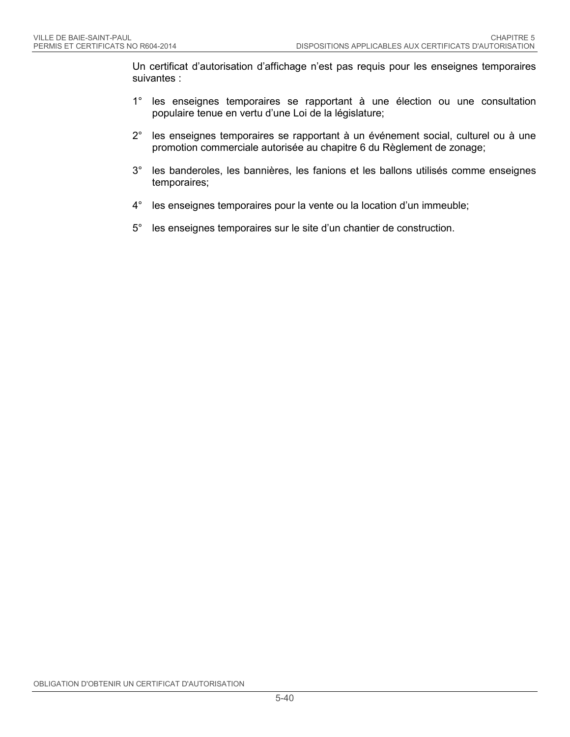Un certificat d'autorisation d'affichage n'est pas requis pour les enseignes temporaires suivantes :

- 1° les enseignes temporaires se rapportant à une élection ou une consultation populaire tenue en vertu d'une Loi de la législature;
- 2° les enseignes temporaires se rapportant à un événement social, culturel ou à une promotion commerciale autorisée au chapitre 6 du Règlement de zonage;
- 3° les banderoles, les bannières, les fanions et les ballons utilisés comme enseignes temporaires;
- 4° les enseignes temporaires pour la vente ou la location d'un immeuble;
- 5° les enseignes temporaires sur le site d'un chantier de construction.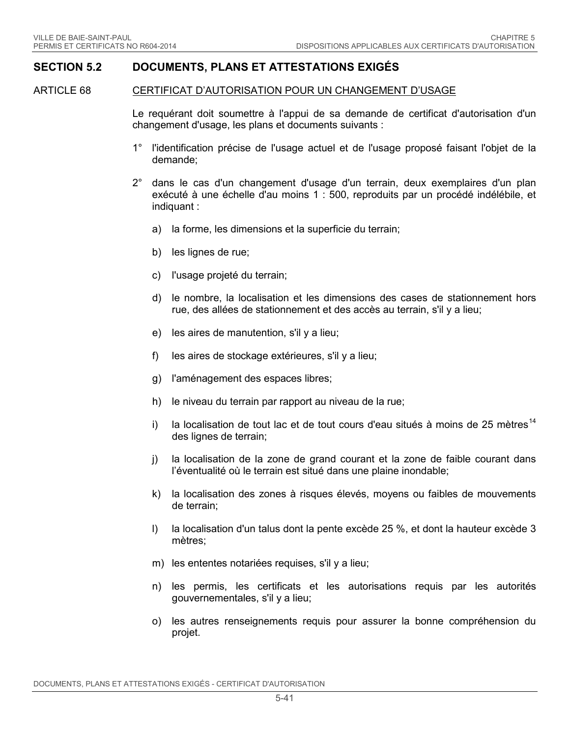### **SECTION 5.2 DOCUMENTS, PLANS ET ATTESTATIONS EXIGÉS**

<span id="page-47-0"></span>ARTICLE 68 CERTIFICAT D'AUTORISATION POUR UN CHANGEMENT D'USAGE

Le requérant doit soumettre à l'appui de sa demande de certificat d'autorisation d'un changement d'usage, les plans et documents suivants :

- 1° l'identification précise de l'usage actuel et de l'usage proposé faisant l'objet de la demande;
- 2° dans le cas d'un changement d'usage d'un terrain, deux exemplaires d'un plan exécuté à une échelle d'au moins 1 : 500, reproduits par un procédé indélébile, et indiquant :
	- a) la forme, les dimensions et la superficie du terrain;
	- b) les lignes de rue;
	- c) l'usage projeté du terrain;
	- d) le nombre, la localisation et les dimensions des cases de stationnement hors rue, des allées de stationnement et des accès au terrain, s'il y a lieu;
	- e) les aires de manutention, s'il y a lieu;
	- f) les aires de stockage extérieures, s'il y a lieu;
	- g) l'aménagement des espaces libres;
	- h) le niveau du terrain par rapport au niveau de la rue;
	- i) la localisation de tout lac et de tout cours d'eau situés à moins de 25 mètres<sup>[14](#page-68-13)</sup> des lignes de terrain;
	- j) la localisation de la zone de grand courant et la zone de faible courant dans l'éventualité où le terrain est situé dans une plaine inondable;
	- k) la localisation des zones à risques élevés, moyens ou faibles de mouvements de terrain;
	- l) la localisation d'un talus dont la pente excède 25 %, et dont la hauteur excède 3 mètres;
	- m) les ententes notariées requises, s'il y a lieu;
	- n) les permis, les certificats et les autorisations requis par les autorités gouvernementales, s'il y a lieu;
	- o) les autres renseignements requis pour assurer la bonne compréhension du projet.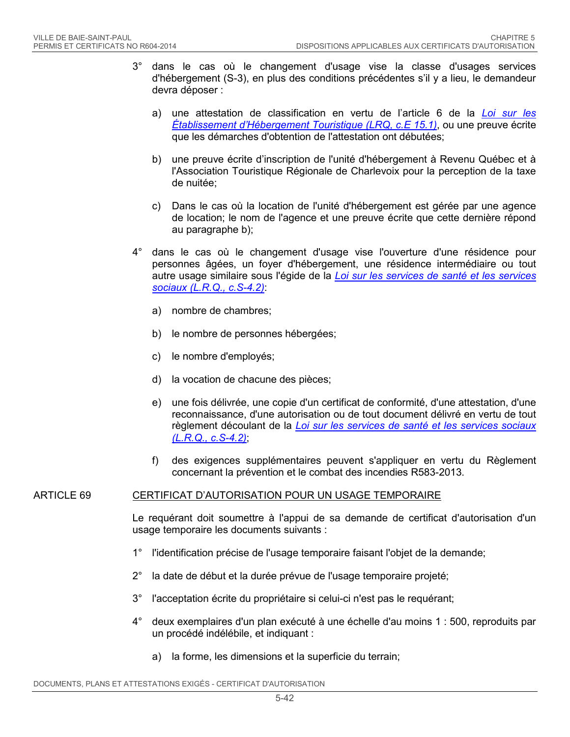- 3° dans le cas où le changement d'usage vise la classe d'usages services d'hébergement (S-3), en plus des conditions précédentes s'il y a lieu, le demandeur devra déposer :
	- a) une attestation de classification en vertu de l'article 6 de la *[Loi sur les](http://www2.publicationsduquebec.gouv.qc.ca/dynamicSearch/telecharge.php?type=2&file=/E_14_2/E14_2.html)  [Établissement d'Hébergement Touristique \(LRQ, c.E 15.1\)](http://www2.publicationsduquebec.gouv.qc.ca/dynamicSearch/telecharge.php?type=2&file=/E_14_2/E14_2.html)*, ou une preuve écrite que les démarches d'obtention de l'attestation ont débutées;
	- b) une preuve écrite d'inscription de l'unité d'hébergement à Revenu Québec et à l'Association Touristique Régionale de Charlevoix pour la perception de la taxe de nuitée;
	- c) Dans le cas où la location de l'unité d'hébergement est gérée par une agence de location; le nom de l'agence et une preuve écrite que cette dernière répond au paragraphe b);
- 4° dans le cas où le changement d'usage vise l'ouverture d'une résidence pour personnes âgées, un foyer d'hébergement, une résidence intermédiaire ou tout autre usage similaire sous l'égide de la *[Loi sur les services de santé et les services](http://www2.publicationsduquebec.gouv.qc.ca/dynamicSearch/telecharge.php?type=2&file=/S_4_2/S4_2.html)  [sociaux \(L.R.Q., c.S-4.2\)](http://www2.publicationsduquebec.gouv.qc.ca/dynamicSearch/telecharge.php?type=2&file=/S_4_2/S4_2.html)*:
	- a) nombre de chambres;
	- b) le nombre de personnes hébergées;
	- c) le nombre d'employés;
	- d) la vocation de chacune des pièces;
	- e) une fois délivrée, une copie d'un certificat de conformité, d'une attestation, d'une reconnaissance, d'une autorisation ou de tout document délivré en vertu de tout règlement découlant de la *[Loi sur les services de santé et les services sociaux](http://www2.publicationsduquebec.gouv.qc.ca/dynamicSearch/telecharge.php?type=2&file=/S_4_2/S4_2.html)  [\(L.R.Q., c.S-4.2\)](http://www2.publicationsduquebec.gouv.qc.ca/dynamicSearch/telecharge.php?type=2&file=/S_4_2/S4_2.html)*;
	- f) des exigences supplémentaires peuvent s'appliquer en vertu du Règlement concernant la prévention et le combat des incendies R583-2013.

### ARTICLE 69 CERTIFICAT D'AUTORISATION POUR UN USAGE TEMPORAIRE

Le requérant doit soumettre à l'appui de sa demande de certificat d'autorisation d'un usage temporaire les documents suivants :

- 1° l'identification précise de l'usage temporaire faisant l'objet de la demande;
- 2° la date de début et la durée prévue de l'usage temporaire projeté;
- 3° l'acceptation écrite du propriétaire si celui-ci n'est pas le requérant;
- 4° deux exemplaires d'un plan exécuté à une échelle d'au moins 1 : 500, reproduits par un procédé indélébile, et indiquant :
	- a) la forme, les dimensions et la superficie du terrain;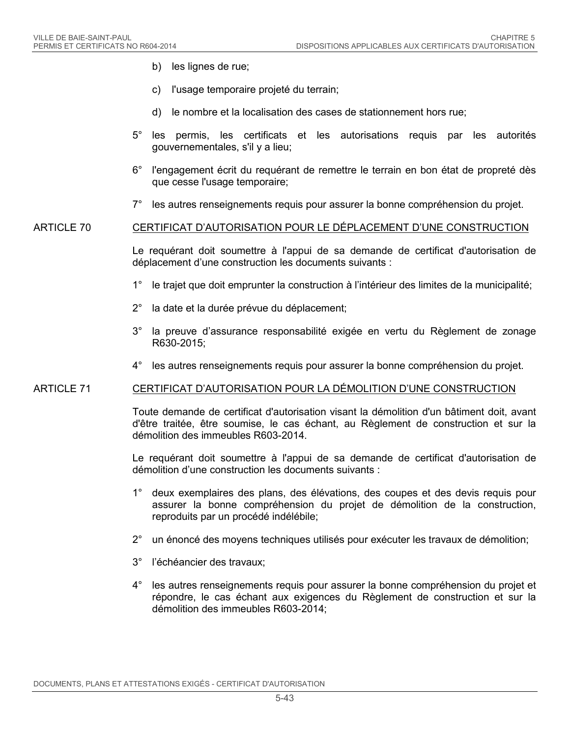- b) les lignes de rue;
- c) l'usage temporaire projeté du terrain;
- d) le nombre et la localisation des cases de stationnement hors rue;
- 5° les permis, les certificats et les autorisations requis par les autorités gouvernementales, s'il y a lieu;
- 6° l'engagement écrit du requérant de remettre le terrain en bon état de propreté dès que cesse l'usage temporaire;
- 7° les autres renseignements requis pour assurer la bonne compréhension du projet.

#### ARTICLE 70 CERTIFICAT D'AUTORISATION POUR LE DÉPLACEMENT D'UNE CONSTRUCTION

Le requérant doit soumettre à l'appui de sa demande de certificat d'autorisation de déplacement d'une construction les documents suivants :

- 1° le trajet que doit emprunter la construction à l'intérieur des limites de la municipalité;
- 2° la date et la durée prévue du déplacement;
- 3° la preuve d'assurance responsabilité exigée en vertu du Règlement de zonage R630-2015;
- 4° les autres renseignements requis pour assurer la bonne compréhension du projet.

#### ARTICLE 71 CERTIFICAT D'AUTORISATION POUR LA DÉMOLITION D'UNE CONSTRUCTION

Toute demande de certificat d'autorisation visant la démolition d'un bâtiment doit, avant d'être traitée, être soumise, le cas échant, au Règlement de construction et sur la démolition des immeubles R603-2014.

Le requérant doit soumettre à l'appui de sa demande de certificat d'autorisation de démolition d'une construction les documents suivants :

- 1° deux exemplaires des plans, des élévations, des coupes et des devis requis pour assurer la bonne compréhension du projet de démolition de la construction, reproduits par un procédé indélébile;
- 2° un énoncé des moyens techniques utilisés pour exécuter les travaux de démolition;
- 3° l'échéancier des travaux;
- 4° les autres renseignements requis pour assurer la bonne compréhension du projet et répondre, le cas échant aux exigences du Règlement de construction et sur la démolition des immeubles R603-2014;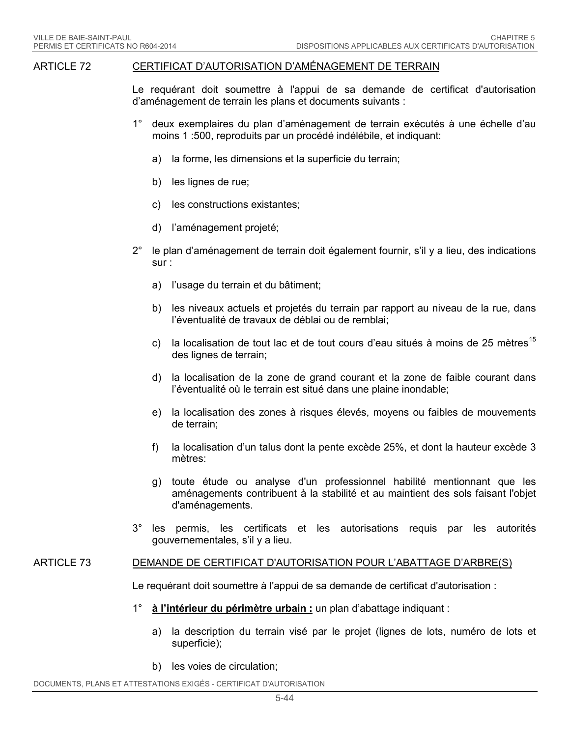#### ARTICLE 72 CERTIFICAT D'AUTORISATION D'AMÉNAGEMENT DE TERRAIN

Le requérant doit soumettre à l'appui de sa demande de certificat d'autorisation d'aménagement de terrain les plans et documents suivants :

- 1° deux exemplaires du plan d'aménagement de terrain exécutés à une échelle d'au moins 1 :500, reproduits par un procédé indélébile, et indiquant:
	- a) la forme, les dimensions et la superficie du terrain;
	- b) les lignes de rue;
	- c) les constructions existantes;
	- d) l'aménagement projeté;
- 2° le plan d'aménagement de terrain doit également fournir, s'il y a lieu, des indications sur :
	- a) l'usage du terrain et du bâtiment;
	- b) les niveaux actuels et projetés du terrain par rapport au niveau de la rue, dans l'éventualité de travaux de déblai ou de remblai;
	- c) la localisation de tout lac et de tout cours d'eau situés à moins de 25 mètres<sup>[15](#page-68-14)</sup> des lignes de terrain;
	- d) la localisation de la zone de grand courant et la zone de faible courant dans l'éventualité où le terrain est situé dans une plaine inondable;
	- e) la localisation des zones à risques élevés, moyens ou faibles de mouvements de terrain;
	- f) la localisation d'un talus dont la pente excède 25%, et dont la hauteur excède 3 mètres:
	- g) toute étude ou analyse d'un professionnel habilité mentionnant que les aménagements contribuent à la stabilité et au maintient des sols faisant l'objet d'aménagements.
- 3° les permis, les certificats et les autorisations requis par les autorités gouvernementales, s'il y a lieu.

#### <span id="page-50-0"></span>ARTICLE 73 DEMANDE DE CERTIFICAT D'AUTORISATION POUR L'ABATTAGE D'ARBRE(S)

Le requérant doit soumettre à l'appui de sa demande de certificat d'autorisation :

- 1° **à l'intérieur du périmètre urbain :** un plan d'abattage indiquant :
	- a) la description du terrain visé par le projet (lignes de lots, numéro de lots et superficie);
	- b) les voies de circulation;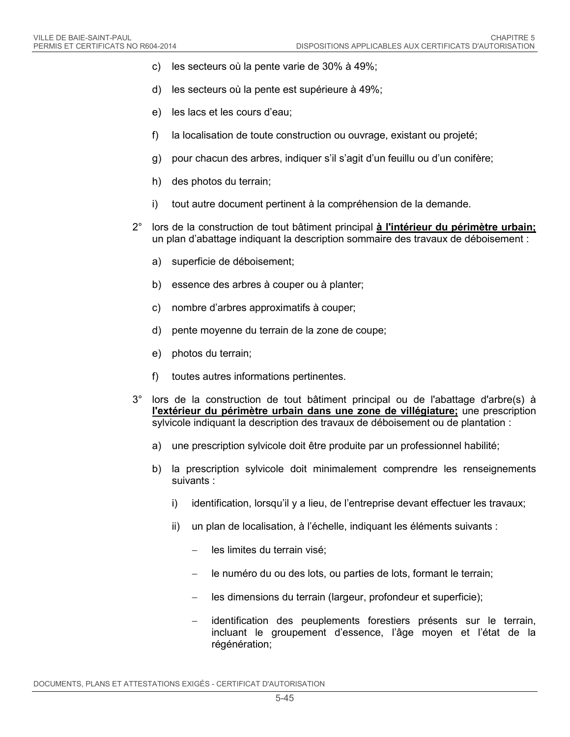- c) les secteurs où la pente varie de 30% à 49%;
- d) les secteurs où la pente est supérieure à 49%;
- e) les lacs et les cours d'eau;
- f) la localisation de toute construction ou ouvrage, existant ou projeté;
- g) pour chacun des arbres, indiquer s'il s'agit d'un feuillu ou d'un conifère;
- h) des photos du terrain;
- i) tout autre document pertinent à la compréhension de la demande.
- 2° lors de la construction de tout bâtiment principal **à l'intérieur du périmètre urbain;**  un plan d'abattage indiquant la description sommaire des travaux de déboisement :
	- a) superficie de déboisement;
	- b) essence des arbres à couper ou à planter;
	- c) nombre d'arbres approximatifs à couper;
	- d) pente moyenne du terrain de la zone de coupe;
	- e) photos du terrain;
	- f) toutes autres informations pertinentes.
- 3° lors de la construction de tout bâtiment principal ou de l'abattage d'arbre(s) à **l'extérieur du périmètre urbain dans une zone de villégiature;** une prescription sylvicole indiquant la description des travaux de déboisement ou de plantation :
	- a) une prescription sylvicole doit être produite par un professionnel habilité;
	- b) la prescription sylvicole doit minimalement comprendre les renseignements suivants :
		- i) identification, lorsqu'il y a lieu, de l'entreprise devant effectuer les travaux;
		- ii) un plan de localisation, à l'échelle, indiquant les éléments suivants :
			- − les limites du terrain visé;
			- le numéro du ou des lots, ou parties de lots, formant le terrain;
			- les dimensions du terrain (largeur, profondeur et superficie);
			- − identification des peuplements forestiers présents sur le terrain, incluant le groupement d'essence, l'âge moyen et l'état de la régénération;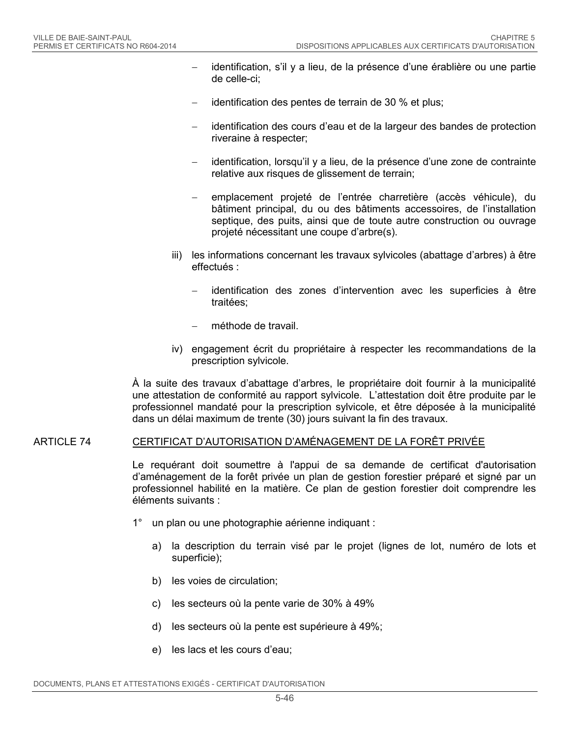- identification, s'il y a lieu, de la présence d'une érablière ou une partie de celle-ci;
- identification des pentes de terrain de 30 % et plus;
- − identification des cours d'eau et de la largeur des bandes de protection riveraine à respecter;
- − identification, lorsqu'il y a lieu, de la présence d'une zone de contrainte relative aux risques de glissement de terrain;
- − emplacement projeté de l'entrée charretière (accès véhicule), du bâtiment principal, du ou des bâtiments accessoires, de l'installation septique, des puits, ainsi que de toute autre construction ou ouvrage projeté nécessitant une coupe d'arbre(s).
- iii) les informations concernant les travaux sylvicoles (abattage d'arbres) à être effectués :
	- identification des zones d'intervention avec les superficies à être traitées;
	- − méthode de travail.
- iv) engagement écrit du propriétaire à respecter les recommandations de la prescription sylvicole.

À la suite des travaux d'abattage d'arbres, le propriétaire doit fournir à la municipalité une attestation de conformité au rapport sylvicole. L'attestation doit être produite par le professionnel mandaté pour la prescription sylvicole, et être déposée à la municipalité dans un délai maximum de trente (30) jours suivant la fin des travaux.

### ARTICLE 74 CERTIFICAT D'AUTORISATION D'AMÉNAGEMENT DE LA FORÊT PRIVÉE

Le requérant doit soumettre à l'appui de sa demande de certificat d'autorisation d'aménagement de la forêt privée un plan de gestion forestier préparé et signé par un professionnel habilité en la matière. Ce plan de gestion forestier doit comprendre les éléments suivants :

- 1° un plan ou une photographie aérienne indiquant :
	- a) la description du terrain visé par le projet (lignes de lot, numéro de lots et superficie);
	- b) les voies de circulation;
	- c) les secteurs où la pente varie de 30% à 49%
	- d) les secteurs où la pente est supérieure à 49%;
	- e) les lacs et les cours d'eau;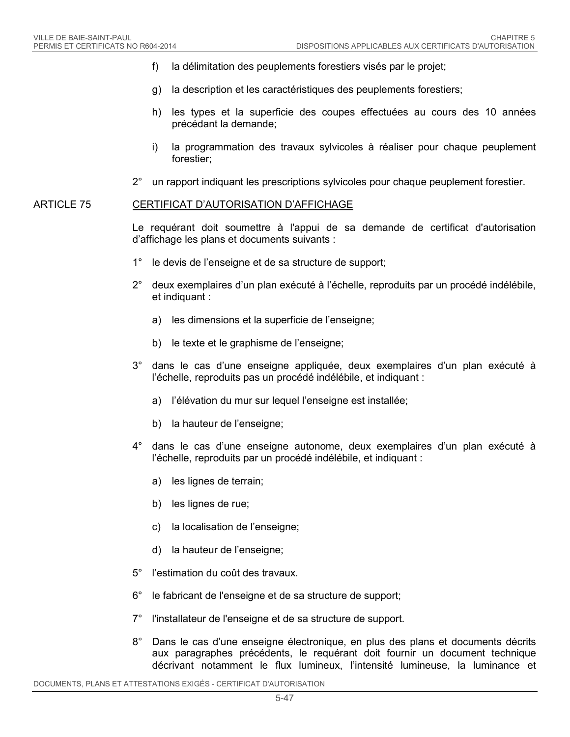- f) la délimitation des peuplements forestiers visés par le projet;
- g) la description et les caractéristiques des peuplements forestiers;
- h) les types et la superficie des coupes effectuées au cours des 10 années précédant la demande;
- i) la programmation des travaux sylvicoles à réaliser pour chaque peuplement forestier;
- 2° un rapport indiquant les prescriptions sylvicoles pour chaque peuplement forestier.

#### ARTICLE 75 CERTIFICAT D'AUTORISATION D'AFFICHAGE

Le requérant doit soumettre à l'appui de sa demande de certificat d'autorisation d'affichage les plans et documents suivants :

- 1° le devis de l'enseigne et de sa structure de support;
- 2° deux exemplaires d'un plan exécuté à l'échelle, reproduits par un procédé indélébile, et indiquant :
	- a) les dimensions et la superficie de l'enseigne;
	- b) le texte et le graphisme de l'enseigne;
- 3° dans le cas d'une enseigne appliquée, deux exemplaires d'un plan exécuté à l'échelle, reproduits pas un procédé indélébile, et indiquant :
	- a) l'élévation du mur sur lequel l'enseigne est installée;
	- b) la hauteur de l'enseigne;
- 4° dans le cas d'une enseigne autonome, deux exemplaires d'un plan exécuté à l'échelle, reproduits par un procédé indélébile, et indiquant :
	- a) les lignes de terrain;
	- b) les lignes de rue;
	- c) la localisation de l'enseigne;
	- d) la hauteur de l'enseigne;
- 5° l'estimation du coût des travaux.
- 6° le fabricant de l'enseigne et de sa structure de support;
- 7° l'installateur de l'enseigne et de sa structure de support.
- 8° Dans le cas d'une enseigne électronique, en plus des plans et documents décrits aux paragraphes précédents, le requérant doit fournir un document technique décrivant notamment le flux lumineux, l'intensité lumineuse, la luminance et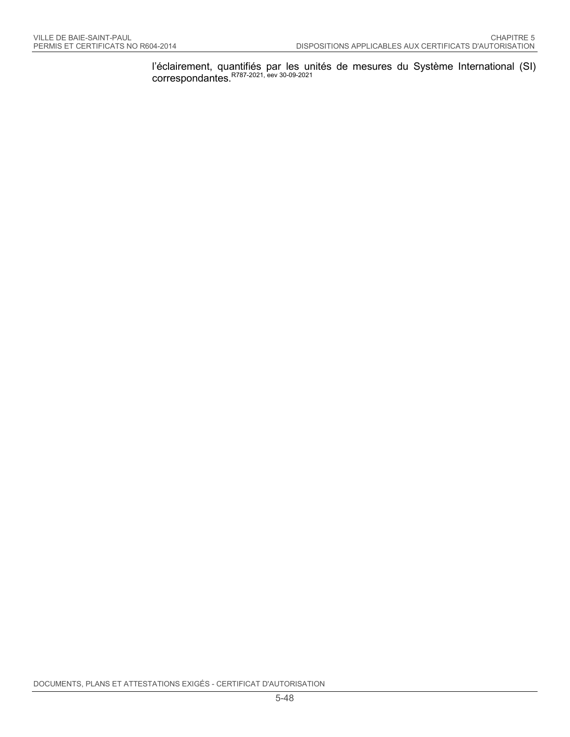l'éclairement, quantifiés par les unités de mesures du Système International (SI) correspondantes.<sup>R787-2021, eev 30-09-2021</sup>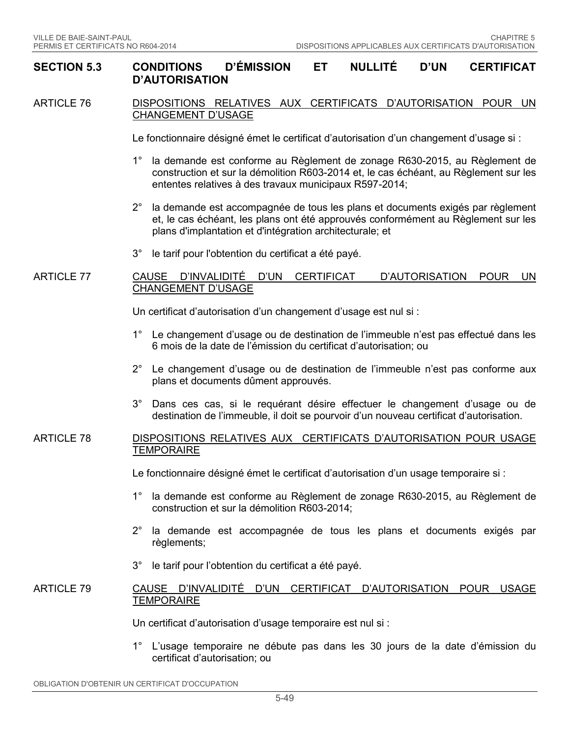#### **SECTION 5.3 CONDITIONS D'ÉMISSION ET NULLITÉ D'UN CERTIFICAT D'AUTORISATION**

#### ARTICLE 76 DISPOSITIONS RELATIVES AUX CERTIFICATS D'AUTORISATION POUR UN CHANGEMENT D'USAGE

Le fonctionnaire désigné émet le certificat d'autorisation d'un changement d'usage si :

- 1° la demande est conforme au Règlement de zonage R630-2015, au Règlement de construction et sur la démolition R603-2014 et, le cas échéant, au Règlement sur les ententes relatives à des travaux municipaux R597-2014;
- 2° la demande est accompagnée de tous les plans et documents exigés par règlement et, le cas échéant, les plans ont été approuvés conformément au Règlement sur les plans d'implantation et d'intégration architecturale; et
- 3° le tarif pour l'obtention du certificat a été payé.

#### ARTICLE 77 CAUSE D'INVALIDITÉ D'UN CERTIFICAT D'AUTORISATION POUR UN CHANGEMENT D'USAGE

Un certificat d'autorisation d'un changement d'usage est nul si :

- 1° Le changement d'usage ou de destination de l'immeuble n'est pas effectué dans les 6 mois de la date de l'émission du certificat d'autorisation; ou
- 2° Le changement d'usage ou de destination de l'immeuble n'est pas conforme aux plans et documents dûment approuvés.
- 3° Dans ces cas, si le requérant désire effectuer le changement d'usage ou de destination de l'immeuble, il doit se pourvoir d'un nouveau certificat d'autorisation.

### ARTICLE 78 DISPOSITIONS RELATIVES AUX CERTIFICATS D'AUTORISATION POUR USAGE **TEMPORAIRE**

Le fonctionnaire désigné émet le certificat d'autorisation d'un usage temporaire si :

- 1° la demande est conforme au Règlement de zonage R630-2015, au Règlement de construction et sur la démolition R603-2014;
- 2° la demande est accompagnée de tous les plans et documents exigés par règlements;
- 3° le tarif pour l'obtention du certificat a été payé.

#### ARTICLE 79 CAUSE D'INVALIDITÉ D'UN CERTIFICAT D'AUTORISATION POUR USAGE **TEMPORAIRE**

Un certificat d'autorisation d'usage temporaire est nul si :

1° L'usage temporaire ne débute pas dans les 30 jours de la date d'émission du certificat d'autorisation; ou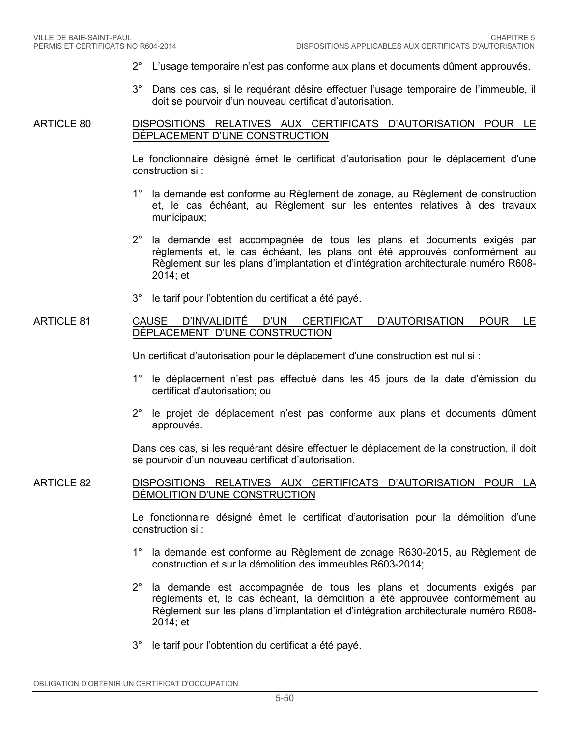- 2° L'usage temporaire n'est pas conforme aux plans et documents dûment approuvés.
- 3° Dans ces cas, si le requérant désire effectuer l'usage temporaire de l'immeuble, il doit se pourvoir d'un nouveau certificat d'autorisation.

#### ARTICLE 80 DISPOSITIONS RELATIVES AUX CERTIFICATS D'AUTORISATION POUR LE DÉPLACEMENT D'UNE CONSTRUCTION

Le fonctionnaire désigné émet le certificat d'autorisation pour le déplacement d'une construction si :

- 1° la demande est conforme au Règlement de zonage, au Règlement de construction et, le cas échéant, au Règlement sur les ententes relatives à des travaux municipaux;
- 2° la demande est accompagnée de tous les plans et documents exigés par règlements et, le cas échéant, les plans ont été approuvés conformément au Règlement sur les plans d'implantation et d'intégration architecturale numéro R608- 2014; et
- 3° le tarif pour l'obtention du certificat a été payé.

#### ARTICLE 81 CAUSE D'INVALIDITÉ D'UN CERTIFICAT D'AUTORISATION POUR LE DÉPLACEMENT D'UNE CONSTRUCTION

Un certificat d'autorisation pour le déplacement d'une construction est nul si :

- 1° le déplacement n'est pas effectué dans les 45 jours de la date d'émission du certificat d'autorisation; ou
- 2° le projet de déplacement n'est pas conforme aux plans et documents dûment approuvés.

Dans ces cas, si les requérant désire effectuer le déplacement de la construction, il doit se pourvoir d'un nouveau certificat d'autorisation.

### ARTICLE 82 DISPOSITIONS RELATIVES AUX CERTIFICATS D'AUTORISATION POUR LA DÉMOLITION D'UNE CONSTRUCTION

Le fonctionnaire désigné émet le certificat d'autorisation pour la démolition d'une construction si :

- 1° la demande est conforme au Règlement de zonage R630-2015, au Règlement de construction et sur la démolition des immeubles R603-2014;
- 2° la demande est accompagnée de tous les plans et documents exigés par règlements et, le cas échéant, la démolition a été approuvée conformément au Règlement sur les plans d'implantation et d'intégration architecturale numéro R608- 2014; et
- 3° le tarif pour l'obtention du certificat a été payé.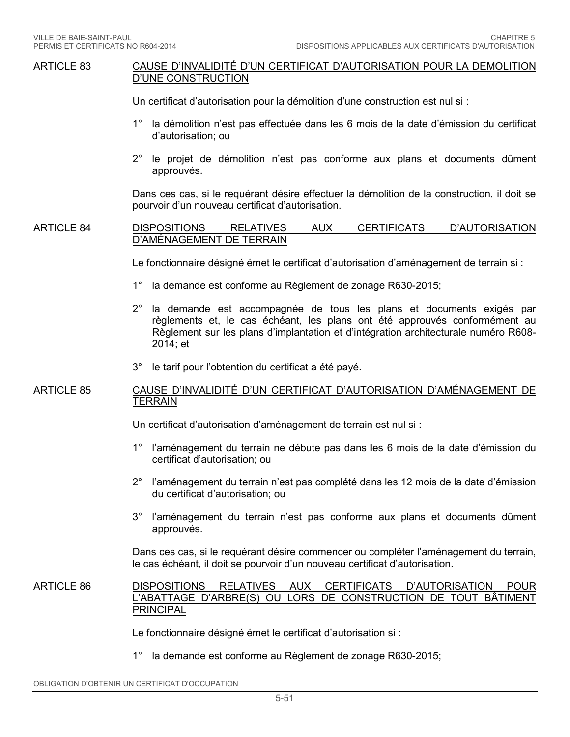#### ARTICLE 83 CAUSE D'INVALIDITÉ D'UN CERTIFICAT D'AUTORISATION POUR LA DEMOLITION D'UNE CONSTRUCTION

Un certificat d'autorisation pour la démolition d'une construction est nul si :

- 1° la démolition n'est pas effectuée dans les 6 mois de la date d'émission du certificat d'autorisation; ou
- 2° le projet de démolition n'est pas conforme aux plans et documents dûment approuvés.

Dans ces cas, si le requérant désire effectuer la démolition de la construction, il doit se pourvoir d'un nouveau certificat d'autorisation.

### ARTICLE 84 DISPOSITIONS RELATIVES AUX CERTIFICATS D'AUTORISATION D'AMÉNAGEMENT DE TERRAIN

Le fonctionnaire désigné émet le certificat d'autorisation d'aménagement de terrain si :

- 1° la demande est conforme au Règlement de zonage R630-2015;
- 2° la demande est accompagnée de tous les plans et documents exigés par règlements et, le cas échéant, les plans ont été approuvés conformément au Règlement sur les plans d'implantation et d'intégration architecturale numéro R608- 2014; et
- 3° le tarif pour l'obtention du certificat a été payé.

#### ARTICLE 85 CAUSE D'INVALIDITÉ D'UN CERTIFICAT D'AUTORISATION D'AMÉNAGEMENT DE **TERRAIN**

Un certificat d'autorisation d'aménagement de terrain est nul si :

- 1° l'aménagement du terrain ne débute pas dans les 6 mois de la date d'émission du certificat d'autorisation; ou
- 2° l'aménagement du terrain n'est pas complété dans les 12 mois de la date d'émission du certificat d'autorisation; ou
- 3° l'aménagement du terrain n'est pas conforme aux plans et documents dûment approuvés.

Dans ces cas, si le requérant désire commencer ou compléter l'aménagement du terrain, le cas échéant, il doit se pourvoir d'un nouveau certificat d'autorisation.

#### ARTICLE 86 DISPOSITIONS RELATIVES AUX CERTIFICATS D'AUTORISATION POUR L'ABATTAGE D'ARBRE(S) OU LORS DE CONSTRUCTION DE TOUT BÂTIMENT PRINCIPAL

Le fonctionnaire désigné émet le certificat d'autorisation si :

1° la demande est conforme au Règlement de zonage R630-2015;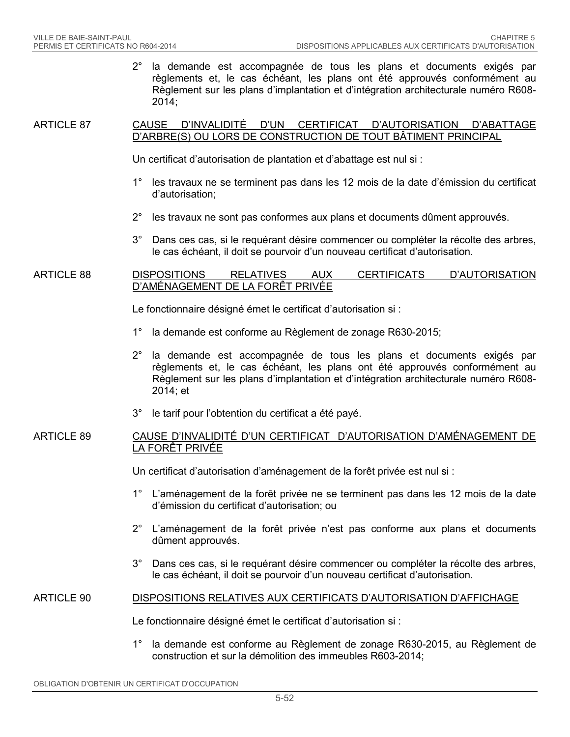2° la demande est accompagnée de tous les plans et documents exigés par règlements et, le cas échéant, les plans ont été approuvés conformément au Règlement sur les plans d'implantation et d'intégration architecturale numéro R608- 2014;

#### ARTICLE 87 CAUSE D'INVALIDITÉ D'UN CERTIFICAT D'AUTORISATION D'ABATTAGE D'ARBRE(S) OU LORS DE CONSTRUCTION DE TOUT BÂTIMENT PRINCIPAL

- Un certificat d'autorisation de plantation et d'abattage est nul si :
- 1° les travaux ne se terminent pas dans les 12 mois de la date d'émission du certificat d'autorisation;
- 2° les travaux ne sont pas conformes aux plans et documents dûment approuvés.
- 3° Dans ces cas, si le requérant désire commencer ou compléter la récolte des arbres, le cas échéant, il doit se pourvoir d'un nouveau certificat d'autorisation.

#### ARTICLE 88 DISPOSITIONS RELATIVES AUX CERTIFICATS D'AUTORISATION D'AMÉNAGEMENT DE LA FORÊT PRIVÉE

Le fonctionnaire désigné émet le certificat d'autorisation si :

- 1° la demande est conforme au Règlement de zonage R630-2015;
- 2° la demande est accompagnée de tous les plans et documents exigés par règlements et, le cas échéant, les plans ont été approuvés conformément au Règlement sur les plans d'implantation et d'intégration architecturale numéro R608- 2014; et
- 3° le tarif pour l'obtention du certificat a été payé.

#### ARTICLE 89 CAUSE D'INVALIDITÉ D'UN CERTIFICAT D'AUTORISATION D'AMÉNAGEMENT DE LA FORÊT PRIVÉE

Un certificat d'autorisation d'aménagement de la forêt privée est nul si :

- 1° L'aménagement de la forêt privée ne se terminent pas dans les 12 mois de la date d'émission du certificat d'autorisation; ou
- 2° L'aménagement de la forêt privée n'est pas conforme aux plans et documents dûment approuvés.
- 3° Dans ces cas, si le requérant désire commencer ou compléter la récolte des arbres, le cas échéant, il doit se pourvoir d'un nouveau certificat d'autorisation.

#### ARTICLE 90 DISPOSITIONS RELATIVES AUX CERTIFICATS D'AUTORISATION D'AFFICHAGE

Le fonctionnaire désigné émet le certificat d'autorisation si :

1° la demande est conforme au Règlement de zonage R630-2015, au Règlement de construction et sur la démolition des immeubles R603-2014;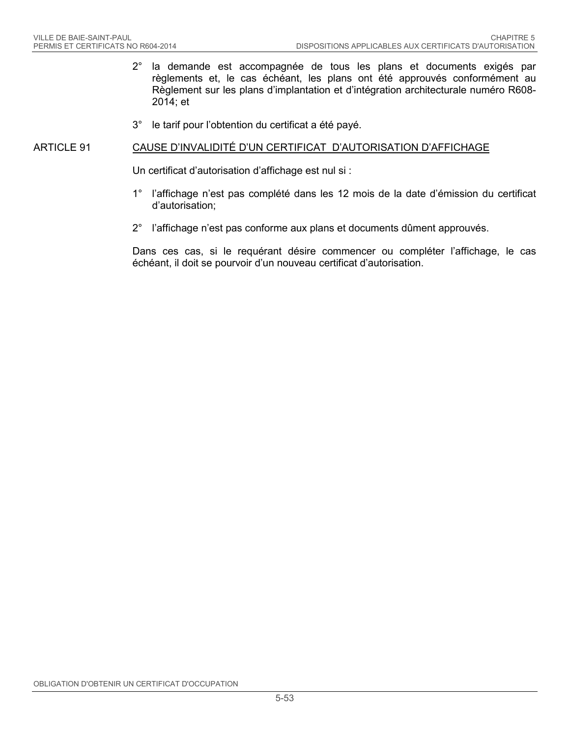- 2° la demande est accompagnée de tous les plans et documents exigés par règlements et, le cas échéant, les plans ont été approuvés conformément au Règlement sur les plans d'implantation et d'intégration architecturale numéro R608- 2014; et
- 3° le tarif pour l'obtention du certificat a été payé.

#### ARTICLE 91 CAUSE D'INVALIDITÉ D'UN CERTIFICAT D'AUTORISATION D'AFFICHAGE

Un certificat d'autorisation d'affichage est nul si :

- 1° l'affichage n'est pas complété dans les 12 mois de la date d'émission du certificat d'autorisation;
- 2° l'affichage n'est pas conforme aux plans et documents dûment approuvés.

Dans ces cas, si le requérant désire commencer ou compléter l'affichage, le cas échéant, il doit se pourvoir d'un nouveau certificat d'autorisation.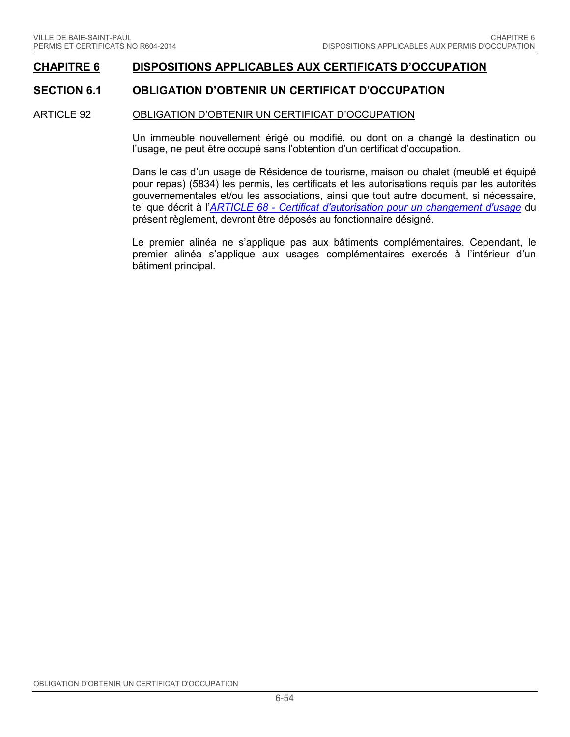### **CHAPITRE 6 DISPOSITIONS APPLICABLES AUX CERTIFICATS D'OCCUPATION**

### **SECTION 6.1 OBLIGATION D'OBTENIR UN CERTIFICAT D'OCCUPATION**

### ARTICLE 92 OBLIGATION D'OBTENIR UN CERTIFICAT D'OCCUPATION

Un immeuble nouvellement érigé ou modifié, ou dont on a changé la destination ou l'usage, ne peut être occupé sans l'obtention d'un certificat d'occupation.

Dans le cas d'un usage de Résidence de tourisme, maison ou chalet (meublé et équipé pour repas) (5834) les permis, les certificats et les autorisations requis par les autorités gouvernementales et/ou les associations, ainsi que tout autre document, si nécessaire, tel que décrit à l'*ARTICLE 68 - [Certificat d'autorisation pour un changement d'usage](#page-47-0)* du présent règlement, devront être déposés au fonctionnaire désigné.

Le premier alinéa ne s'applique pas aux bâtiments complémentaires. Cependant, le premier alinéa s'applique aux usages complémentaires exercés à l'intérieur d'un bâtiment principal.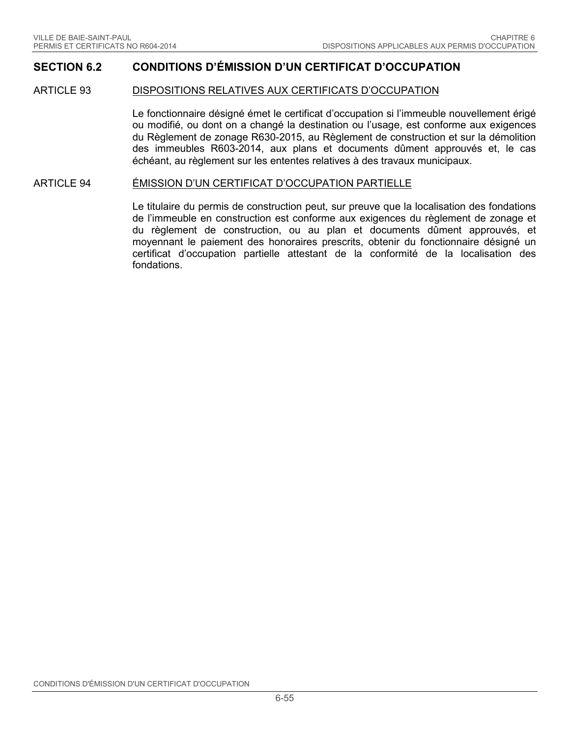### **SECTION 6.2 CONDITIONS D'ÉMISSION D'UN CERTIFICAT D'OCCUPATION**

#### ARTICLE 93 DISPOSITIONS RELATIVES AUX CERTIFICATS D'OCCUPATION

Le fonctionnaire désigné émet le certificat d'occupation si l'immeuble nouvellement érigé ou modifié, ou dont on a changé la destination ou l'usage, est conforme aux exigences du Règlement de zonage R630-2015, au Règlement de construction et sur la démolition des immeubles R603-2014, aux plans et documents dûment approuvés et, le cas échéant, au règlement sur les ententes relatives à des travaux municipaux.

#### ARTICLE 94 ÉMISSION D'UN CERTIFICAT D'OCCUPATION PARTIELLE

Le titulaire du permis de construction peut, sur preuve que la localisation des fondations de l'immeuble en construction est conforme aux exigences du règlement de zonage et du règlement de construction, ou au plan et documents dûment approuvés, et moyennant le paiement des honoraires prescrits, obtenir du fonctionnaire désigné un certificat d'occupation partielle attestant de la conformité de la localisation des fondations.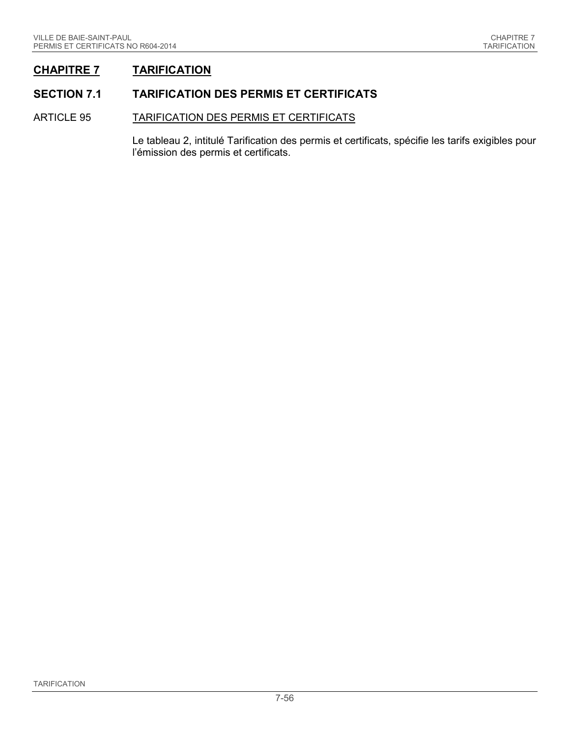## **CHAPITRE 7 TARIFICATION**

### **SECTION 7.1 TARIFICATION DES PERMIS ET CERTIFICATS**

#### ARTICLE 95 TARIFICATION DES PERMIS ET CERTIFICATS

Le tableau 2, intitulé Tarification des permis et certificats, spécifie les tarifs exigibles pour l'émission des permis et certificats.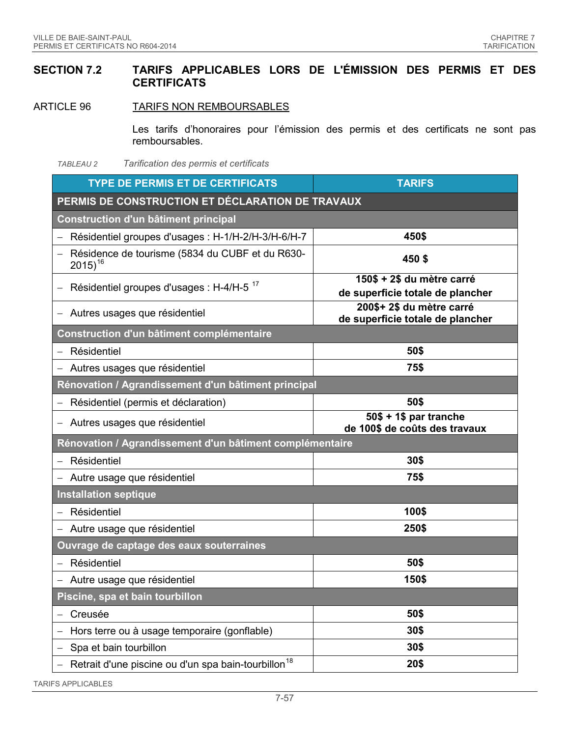### **SECTION 7.2 TARIFS APPLICABLES LORS DE L'ÉMISSION DES PERMIS ET DES CERTIFICATS**

ARTICLE 96 TARIFS NON REMBOURSABLES

Les tarifs d'honoraires pour l'émission des permis et des certificats ne sont pas remboursables.

*TABLEAU 2 Tarification des permis et certificats*

| <b>TYPE DE PERMIS ET DE CERTIFICATS</b>                         | <b>TARIFS</b>                                                  |  |
|-----------------------------------------------------------------|----------------------------------------------------------------|--|
| PERMIS DE CONSTRUCTION ET DÉCLARATION DE TRAVAUX                |                                                                |  |
| Construction d'un bâtiment principal                            |                                                                |  |
| Résidentiel groupes d'usages : H-1/H-2/H-3/H-6/H-7              | 450\$                                                          |  |
| Résidence de tourisme (5834 du CUBF et du R630-<br>$2015)^{16}$ | 450\$                                                          |  |
| Résidentiel groupes d'usages : H-4/H-5 <sup>17</sup>            | 150\$ + 2\$ du mètre carré<br>de superficie totale de plancher |  |
| Autres usages que résidentiel                                   | 200\$+ 2\$ du mètre carré<br>de superficie totale de plancher  |  |
| Construction d'un bâtiment complémentaire                       |                                                                |  |
| Résidentiel                                                     | 50\$                                                           |  |
| Autres usages que résidentiel                                   | 75\$                                                           |  |
| Rénovation / Agrandissement d'un bâtiment principal             |                                                                |  |
| Résidentiel (permis et déclaration)                             | 50\$                                                           |  |
| Autres usages que résidentiel                                   | $50\$ + 1\$ par tranche<br>de 100\$ de coûts des travaux       |  |
| Rénovation / Agrandissement d'un bâtiment complémentaire        |                                                                |  |
| Résidentiel                                                     | 30\$                                                           |  |
| Autre usage que résidentiel                                     | 75\$                                                           |  |
| <b>Installation septique</b>                                    |                                                                |  |
| Résidentiel                                                     | 100\$                                                          |  |
| - Autre usage que résidentiel                                   | 250\$                                                          |  |
| Ouvrage de captage des eaux souterraines                        |                                                                |  |
| - Résidentiel                                                   | 50\$                                                           |  |
| Autre usage que résidentiel                                     | 150\$                                                          |  |
| Piscine, spa et bain tourbillon                                 |                                                                |  |
| Creusée                                                         | 50\$                                                           |  |
| Hors terre ou à usage temporaire (gonflable)                    | 30\$                                                           |  |
| Spa et bain tourbillon                                          | 30\$                                                           |  |
| Retrait d'une piscine ou d'un spa bain-tourbillon <sup>18</sup> | 20\$                                                           |  |

TARIFS APPLICABLES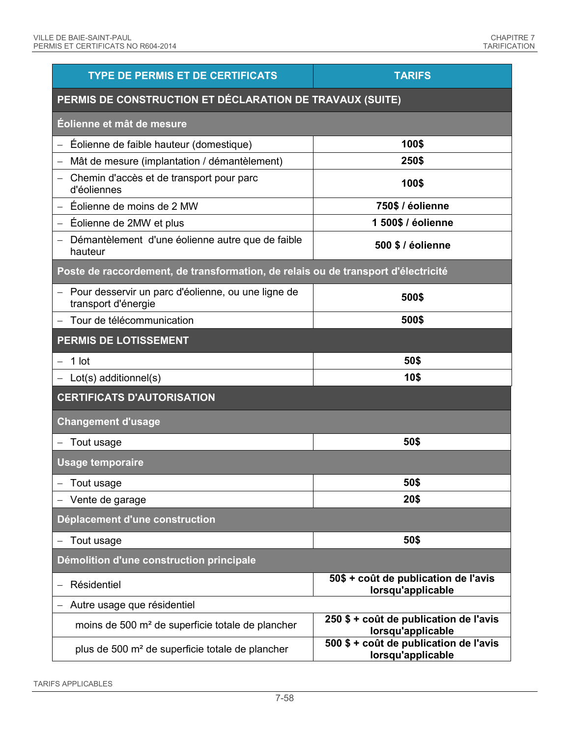| <b>TYPE DE PERMIS ET DE CERTIFICATS</b>                                           | <b>TARIFS</b>                                               |  |  |
|-----------------------------------------------------------------------------------|-------------------------------------------------------------|--|--|
| PERMIS DE CONSTRUCTION ET DÉCLARATION DE TRAVAUX (SUITE)                          |                                                             |  |  |
| Éolienne et mât de mesure                                                         |                                                             |  |  |
| Éolienne de faible hauteur (domestique)                                           | 100\$                                                       |  |  |
| Mât de mesure (implantation / démantèlement)                                      | 250\$                                                       |  |  |
| Chemin d'accès et de transport pour parc<br>d'éoliennes                           | 100\$                                                       |  |  |
| Éolienne de moins de 2 MW                                                         | 750\$ / éolienne                                            |  |  |
| Éolienne de 2MW et plus                                                           | 1 500\$ / éolienne                                          |  |  |
| Démantèlement d'une éolienne autre que de faible<br>hauteur                       | 500 \$ / éolienne                                           |  |  |
| Poste de raccordement, de transformation, de relais ou de transport d'électricité |                                                             |  |  |
| Pour desservir un parc d'éolienne, ou une ligne de<br>transport d'énergie         | 500\$                                                       |  |  |
| Tour de télécommunication                                                         | 500\$                                                       |  |  |
| <b>PERMIS DE LOTISSEMENT</b>                                                      |                                                             |  |  |
| 1 lot                                                                             | 50\$                                                        |  |  |
| $-$ Lot(s) additionnel(s)                                                         | 10\$                                                        |  |  |
| <b>CERTIFICATS D'AUTORISATION</b>                                                 |                                                             |  |  |
| <b>Changement d'usage</b>                                                         |                                                             |  |  |
| Tout usage                                                                        | 50\$                                                        |  |  |
| <b>Usage temporaire</b>                                                           |                                                             |  |  |
| Tout usage                                                                        | 50\$                                                        |  |  |
| - Vente de garage                                                                 | 20\$                                                        |  |  |
| Déplacement d'une construction                                                    |                                                             |  |  |
| Tout usage                                                                        | 50\$                                                        |  |  |
| Démolition d'une construction principale                                          |                                                             |  |  |
| Résidentiel                                                                       | 50\$ + coût de publication de l'avis<br>lorsqu'applicable   |  |  |
| Autre usage que résidentiel                                                       |                                                             |  |  |
| moins de 500 m <sup>2</sup> de superficie totale de plancher                      | 250 \$ + coût de publication de l'avis<br>lorsqu'applicable |  |  |
| plus de 500 m <sup>2</sup> de superficie totale de plancher                       | 500 \$ + coût de publication de l'avis<br>lorsqu'applicable |  |  |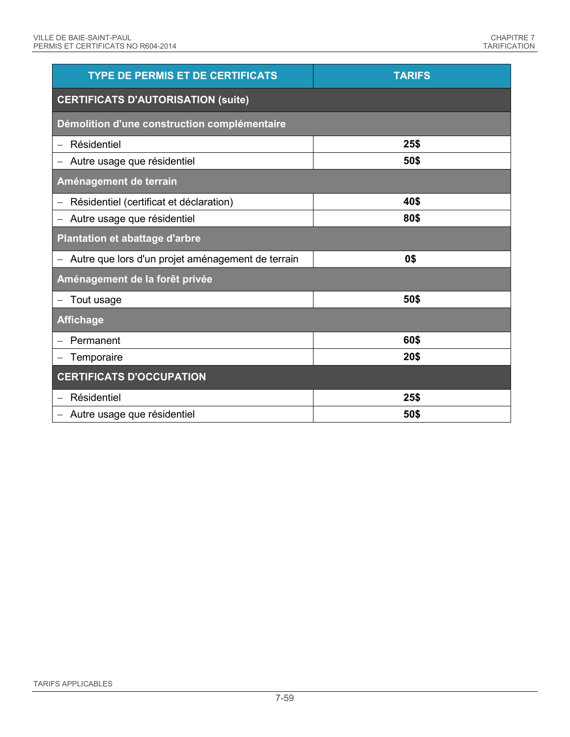| <b>TYPE DE PERMIS ET DE CERTIFICATS</b>           | <b>TARIFS</b> |  |
|---------------------------------------------------|---------------|--|
| <b>CERTIFICATS D'AUTORISATION (suite)</b>         |               |  |
| Démolition d'une construction complémentaire      |               |  |
| Résidentiel                                       | 25\$          |  |
| Autre usage que résidentiel                       | 50\$          |  |
| Aménagement de terrain                            |               |  |
| Résidentiel (certificat et déclaration)           | 40\$          |  |
| Autre usage que résidentiel                       | 80\$          |  |
| Plantation et abattage d'arbre                    |               |  |
| Autre que lors d'un projet aménagement de terrain | 0\$           |  |
| Aménagement de la forêt privée                    |               |  |
| Tout usage                                        | 50\$          |  |
| <b>Affichage</b>                                  |               |  |
| Permanent                                         | 60\$          |  |
| Temporaire                                        | 20\$          |  |
| <b>CERTIFICATS D'OCCUPATION</b>                   |               |  |
| Résidentiel                                       | 25\$          |  |
| Autre usage que résidentiel                       | 50\$          |  |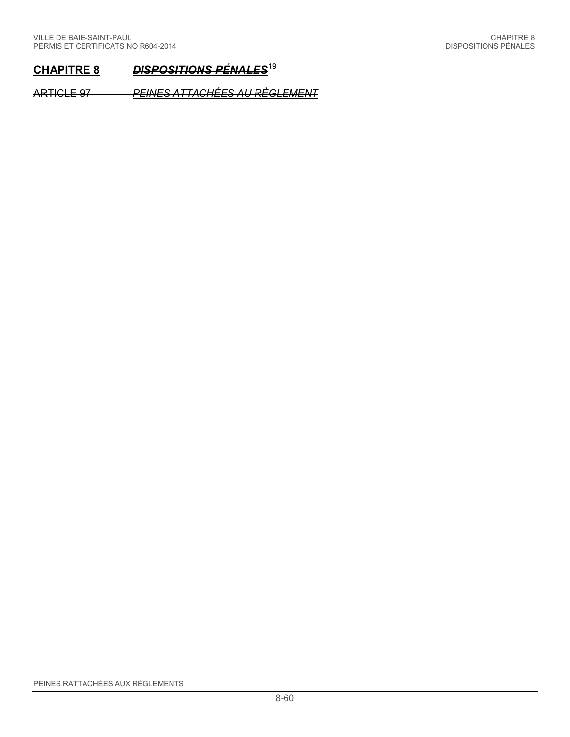# **CHAPITRE 8** *DISPOSITIONS PÉNALES*[19](#page-68-18)

ARTICLE 97 *PEINES ATTACHÉES AU RÈGLEMENT*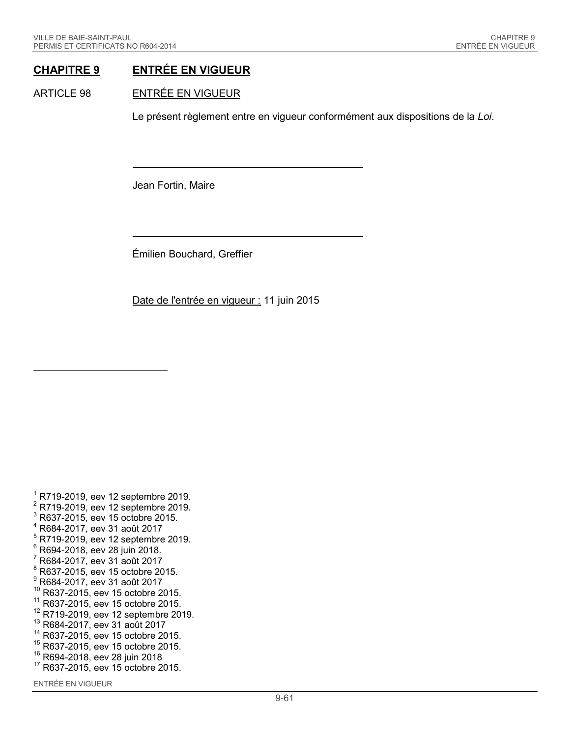### **CHAPITRE 9 ENTRÉE EN VIGUEUR**

#### ARTICLE 98 ENTRÉE EN VIGUEUR

Le présent règlement entre en vigueur conformément aux dispositions de la *Loi*.

Jean Fortin, Maire

Émilien Bouchard, Greffier

Date de l'entrée en vigueur : 11 juin 2015

<sup>1</sup> R719-2019, eev 12 septembre 2019.<br><sup>2</sup> R719-2019, eev 12 septembre 2019.<br><sup>3</sup> R637-2015, eev 15 octobre 2015. <sup>4</sup> R684-2017, eev 31 août 2017  $^5$  R719-2019, eev 12 septembre 2019.<br> $^6$  R694-2018, eev 28 juin 2018.<br> $^7$  R684-2017, eev 31 août 2017 <sup>8</sup> R637-2015, eev 15 octobre 2015.  $^{9}$  R684-2017, eev 31 août 2017 <sup>10</sup> R637-2015, eev 15 octobre 2015.  $^{11}$  R637-2015, eev 15 octobre 2015.<br> $^{12}$  R719-2019, eev 12 septembre 2019. <sup>13</sup> R684-2017, eev 31 août 2017 <sup>14</sup> R637-2015, eev 15 octobre 2015.  $^{15}$  R637-2015, eev 15 octobre 2015.<br> $^{16}$  R694-2018, eev 28 juin 2018 <sup>17</sup> R637-2015, eev 15 octobre 2015.

ENTRÉE EN VIGUEUR

-